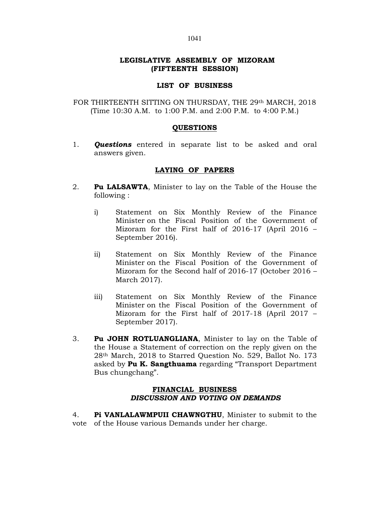## LEGISLATIVE ASSEMBLY OF MIZORAM (FIFTEENTH SESSION)

## LIST OF BUSINESS

FOR THIRTEENTH SITTING ON THURSDAY, THE 29<sup>th</sup> MARCH, 2018 (Time 10:30 A.M. to 1:00 P.M. and 2:00 P.M. to 4:00 P.M.)

## **OUESTIONS**

1. **Ouestions** entered in separate list to be asked and oral answers given.

## LAYING OF PAPERS

- 2. **Pu LALSAWTA,** Minister to lay on the Table of the House the following :
	- i) Statement on Six Monthly Review of the Finance Minister on the Fiscal Position of the Government of Mizoram for the First half of 2016-17 (April 2016 – September 2016).
	- ii) Statement on Six Monthly Review of the Finance Minister on the Fiscal Position of the Government of Mizoram for the Second half of 2016-17 (October 2016 – March 2017).
	- iii) Statement on Six Monthly Review of the Finance Minister on the Fiscal Position of the Government of Mizoram for the First half of 2017-18 (April 2017 – September 2017).
- 3. Pu JOHN ROTLUANGLIANA, Minister to lay on the Table of the House a Statement of correction on the reply given on the 28th March, 2018 to Starred Question No. 529, Ballot No. 173 asked by Pu K. Sangthuama regarding "Transport Department Bus chungchang".

## FINANCIAL BUSINESS DISCUSSION AND VOTING ON DEMANDS

4. Pi VANLALAWMPUII CHAWNGTHU, Minister to submit to the vote of the House various Demands under her charge.

#### 1041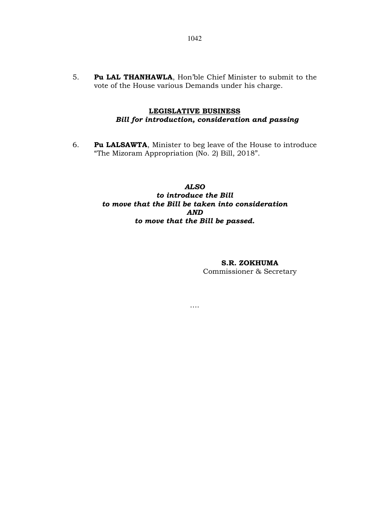5. Pu LAL THANHAWLA, Hon'ble Chief Minister to submit to the vote of the House various Demands under his charge.

# LEGISLATIVE BUSINESS Bill for introduction, consideration and passing

6. Pu LALSAWTA, Minister to beg leave of the House to introduce "The Mizoram Appropriation (No. 2) Bill, 2018".

# ALSO to introduce the Bill to move that the Bill be taken into consideration AND to move that the Bill be passed.

….

## S.R. ZOKHUMA

Commissioner & Secretary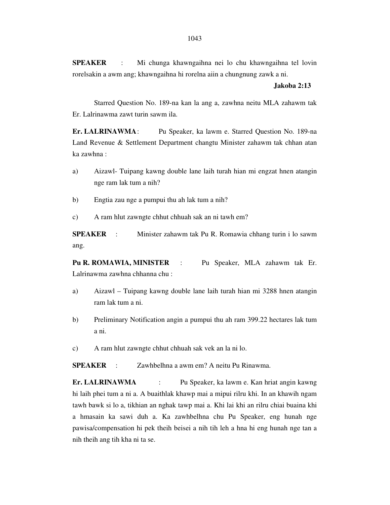**SPEAKER** : Mi chunga khawngaihna nei lo chu khawngaihna tel lovin rorelsakin a awm ang; khawngaihna hi rorelna aiin a chungnung zawk a ni.

#### **Jakoba 2:13**

 Starred Question No. 189-na kan la ang a, zawhna neitu MLA zahawm tak Er. Lalrinawma zawt turin sawm ila.

**Er. LALRINAWMA** : Pu Speaker, ka lawm e. Starred Question No. 189-na Land Revenue & Settlement Department changtu Minister zahawm tak chhan atan ka zawhna :

- a) Aizawl- Tuipang kawng double lane laih turah hian mi engzat hnen atangin nge ram lak tum a nih?
- b) Engtia zau nge a pumpui thu ah lak tum a nih?
- c) A ram hlut zawngte chhut chhuah sak an ni tawh em?

**SPEAKER** : Minister zahawm tak Pu R. Romawia chhang turin i lo sawm ang.

**Pu R. ROMAWIA, MINISTER** : Pu Speaker, MLA zahawm tak Er. Lalrinawma zawhna chhanna chu :

- a) Aizawl Tuipang kawng double lane laih turah hian mi 3288 hnen atangin ram lak tum a ni.
- b) Preliminary Notification angin a pumpui thu ah ram 399.22 hectares lak tum a ni.
- c) A ram hlut zawngte chhut chhuah sak vek an la ni lo.

**SPEAKER** : Zawhbelhna a awm em? A neitu Pu Rinawma.

**Er. LALRINAWMA** : Pu Speaker, ka lawm e. Kan hriat angin kawng hi laih phei tum a ni a. A buaithlak khawp mai a mipui rilru khi. In an khawih ngam tawh bawk si lo a, tikhian an nghak tawp mai a. Khi lai khi an rilru chiai buaina khi a hmasain ka sawi duh a. Ka zawhbelhna chu Pu Speaker, eng hunah nge pawisa/compensation hi pek theih beisei a nih tih leh a hna hi eng hunah nge tan a nih theih ang tih kha ni ta se.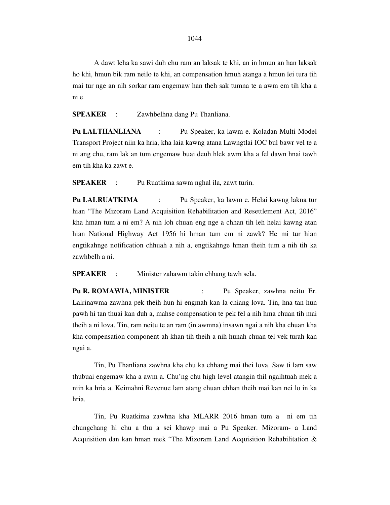A dawt leha ka sawi duh chu ram an laksak te khi, an in hmun an han laksak ho khi, hmun bik ram neilo te khi, an compensation hmuh atanga a hmun lei tura tih mai tur nge an nih sorkar ram engemaw han theh sak tumna te a awm em tih kha a ni e.

**SPEAKER** : Zawhbelhna dang Pu Thanliana.

**Pu LALTHANLIANA** : Pu Speaker, ka lawm e. Koladan Multi Model Transport Project niin ka hria, kha laia kawng atana Lawngtlai IOC bul bawr vel te a ni ang chu, ram lak an tum engemaw buai deuh hlek awm kha a fel dawn hnai tawh em tih kha ka zawt e.

**SPEAKER** : Pu Ruatkima sawm nghal ila, zawt turin.

**Pu LALRUATKIMA** : Pu Speaker, ka lawm e. Helai kawng lakna tur hian "The Mizoram Land Acquisition Rehabilitation and Resettlement Act, 2016" kha hman tum a ni em? A nih loh chuan eng nge a chhan tih leh helai kawng atan hian National Highway Act 1956 hi hman tum em ni zawk? He mi tur hian engtikahnge notification chhuah a nih a, engtikahnge hman theih tum a nih tih ka zawhbelh a ni.

**SPEAKER** : Minister zahawm takin chhang tawh sela.

**Pu R. ROMAWIA, MINISTER** : Pu Speaker, zawhna neitu Er. Lalrinawma zawhna pek theih hun hi engmah kan la chiang lova. Tin, hna tan hun pawh hi tan thuai kan duh a, mahse compensation te pek fel a nih hma chuan tih mai theih a ni lova. Tin, ram neitu te an ram (in awmna) insawn ngai a nih kha chuan kha kha compensation component-ah khan tih theih a nih hunah chuan tel vek turah kan ngai a.

 Tin, Pu Thanliana zawhna kha chu ka chhang mai thei lova. Saw ti lam saw thubuai engemaw kha a awm a. Chu'ng chu high level atangin thil ngaihtuah mek a niin ka hria a. Keimahni Revenue lam atang chuan chhan theih mai kan nei lo in ka hria.

 Tin, Pu Ruatkima zawhna kha MLARR 2016 hman tum a ni em tih chungchang hi chu a thu a sei khawp mai a Pu Speaker. Mizoram- a Land Acquisition dan kan hman mek "The Mizoram Land Acquisition Rehabilitation &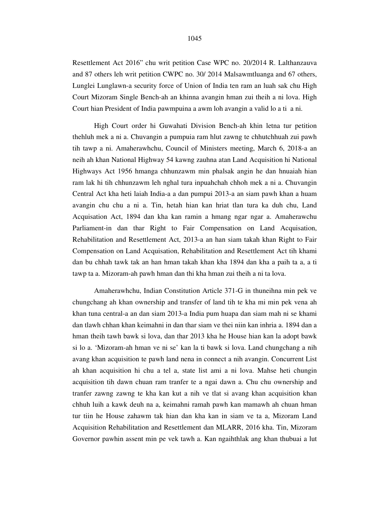Resettlement Act 2016" chu writ petition Case WPC no. 20/2014 R. Lalthanzauva and 87 others leh writ petition CWPC no. 30/ 2014 Malsawmtluanga and 67 others, Lunglei Lunglawn-a security force of Union of India ten ram an luah sak chu High Court Mizoram Single Bench-ah an khinna avangin hman zui theih a ni lova. High Court hian President of India pawmpuina a awm loh avangin a valid lo a ti a ni.

 High Court order hi Guwahati Division Bench-ah khin letna tur petition thehluh mek a ni a. Chuvangin a pumpuia ram hlut zawng te chhutchhuah zui pawh tih tawp a ni. Amaherawhchu, Council of Ministers meeting, March 6, 2018-a an neih ah khan National Highway 54 kawng zauhna atan Land Acquisition hi National Highways Act 1956 hmanga chhunzawm min phalsak angin he dan hnuaiah hian ram lak hi tih chhunzawm leh nghal tura inpuahchah chhoh mek a ni a. Chuvangin Central Act kha heti laiah India-a a dan pumpui 2013-a an siam pawh khan a huam avangin chu chu a ni a. Tin, hetah hian kan hriat tlan tura ka duh chu, Land Acquisation Act, 1894 dan kha kan ramin a hmang ngar ngar a. Amaherawchu Parliament-in dan thar Right to Fair Compensation on Land Acquisation, Rehabilitation and Resettlement Act, 2013-a an han siam takah khan Right to Fair Compensation on Land Acquisation, Rehabilitation and Resettlement Act tih khami dan bu chhah tawk tak an han hman takah khan kha 1894 dan kha a paih ta a, a ti tawp ta a. Mizoram-ah pawh hman dan thi kha hman zui theih a ni ta lova.

 Amaherawhchu, Indian Constitution Article 371-G in thuneihna min pek ve chungchang ah khan ownership and transfer of land tih te kha mi min pek vena ah khan tuna central-a an dan siam 2013-a India pum huapa dan siam mah ni se khami dan tlawh chhan khan keimahni in dan thar siam ve thei niin kan inhria a. 1894 dan a hman theih tawh bawk si lova, dan thar 2013 kha he House hian kan la adopt bawk si lo a. 'Mizoram-ah hman ve ni se' kan la ti bawk si lova. Land chungchang a nih avang khan acquisition te pawh land nena in connect a nih avangin. Concurrent List ah khan acquisition hi chu a tel a, state list ami a ni lova. Mahse heti chungin acquisition tih dawn chuan ram tranfer te a ngai dawn a. Chu chu ownership and tranfer zawng zawng te kha kan kut a nih ve tlat si avang khan acquisition khan chhuh luih a kawk deuh na a, keimahni ramah pawh kan mamawh ah chuan hman tur tiin he House zahawm tak hian dan kha kan in siam ve ta a, Mizoram Land Acquisition Rehabilitation and Resettlement dan MLARR, 2016 kha. Tin, Mizoram Governor pawhin assent min pe vek tawh a. Kan ngaihthlak ang khan thubuai a lut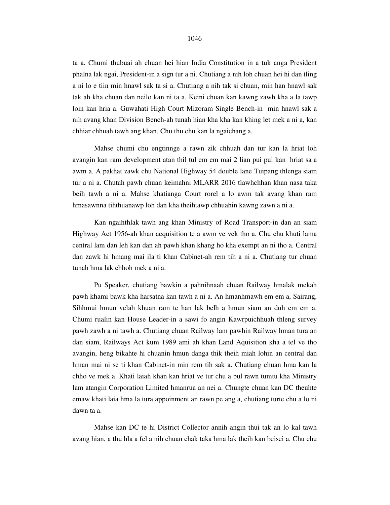#### 1046

ta a. Chumi thubuai ah chuan hei hian India Constitution in a tuk anga President phalna lak ngai, President-in a sign tur a ni. Chutiang a nih loh chuan hei hi dan tling a ni lo e tiin min hnawl sak ta si a. Chutiang a nih tak si chuan, min han hnawl sak tak ah kha chuan dan neilo kan ni ta a. Keini chuan kan kawng zawh kha a la tawp loin kan hria a. Guwahati High Court Mizoram Single Bench-in min hnawl sak a nih avang khan Division Bench-ah tunah hian kha kha kan khing let mek a ni a, kan chhiar chhuah tawh ang khan. Chu thu chu kan la ngaichang a.

 Mahse chumi chu engtinnge a rawn zik chhuah dan tur kan la hriat loh avangin kan ram development atan thil tul em em mai 2 lian pui pui kan hriat sa a awm a. A pakhat zawk chu National Highway 54 double lane Tuipang thlenga siam tur a ni a. Chutah pawh chuan keimahni MLARR 2016 tlawhchhan khan nasa taka beih tawh a ni a. Mahse khatianga Court rorel a lo awm tak avang khan ram hmasawnna tihthuanawp loh dan kha theihtawp chhuahin kawng zawn a ni a.

 Kan ngaihthlak tawh ang khan Ministry of Road Transport-in dan an siam Highway Act 1956-ah khan acquisition te a awm ve vek tho a. Chu chu khuti lama central lam dan leh kan dan ah pawh khan khang ho kha exempt an ni tho a. Central dan zawk hi hmang mai ila ti khan Cabinet-ah rem tih a ni a. Chutiang tur chuan tunah hma lak chhoh mek a ni a.

 Pu Speaker, chutiang bawkin a pahnihnaah chuan Railway hmalak mekah pawh khami bawk kha harsatna kan tawh a ni a. An hmanhmawh em em a, Sairang, Sihhmui hmun velah khuan ram te han lak belh a hmun siam an duh em em a. Chumi rualin kan House Leader-in a sawi fo angin Kawrpuichhuah thleng survey pawh zawh a ni tawh a. Chutiang chuan Railway lam pawhin Railway hman tura an dan siam, Railways Act kum 1989 ami ah khan Land Aquisition kha a tel ve tho avangin, heng bikahte hi chuanin hmun danga thik theih miah lohin an central dan hman mai ni se ti khan Cabinet-in min rem tih sak a. Chutiang chuan hma kan la chho ve mek a. Khati laiah khan kan hriat ve tur chu a bul rawn tumtu kha Ministry lam atangin Corporation Limited hmanrua an nei a. Chungte chuan kan DC theuhte emaw khati laia hma la tura appoinment an rawn pe ang a, chutiang turte chu a lo ni dawn ta a.

 Mahse kan DC te hi District Collector annih angin thui tak an lo kal tawh avang hian, a thu hla a fel a nih chuan chak taka hma lak theih kan beisei a. Chu chu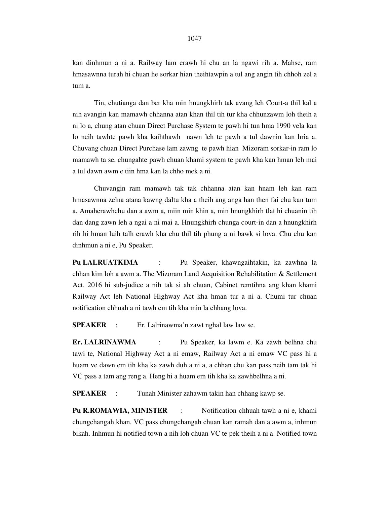kan dinhmun a ni a. Railway lam erawh hi chu an la ngawi rih a. Mahse, ram hmasawnna turah hi chuan he sorkar hian theihtawpin a tul ang angin tih chhoh zel a tum a.

 Tin, chutianga dan ber kha min hnungkhirh tak avang leh Court-a thil kal a nih avangin kan mamawh chhanna atan khan thil tih tur kha chhunzawm loh theih a ni lo a, chung atan chuan Direct Purchase System te pawh hi tun hma 1990 vela kan lo neih tawhte pawh kha kaihthawh nawn leh te pawh a tul dawnin kan hria a. Chuvang chuan Direct Purchase lam zawng te pawh hian Mizoram sorkar-in ram lo mamawh ta se, chungahte pawh chuan khami system te pawh kha kan hman leh mai a tul dawn awm e tiin hma kan la chho mek a ni.

 Chuvangin ram mamawh tak tak chhanna atan kan hnam leh kan ram hmasawnna zelna atana kawng daltu kha a theih ang anga han then fai chu kan tum a. Amaherawhchu dan a awm a, miin min khin a, min hnungkhirh tlat hi chuanin tih dan dang zawn leh a ngai a ni mai a. Hnungkhirh chunga court-in dan a hnungkhirh rih hi hman luih talh erawh kha chu thil tih phung a ni bawk si lova. Chu chu kan dinhmun a ni e, Pu Speaker.

**Pu LALRUATKIMA** : Pu Speaker, khawngaihtakin, ka zawhna la chhan kim loh a awm a. The Mizoram Land Acquisition Rehabilitation & Settlement Act. 2016 hi sub-judice a nih tak si ah chuan, Cabinet remtihna ang khan khami Railway Act leh National Highway Act kha hman tur a ni a. Chumi tur chuan notification chhuah a ni tawh em tih kha min la chhang lova.

**SPEAKER** : Er. Lalrinawma'n zawt nghal law law se.

**Er. LALRINAWMA** : Pu Speaker, ka lawm e. Ka zawh belhna chu tawi te, National Highway Act a ni emaw, Railway Act a ni emaw VC pass hi a huam ve dawn em tih kha ka zawh duh a ni a, a chhan chu kan pass neih tam tak hi VC pass a tam ang reng a. Heng hi a huam em tih kha ka zawhbelhna a ni.

**SPEAKER** : Tunah Minister zahawm takin han chhang kawp se.

**Pu R.ROMAWIA, MINISTER** : Notification chhuah tawh a ni e, khami chungchangah khan. VC pass chungchangah chuan kan ramah dan a awm a, inhmun bikah. Inhmun hi notified town a nih loh chuan VC te pek theih a ni a. Notified town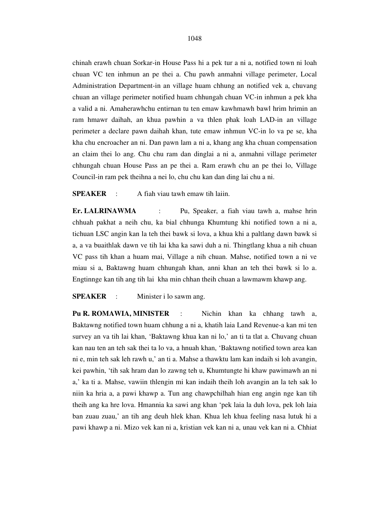chinah erawh chuan Sorkar-in House Pass hi a pek tur a ni a, notified town ni loah chuan VC ten inhmun an pe thei a. Chu pawh anmahni village perimeter, Local Administration Department-in an village huam chhung an notified vek a, chuvang chuan an village perimeter notified huam chhungah chuan VC-in inhmun a pek kha a valid a ni. Amaherawhchu entirnan tu ten emaw kawhmawh bawl hrim hrimin an ram hmawr daihah, an khua pawhin a va thlen phak loah LAD-in an village perimeter a declare pawn daihah khan, tute emaw inhmun VC-in lo va pe se, kha kha chu encroacher an ni. Dan pawn lam a ni a, khang ang kha chuan compensation an claim thei lo ang. Chu chu ram dan dinglai a ni a, anmahni village perimeter chhungah chuan House Pass an pe thei a. Ram erawh chu an pe thei lo, Village Council-in ram pek theihna a nei lo, chu chu kan dan ding lai chu a ni.

**SPEAKER** : A fiah viau tawh emaw tih laiin.

**Er. LALRINAWMA** : Pu, Speaker, a fiah viau tawh a, mahse hrin chhuah pakhat a neih chu, ka bial chhunga Khumtung khi notified town a ni a, tichuan LSC angin kan la teh thei bawk si lova, a khua khi a paltlang dawn bawk si a, a va buaithlak dawn ve tih lai kha ka sawi duh a ni. Thingtlang khua a nih chuan VC pass tih khan a huam mai, Village a nih chuan. Mahse, notified town a ni ve miau si a, Baktawng huam chhungah khan, anni khan an teh thei bawk si lo a. Engtinnge kan tih ang tih lai kha min chhan theih chuan a lawmawm khawp ang.

**SPEAKER** : Minister i lo sawm ang.

**Pu R. ROMAWIA, MINISTER** : Nichin khan ka chhang tawh a, Baktawng notified town huam chhung a ni a, khatih laia Land Revenue-a kan mi ten survey an va tih lai khan, 'Baktawng khua kan ni lo,' an ti ta tlat a. Chuvang chuan kan nau ten an teh sak thei ta lo va, a hnuah khan, 'Baktawng notified town area kan ni e, min teh sak leh rawh u,' an ti a. Mahse a thawktu lam kan indaih si loh avangin, kei pawhin, 'tih sak hram dan lo zawng teh u, Khumtungte hi khaw pawimawh an ni a,' ka ti a. Mahse, vawiin thlengin mi kan indaih theih loh avangin an la teh sak lo niin ka hria a, a pawi khawp a. Tun ang chawpchilhah hian eng angin nge kan tih theih ang ka hre lova. Hmannia ka sawi ang khan 'pek laia la duh lova, pek loh laia ban zuau zuau,' an tih ang deuh hlek khan. Khua leh khua feeling nasa lutuk hi a pawi khawp a ni. Mizo vek kan ni a, kristian vek kan ni a, unau vek kan ni a. Chhiat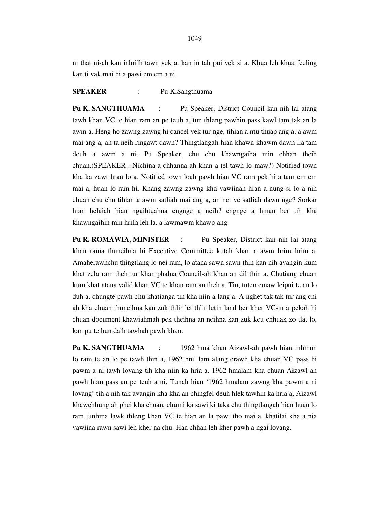ni that ni-ah kan inhrilh tawn vek a, kan in tah pui vek si a. Khua leh khua feeling kan ti vak mai hi a pawi em em a ni.

### **SPEAKER** : Pu K.Sangthuama

Pu K. SANGTHUAMA : Pu Speaker, District Council kan nih lai atang tawh khan VC te hian ram an pe teuh a, tun thleng pawhin pass kawl tam tak an la awm a. Heng ho zawng zawng hi cancel vek tur nge, tihian a mu thuap ang a, a awm mai ang a, an ta neih ringawt dawn? Thingtlangah hian khawn khawm dawn ila tam deuh a awm a ni. Pu Speaker, chu chu khawngaiha min chhan theih chuan.(SPEAKER : Nichina a chhanna-ah khan a tel tawh lo maw?) Notified town kha ka zawt hran lo a. Notified town loah pawh hian VC ram pek hi a tam em em mai a, huan lo ram hi. Khang zawng zawng kha vawiinah hian a nung si lo a nih chuan chu chu tihian a awm satliah mai ang a, an nei ve satliah dawn nge? Sorkar hian helaiah hian ngaihtuahna engnge a neih? engnge a hman ber tih kha khawngaihin min hrilh leh la, a lawmawm khawp ang.

**Pu R. ROMAWIA, MINISTER** : Pu Speaker, District kan nih lai atang khan rama thuneihna hi Executive Committee kutah khan a awm hrim hrim a. Amaherawhchu thingtlang lo nei ram, lo atana sawn sawn thin kan nih avangin kum khat zela ram theh tur khan phalna Council-ah khan an dil thin a. Chutiang chuan kum khat atana valid khan VC te khan ram an theh a. Tin, tuten emaw leipui te an lo duh a, chungte pawh chu khatianga tih kha niin a lang a. A nghet tak tak tur ang chi ah kha chuan thuneihna kan zuk thlir let thlir letin land ber kher VC-in a pekah hi chuan document khawiahmah pek theihna an neihna kan zuk keu chhuak zo tlat lo, kan pu te hun daih tawhah pawh khan.

**Pu K. SANGTHUAMA** : 1962 hma khan Aizawl-ah pawh hian inhmun lo ram te an lo pe tawh thin a, 1962 hnu lam atang erawh kha chuan VC pass hi pawm a ni tawh lovang tih kha niin ka hria a. 1962 hmalam kha chuan Aizawl-ah pawh hian pass an pe teuh a ni. Tunah hian '1962 hmalam zawng kha pawm a ni lovang' tih a nih tak avangin kha kha an chingfel deuh hlek tawhin ka hria a, Aizawl khawchhung ah phei kha chuan, chumi ka sawi ki taka chu thingtlangah hian huan lo ram tunhma lawk thleng khan VC te hian an la pawt tho mai a, khatilai kha a nia vawiina rawn sawi leh kher na chu. Han chhan leh kher pawh a ngai lovang.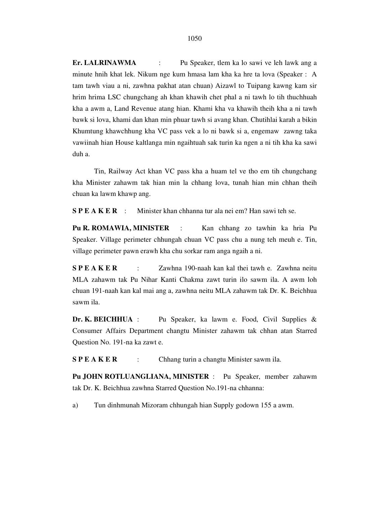**Er. LALRINAWMA** : Pu Speaker, tlem ka lo sawi ve leh lawk ang a minute hnih khat lek. Nikum nge kum hmasa lam kha ka hre ta lova (Speaker : A tam tawh viau a ni, zawhna pakhat atan chuan) Aizawl to Tuipang kawng kam sir hrim hrima LSC chungchang ah khan khawih chet phal a ni tawh lo tih thuchhuah kha a awm a, Land Revenue atang hian. Khami kha va khawih theih kha a ni tawh bawk si lova, khami dan khan min phuar tawh si avang khan. Chutihlai karah a bikin Khumtung khawchhung kha VC pass vek a lo ni bawk si a, engemaw zawng taka vawiinah hian House kaltlanga min ngaihtuah sak turin ka ngen a ni tih kha ka sawi duh a.

 Tin, Railway Act khan VC pass kha a huam tel ve tho em tih chungchang kha Minister zahawm tak hian min la chhang lova, tunah hian min chhan theih chuan ka lawm khawp ang.

**S P E A K E R** : Minister khan chhanna tur ala nei em? Han sawi teh se.

Pu R. ROMAWIA, MINISTER : Kan chhang zo tawhin ka hria Pu Speaker. Village perimeter chhungah chuan VC pass chu a nung teh meuh e. Tin, village perimeter pawn erawh kha chu sorkar ram anga ngaih a ni.

**S P E A K E R** : Zawhna 190-naah kan kal thei tawh e. Zawhna neitu MLA zahawm tak Pu Nihar Kanti Chakma zawt turin ilo sawm ila. A awm loh chuan 191-naah kan kal mai ang a, zawhna neitu MLA zahawm tak Dr. K. Beichhua sawm ila.

**Dr. K. BEICHHUA** : Pu Speaker, ka lawm e. Food, Civil Supplies & Consumer Affairs Department changtu Minister zahawm tak chhan atan Starred Question No. 191-na ka zawt e.

**S P E A K E R** : Chhang turin a changtu Minister sawm ila.

**Pu JOHN ROTLUANGLIANA, MINISTER** : Pu Speaker, member zahawm tak Dr. K. Beichhua zawhna Starred Question No.191-na chhanna:

a) Tun dinhmunah Mizoram chhungah hian Supply godown 155 a awm.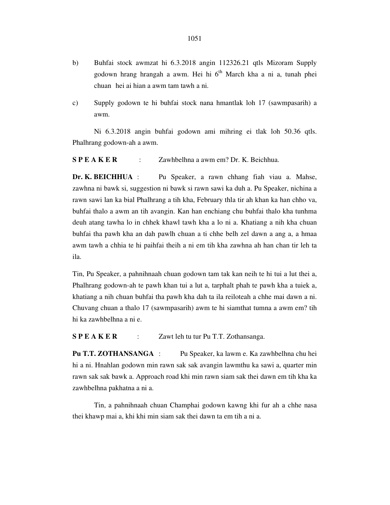- b) Buhfai stock awmzat hi 6.3.2018 angin 112326.21 qtls Mizoram Supply godown hrang hrangah a awm. Hei hi 6<sup>th</sup> March kha a ni a, tunah phei chuan hei ai hian a awm tam tawh a ni.
- c) Supply godown te hi buhfai stock nana hmantlak loh 17 (sawmpasarih) a awm.

 Ni 6.3.2018 angin buhfai godown ami mihring ei tlak loh 50.36 qtls. Phalhrang godown-ah a awm.

**S P E A K E R** : Zawhbelhna a awm em? Dr. K. Beichhua.

**Dr. K. BEICHHUA** : Pu Speaker, a rawn chhang fiah viau a. Mahse, zawhna ni bawk si, suggestion ni bawk si rawn sawi ka duh a. Pu Speaker, nichina a rawn sawi lan ka bial Phalhrang a tih kha, February thla tir ah khan ka han chho va, buhfai thalo a awm an tih avangin. Kan han enchiang chu buhfai thalo kha tunhma deuh atang tawha lo in chhek khawl tawh kha a lo ni a. Khatiang a nih kha chuan buhfai tha pawh kha an dah pawlh chuan a ti chhe belh zel dawn a ang a, a hmaa awm tawh a chhia te hi paihfai theih a ni em tih kha zawhna ah han chan tir leh ta ila.

Tin, Pu Speaker, a pahnihnaah chuan godown tam tak kan neih te hi tui a lut thei a, Phalhrang godown-ah te pawh khan tui a lut a, tarphalt phah te pawh kha a tuiek a, khatiang a nih chuan buhfai tha pawh kha dah ta ila reiloteah a chhe mai dawn a ni. Chuvang chuan a thalo 17 (sawmpasarih) awm te hi siamthat tumna a awm em? tih hi ka zawhbelhna a ni e.

**S P E A K E R** : Zawt leh tu tur Pu T.T. Zothansanga.

**Pu T.T. ZOTHANSANGA** : Pu Speaker, ka lawm e. Ka zawhbelhna chu hei hi a ni. Hnahlan godown min rawn sak sak avangin lawmthu ka sawi a, quarter min rawn sak sak bawk a. Approach road khi min rawn siam sak thei dawn em tih kha ka zawhbelhna pakhatna a ni a.

 Tin, a pahnihnaah chuan Champhai godown kawng khi fur ah a chhe nasa thei khawp mai a, khi khi min siam sak thei dawn ta em tih a ni a.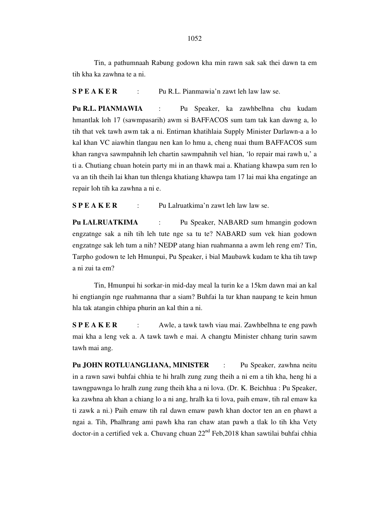Tin, a pathumnaah Rabung godown kha min rawn sak sak thei dawn ta em tih kha ka zawhna te a ni.

**S P E A K E R** : Pu R.L. Pianmawia'n zawt leh law law se.

**Pu R.L. PIANMAWIA** : Pu Speaker, ka zawhbelhna chu kudam hmantlak loh 17 (sawmpasarih) awm si BAFFACOS sum tam tak kan dawng a, lo tih that vek tawh awm tak a ni. Entirnan khatihlaia Supply Minister Darlawn-a a lo kal khan VC aiawhin tlangau nen kan lo hmu a, cheng nuai thum BAFFACOS sum khan rangva sawmpahnih leh chartin sawmpahnih vel hian, 'lo repair mai rawh u,' a ti a. Chutiang chuan hotein party mi in an thawk mai a. Khatiang khawpa sum ren lo va an tih theih lai khan tun thlenga khatiang khawpa tam 17 lai mai kha engatinge an repair loh tih ka zawhna a ni e.

**S P E A K E R** : Pu Lalruatkima'n zawt leh law law se.

**Pu LALRUATKIMA** : Pu Speaker, NABARD sum hmangin godown engzatnge sak a nih tih leh tute nge sa tu te? NABARD sum vek hian godown engzatnge sak leh tum a nih? NEDP atang hian ruahmanna a awm leh reng em? Tin, Tarpho godown te leh Hmunpui, Pu Speaker, i bial Maubawk kudam te kha tih tawp a ni zui ta em?

 Tin, Hmunpui hi sorkar-in mid-day meal la turin ke a 15km dawn mai an kal hi engtiangin nge ruahmanna thar a siam? Buhfai la tur khan naupang te kein hmun hla tak atangin chhipa phurin an kal thin a ni.

**S P E A K E R** : Awle, a tawk tawh viau mai. Zawhbelhna te eng pawh mai kha a leng vek a. A tawk tawh e mai. A changtu Minister chhang turin sawm tawh mai ang.

**Pu JOHN ROTLUANGLIANA, MINISTER** : Pu Speaker, zawhna neitu in a rawn sawi buhfai chhia te hi hralh zung zung theih a ni em a tih kha, heng hi a tawngpawnga lo hralh zung zung theih kha a ni lova. (Dr. K. Beichhua : Pu Speaker, ka zawhna ah khan a chiang lo a ni ang, hralh ka ti lova, paih emaw, tih ral emaw ka ti zawk a ni.) Paih emaw tih ral dawn emaw pawh khan doctor ten an en phawt a ngai a. Tih, Phalhrang ami pawh kha ran chaw atan pawh a tlak lo tih kha Vety doctor-in a certified vek a. Chuvang chuan 22<sup>nd</sup> Feb, 2018 khan sawtilai buhfai chhia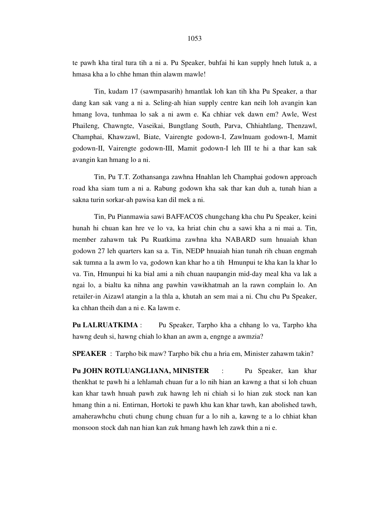te pawh kha tiral tura tih a ni a. Pu Speaker, buhfai hi kan supply hneh lutuk a, a hmasa kha a lo chhe hman thin alawm mawle!

 Tin, kudam 17 (sawmpasarih) hmantlak loh kan tih kha Pu Speaker, a thar dang kan sak vang a ni a. Seling-ah hian supply centre kan neih loh avangin kan hmang lova, tunhmaa lo sak a ni awm e. Ka chhiar vek dawn em? Awle, West Phaileng, Chawngte, Vaseikai, Bungtlang South, Parva, Chhiahtlang, Thenzawl, Champhai, Khawzawl, Biate, Vairengte godown-I, Zawlnuam godown-I, Mamit godown-II, Vairengte godown-III, Mamit godown-I leh III te hi a thar kan sak avangin kan hmang lo a ni.

 Tin, Pu T.T. Zothansanga zawhna Hnahlan leh Champhai godown approach road kha siam tum a ni a. Rabung godown kha sak thar kan duh a, tunah hian a sakna turin sorkar-ah pawisa kan dil mek a ni.

 Tin, Pu Pianmawia sawi BAFFACOS chungchang kha chu Pu Speaker, keini hunah hi chuan kan hre ve lo va, ka hriat chin chu a sawi kha a ni mai a. Tin, member zahawm tak Pu Ruatkima zawhna kha NABARD sum hnuaiah khan godown 27 leh quarters kan sa a. Tin, NEDP hnuaiah hian tunah rih chuan engmah sak tumna a la awm lo va, godown kan khar ho a tih Hmunpui te kha kan la khar lo va. Tin, Hmunpui hi ka bial ami a nih chuan naupangin mid-day meal kha va lak a ngai lo, a bialtu ka nihna ang pawhin vawikhatmah an la rawn complain lo. An retailer-in Aizawl atangin a la thla a, khutah an sem mai a ni. Chu chu Pu Speaker, ka chhan theih dan a ni e. Ka lawm e.

**Pu LALRUATKIMA** : Pu Speaker, Tarpho kha a chhang lo va, Tarpho kha hawng deuh si, hawng chiah lo khan an awm a, engnge a awmzia?

**SPEAKER** : Tarpho bik maw? Tarpho bik chu a hria em, Minister zahawm takin?

**Pu JOHN ROTLUANGLIANA, MINISTER** : Pu Speaker, kan khar thenkhat te pawh hi a lehlamah chuan fur a lo nih hian an kawng a that si loh chuan kan khar tawh hnuah pawh zuk hawng leh ni chiah si lo hian zuk stock nan kan hmang thin a ni. Entirnan, Hortoki te pawh khu kan khar tawh, kan abolished tawh, amaherawhchu chuti chung chung chuan fur a lo nih a, kawng te a lo chhiat khan monsoon stock dah nan hian kan zuk hmang hawh leh zawk thin a ni e.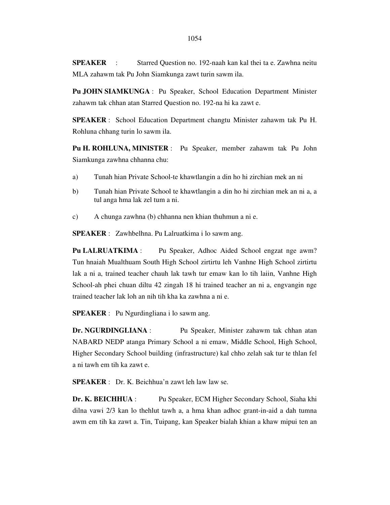**SPEAKER** : Starred Question no. 192-naah kan kal thei ta e. Zawhna neitu MLA zahawm tak Pu John Siamkunga zawt turin sawm ila.

**Pu JOHN SIAMKUNGA** : Pu Speaker, School Education Department Minister zahawm tak chhan atan Starred Question no. 192-na hi ka zawt e.

**SPEAKER** : School Education Department changtu Minister zahawm tak Pu H. Rohluna chhang turin lo sawm ila.

**Pu H. ROHLUNA, MINISTER** : Pu Speaker, member zahawm tak Pu John Siamkunga zawhna chhanna chu:

- a) Tunah hian Private School-te khawtlangin a din ho hi zirchian mek an ni
- b) Tunah hian Private School te khawtlangin a din ho hi zirchian mek an ni a, a tul anga hma lak zel tum a ni.
- c) A chunga zawhna (b) chhanna nen khian thuhmun a ni e.

**SPEAKER** : Zawhbelhna. Pu Lalruatkima i lo sawm ang.

Pu LALRUATKIMA : Pu Speaker, Adhoc Aided School engzat nge awm? Tun hnaiah Mualthuam South High School zirtirtu leh Vanhne High School zirtirtu lak a ni a, trained teacher chauh lak tawh tur emaw kan lo tih laiin, Vanhne High School-ah phei chuan diltu 42 zingah 18 hi trained teacher an ni a, engvangin nge trained teacher lak loh an nih tih kha ka zawhna a ni e.

**SPEAKER** : Pu Ngurdingliana i lo sawm ang.

**Dr. NGURDINGLIANA** : Pu Speaker, Minister zahawm tak chhan atan NABARD NEDP atanga Primary School a ni emaw, Middle School, High School, Higher Secondary School building (infrastructure) kal chho zelah sak tur te thlan fel a ni tawh em tih ka zawt e.

**SPEAKER** : Dr. K. Beichhua'n zawt leh law law se.

**Dr. K. BEICHHUA** : Pu Speaker, ECM Higher Secondary School, Siaha khi dilna vawi 2/3 kan lo thehlut tawh a, a hma khan adhoc grant-in-aid a dah tumna awm em tih ka zawt a. Tin, Tuipang, kan Speaker bialah khian a khaw mipui ten an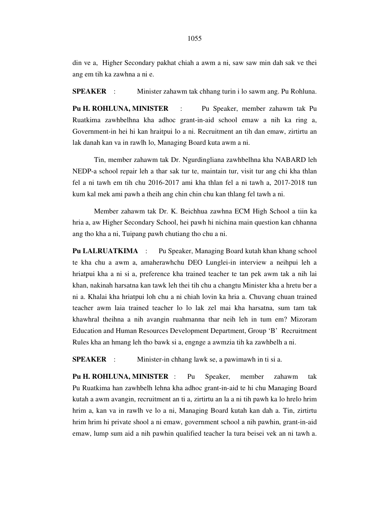din ve a, Higher Secondary pakhat chiah a awm a ni, saw saw min dah sak ve thei ang em tih ka zawhna a ni e.

**SPEAKER** : Minister zahawm tak chhang turin i lo sawm ang. Pu Rohluna.

**Pu H. ROHLUNA, MINISTER** : Pu Speaker, member zahawm tak Pu Ruatkima zawhbelhna kha adhoc grant-in-aid school emaw a nih ka ring a, Government-in hei hi kan hraitpui lo a ni. Recruitment an tih dan emaw, zirtirtu an lak danah kan va in rawlh lo, Managing Board kuta awm a ni.

 Tin, member zahawm tak Dr. Ngurdingliana zawhbelhna kha NABARD leh NEDP-a school repair leh a thar sak tur te, maintain tur, visit tur ang chi kha thlan fel a ni tawh em tih chu 2016-2017 ami kha thlan fel a ni tawh a, 2017-2018 tun kum kal mek ami pawh a theih ang chin chin chu kan thlang fel tawh a ni.

 Member zahawm tak Dr. K. Beichhua zawhna ECM High School a tiin ka hria a, aw Higher Secondary School, hei pawh hi nichina main question kan chhanna ang tho kha a ni, Tuipang pawh chutiang tho chu a ni.

**Pu LALRUATKIMA** : Pu Speaker, Managing Board kutah khan khang school te kha chu a awm a, amaherawhchu DEO Lunglei-in interview a neihpui leh a hriatpui kha a ni si a, preference kha trained teacher te tan pek awm tak a nih lai khan, nakinah harsatna kan tawk leh thei tih chu a changtu Minister kha a hretu ber a ni a. Khalai kha hriatpui loh chu a ni chiah lovin ka hria a. Chuvang chuan trained teacher awm laia trained teacher lo lo lak zel mai kha harsatna, sum tam tak khawhral theihna a nih avangin ruahmanna thar neih leh in tum em? Mizoram Education and Human Resources Development Department, Group 'B' Recruitment Rules kha an hmang leh tho bawk si a, engnge a awmzia tih ka zawhbelh a ni.

**SPEAKER** : Minister-in chhang lawk se, a pawimawh in ti si a.

**Pu H. ROHLUNA, MINISTER** : Pu Speaker, member zahawm tak Pu Ruatkima han zawhbelh lehna kha adhoc grant-in-aid te hi chu Managing Board kutah a awm avangin, recruitment an ti a, zirtirtu an la a ni tih pawh ka lo hrelo hrim hrim a, kan va in rawlh ve lo a ni, Managing Board kutah kan dah a. Tin, zirtirtu hrim hrim hi private shool a ni emaw, government school a nih pawhin, grant-in-aid emaw, lump sum aid a nih pawhin qualified teacher la tura beisei vek an ni tawh a.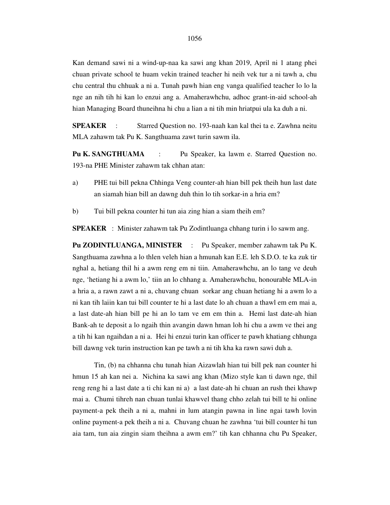Kan demand sawi ni a wind-up-naa ka sawi ang khan 2019, April ni 1 atang phei chuan private school te huam vekin trained teacher hi neih vek tur a ni tawh a, chu chu central thu chhuak a ni a. Tunah pawh hian eng vanga qualified teacher lo lo la nge an nih tih hi kan lo enzui ang a. Amaherawhchu, adhoc grant-in-aid school-ah hian Managing Board thuneihna hi chu a lian a ni tih min hriatpui ula ka duh a ni.

**SPEAKER** : Starred Question no. 193-naah kan kal thei ta e. Zawhna neitu MLA zahawm tak Pu K. Sangthuama zawt turin sawm ila.

Pu K. SANGTHUAMA : Pu Speaker, ka lawm e. Starred Question no. 193-na PHE Minister zahawm tak chhan atan:

a) PHE tui bill pekna Chhinga Veng counter-ah hian bill pek theih hun last date an siamah hian bill an dawng duh thin lo tih sorkar-in a hria em?

b) Tui bill pekna counter hi tun aia zing hian a siam theih em?

**SPEAKER** : Minister zahawm tak Pu Zodintluanga chhang turin i lo sawm ang.

**Pu ZODINTLUANGA, MINISTER** : Pu Speaker, member zahawm tak Pu K. Sangthuama zawhna a lo thlen veleh hian a hmunah kan E.E. leh S.D.O. te ka zuk tir nghal a, hetiang thil hi a awm reng em ni tiin. Amaherawhchu, an lo tang ve deuh nge, 'hetiang hi a awm lo,' tiin an lo chhang a. Amaherawhchu, honourable MLA-in a hria a, a rawn zawt a ni a, chuvang chuan sorkar ang chuan hetiang hi a awm lo a ni kan tih laiin kan tui bill counter te hi a last date lo ah chuan a thawl em em mai a, a last date-ah hian bill pe hi an lo tam ve em em thin a. Hemi last date-ah hian Bank-ah te deposit a lo ngaih thin avangin dawn hman loh hi chu a awm ve thei ang a tih hi kan ngaihdan a ni a. Hei hi enzui turin kan officer te pawh khatiang chhunga bill dawng vek turin instruction kan pe tawh a ni tih kha ka rawn sawi duh a.

 Tin, (b) na chhanna chu tunah hian Aizawlah hian tui bill pek nan counter hi hmun 15 ah kan nei a. Nichina ka sawi ang khan (Mizo style kan ti dawn nge, thil reng reng hi a last date a ti chi kan ni a) a last date-ah hi chuan an rush thei khawp mai a. Chumi tihreh nan chuan tunlai khawvel thang chho zelah tui bill te hi online payment-a pek theih a ni a, mahni in lum atangin pawna in line ngai tawh lovin online payment-a pek theih a ni a. Chuvang chuan he zawhna 'tui bill counter hi tun aia tam, tun aia zingin siam theihna a awm em?' tih kan chhanna chu Pu Speaker,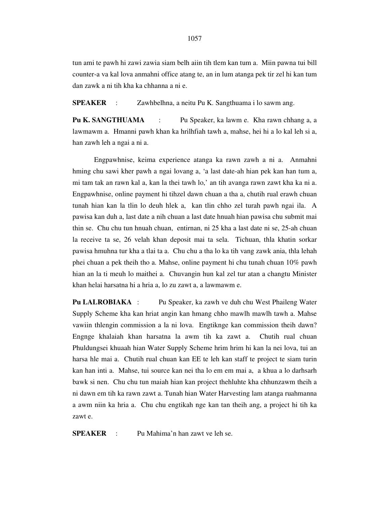tun ami te pawh hi zawi zawia siam belh aiin tih tlem kan tum a. Miin pawna tui bill counter-a va kal lova anmahni office atang te, an in lum atanga pek tir zel hi kan tum dan zawk a ni tih kha ka chhanna a ni e.

**SPEAKER** : Zawhbelhna, a neitu Pu K. Sangthuama i lo sawm ang.

**Pu K. SANGTHUAMA** : Pu Speaker, ka lawm e. Kha rawn chhang a, a lawmawm a. Hmanni pawh khan ka hrilhfiah tawh a, mahse, hei hi a lo kal leh si a, han zawh leh a ngai a ni a.

 Engpawhnise, keima experience atanga ka rawn zawh a ni a. Anmahni hming chu sawi kher pawh a ngai lovang a, 'a last date-ah hian pek kan han tum a, mi tam tak an rawn kal a, kan la thei tawh lo,' an tih avanga rawn zawt kha ka ni a. Engpawhnise, online payment hi tihzel dawn chuan a tha a, chutih rual erawh chuan tunah hian kan la tlin lo deuh hlek a, kan tlin chho zel turah pawh ngai ila. A pawisa kan duh a, last date a nih chuan a last date hnuah hian pawisa chu submit mai thin se. Chu chu tun hnuah chuan, entirnan, ni 25 kha a last date ni se, 25-ah chuan la receive ta se, 26 velah khan deposit mai ta sela. Tichuan, thla khatin sorkar pawisa hmuhna tur kha a tlai ta a. Chu chu a tha lo ka tih vang zawk ania, thla lehah phei chuan a pek theih tho a. Mahse, online payment hi chu tunah chuan 10% pawh hian an la ti meuh lo maithei a. Chuvangin hun kal zel tur atan a changtu Minister khan helai harsatna hi a hria a, lo zu zawt a, a lawmawm e.

**Pu LALROBIAKA** : Pu Speaker, ka zawh ve duh chu West Phaileng Water Supply Scheme kha kan hriat angin kan hmang chho mawlh mawlh tawh a. Mahse vawiin thlengin commission a la ni lova. Engtiknge kan commission theih dawn? Engnge khalaiah khan harsatna la awm tih ka zawt a. Chutih rual chuan Phuldungsei khuaah hian Water Supply Scheme hrim hrim hi kan la nei lova, tui an harsa hle mai a. Chutih rual chuan kan EE te leh kan staff te project te siam turin kan han inti a. Mahse, tui source kan nei tha lo em em mai a, a khua a lo darhsarh bawk si nen. Chu chu tun maiah hian kan project thehluhte kha chhunzawm theih a ni dawn em tih ka rawn zawt a. Tunah hian Water Harvesting lam atanga ruahmanna a awm niin ka hria a. Chu chu engtikah nge kan tan theih ang, a project hi tih ka zawt e.

**SPEAKER** : Pu Mahima'n han zawt ve leh se.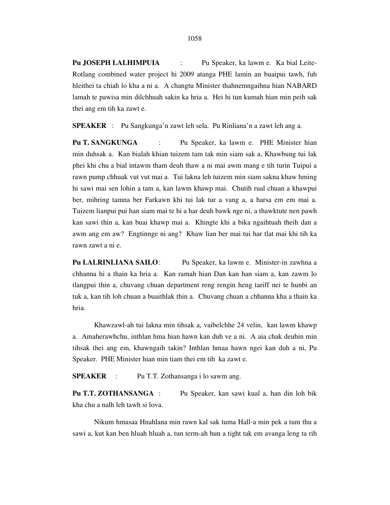**Pu JOSEPH LALHIMPUIA** : Pu Speaker, ka lawm e. Ka bial Leite-Rotlang combined water project hi 2009 atanga PHE lamin an buaipui tawh, fuh hleithei ta chiah lo kha a ni a. A changtu Minister thahnemngaihna hian NABARD lamah te pawisa min dilchhuah sakin ka hria a. Hei hi tun kumah hian min peih sak thei ang em tih ka zawt e.

**SPEAKER** : Pu Sangkunga'n zawt leh sela. Pu Rinliana'n a zawt leh ang a.

**Pu T. SANGKUNGA** : Pu Speaker, ka lawm e. PHE Minister hian min duhsak a. Kan bialah khian tuizem tam tak min siam sak a, Khawbung tui lak phei khi chu a bial intawm tham deuh thaw a ni mai awm mang e tih turin Tuipui a rawn pump chhuak vut vut mai a. Tui lakna leh tuizem min siam sakna khaw hming hi sawi mai sen lohin a tam a, kan lawm khawp mai. Chutih rual chuan a khawpui ber, mihring tamna ber Farkawn khi tui lak tur a vang a, a harsa em em mai a. Tuizem lianpui pui han siam mai te hi a har deuh bawk nge ni, a thawktute nen pawh kan sawi thin a, kan buai khawp mai a. Khingte khi a bika ngaihtuah theih dan a awm ang em aw? Engtinnge ni ang? Khaw lian ber mai tui har tlat mai khi tih ka rawn zawt a ni e.

**Pu LALRINLIANA SAILO**: Pu Speaker, ka lawm e. Minister-in zawhna a chhanna hi a thain ka hria a. Kan ramah hian Dan kan han siam a, kan zawm lo tlangpui thin a, chuvang chuan department reng rengin heng tariff nei te hunbi an tuk a, kan tih loh chuan a buaithlak thin a. Chuvang chuan a chhanna kha a thain ka hria.

 Khawzawl-ah tui lakna min tihsak a, vaibelchhe 24 velin, kan lawm khawp a. Amaherawhchu, inthlan hma hian hawn kan duh ve a ni. A aia chak deuhin min tihsak thei ang em, khawngaih takin? Inthlan hmaa hawn ngei kan duh a ni, Pu Speaker. PHE Minister hian min tiam thei em tih ka zawt e.

**SPEAKER** : Pu T.T. Zothansanga i lo sawm ang.

**Pu T.T. ZOTHANSANGA** : Pu Speaker, kan sawi kual a, han din loh bik kha chu a nalh leh tawh si lova.

 Nikum hmasaa Hnahlana min rawn kal sak tuma Hall-a min pek a tum thu a sawi a, kut kan ben hluah hluah a, tun term-ah hun a tight tak em avanga leng ta rih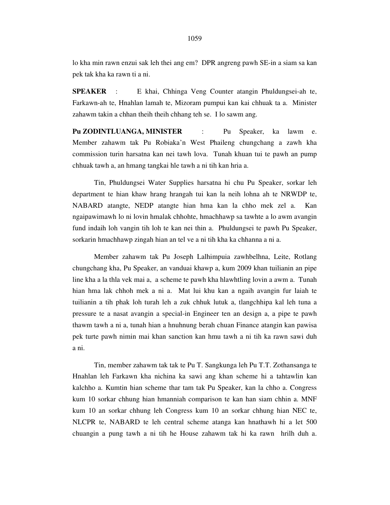lo kha min rawn enzui sak leh thei ang em? DPR angreng pawh SE-in a siam sa kan pek tak kha ka rawn ti a ni.

**SPEAKER** : E khai, Chhinga Veng Counter atangin Phuldungsei-ah te, Farkawn-ah te, Hnahlan lamah te, Mizoram pumpui kan kai chhuak ta a. Minister zahawm takin a chhan theih theih chhang teh se. I lo sawm ang.

**Pu ZODINTLUANGA, MINISTER** : Pu Speaker, ka lawm e. Member zahawm tak Pu Robiaka'n West Phaileng chungchang a zawh kha commission turin harsatna kan nei tawh lova. Tunah khuan tui te pawh an pump chhuak tawh a, an hmang tangkai hle tawh a ni tih kan hria a.

 Tin, Phuldungsei Water Supplies harsatna hi chu Pu Speaker, sorkar leh department te hian khaw hrang hrangah tui kan la neih lohna ah te NRWDP te, NABARD atangte, NEDP atangte hian hma kan la chho mek zel a. Kan ngaipawimawh lo ni lovin hmalak chhohte, hmachhawp sa tawhte a lo awm avangin fund indaih loh vangin tih loh te kan nei thin a. Phuldungsei te pawh Pu Speaker, sorkarin hmachhawp zingah hian an tel ve a ni tih kha ka chhanna a ni a.

 Member zahawm tak Pu Joseph Lalhimpuia zawhbelhna, Leite, Rotlang chungchang kha, Pu Speaker, an vanduai khawp a, kum 2009 khan tuilianin an pipe line kha a la thla vek mai a, a scheme te pawh kha hlawhtling lovin a awm a. Tunah hian hma lak chhoh mek a ni a. Mat lui khu kan a ngaih avangin fur laiah te tuilianin a tih phak loh turah leh a zuk chhuk lutuk a, tlangchhipa kal leh tuna a pressure te a nasat avangin a special-in Engineer ten an design a, a pipe te pawh thawm tawh a ni a, tunah hian a hnuhnung berah chuan Finance atangin kan pawisa pek turte pawh nimin mai khan sanction kan hmu tawh a ni tih ka rawn sawi duh a ni.

 Tin, member zahawm tak tak te Pu T. Sangkunga leh Pu T.T. Zothansanga te Hnahlan leh Farkawn kha nichina ka sawi ang khan scheme hi a tahtawlin kan kalchho a. Kumtin hian scheme thar tam tak Pu Speaker, kan la chho a. Congress kum 10 sorkar chhung hian hmanniah comparison te kan han siam chhin a. MNF kum 10 an sorkar chhung leh Congress kum 10 an sorkar chhung hian NEC te, NLCPR te, NABARD te leh central scheme atanga kan hnathawh hi a let 500 chuangin a pung tawh a ni tih he House zahawm tak hi ka rawn hrilh duh a.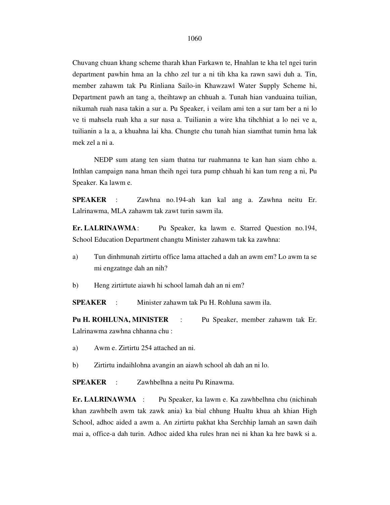Chuvang chuan khang scheme tharah khan Farkawn te, Hnahlan te kha tel ngei turin department pawhin hma an la chho zel tur a ni tih kha ka rawn sawi duh a. Tin, member zahawm tak Pu Rinliana Sailo-in Khawzawl Water Supply Scheme hi, Department pawh an tang a, theihtawp an chhuah a. Tunah hian vanduaina tuilian, nikumah ruah nasa takin a sur a. Pu Speaker, i veilam ami ten a sur tam ber a ni lo ve ti mahsela ruah kha a sur nasa a. Tuilianin a wire kha tihchhiat a lo nei ve a, tuilianin a la a, a khuahna lai kha. Chungte chu tunah hian siamthat tumin hma lak mek zel a ni a.

 NEDP sum atang ten siam thatna tur ruahmanna te kan han siam chho a. Inthlan campaign nana hman theih ngei tura pump chhuah hi kan tum reng a ni, Pu Speaker. Ka lawm e.

**SPEAKER** : Zawhna no.194-ah kan kal ang a. Zawhna neitu Er. Lalrinawma, MLA zahawm tak zawt turin sawm ila.

**Er. LALRINAWMA** : Pu Speaker, ka lawm e. Starred Question no.194, School Education Department changtu Minister zahawm tak ka zawhna:

- a) Tun dinhmunah zirtirtu office lama attached a dah an awm em? Lo awm ta se mi engzatnge dah an nih?
- b) Heng zirtirtute aiawh hi school lamah dah an ni em?

**SPEAKER** : Minister zahawm tak Pu H. Rohluna sawm ila.

**Pu H. ROHLUNA, MINISTER** : Pu Speaker, member zahawm tak Er. Lalrinawma zawhna chhanna chu :

- a) Awm e. Zirtirtu 254 attached an ni.
- b) Zirtirtu indaihlohna avangin an aiawh school ah dah an ni lo.

**SPEAKER** : Zawhbelhna a neitu Pu Rinawma.

**Er. LALRINAWMA** : Pu Speaker, ka lawm e. Ka zawhbelhna chu (nichinah khan zawhbelh awm tak zawk ania) ka bial chhung Hualtu khua ah khian High School, adhoc aided a awm a. An zirtirtu pakhat kha Serchhip lamah an sawn daih mai a, office-a dah turin. Adhoc aided kha rules hran nei ni khan ka hre bawk si a.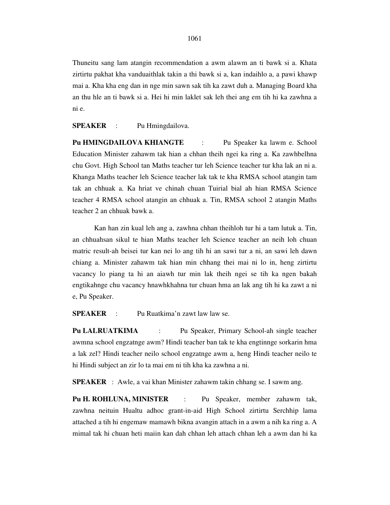Thuneitu sang lam atangin recommendation a awm alawm an ti bawk si a. Khata zirtirtu pakhat kha vanduaithlak takin a thi bawk si a, kan indaihlo a, a pawi khawp mai a. Kha kha eng dan in nge min sawn sak tih ka zawt duh a. Managing Board kha an thu hle an ti bawk si a. Hei hi min laklet sak leh thei ang em tih hi ka zawhna a ni e.

**SPEAKER** : Pu Hmingdailova.

**Pu HMINGDAILOVA KHIANGTE** : Pu Speaker ka lawm e. School Education Minister zahawm tak hian a chhan theih ngei ka ring a. Ka zawhbelhna chu Govt. High School tan Maths teacher tur leh Science teacher tur kha lak an ni a. Khanga Maths teacher leh Science teacher lak tak te kha RMSA school atangin tam tak an chhuak a. Ka hriat ve chinah chuan Tuirial bial ah hian RMSA Science teacher 4 RMSA school atangin an chhuak a. Tin, RMSA school 2 atangin Maths teacher 2 an chhuak bawk a.

 Kan han zin kual leh ang a, zawhna chhan theihloh tur hi a tam lutuk a. Tin, an chhuahsan sikul te hian Maths teacher leh Science teacher an neih loh chuan matric result-ah beisei tur kan nei lo ang tih hi an sawi tur a ni, an sawi leh dawn chiang a. Minister zahawm tak hian min chhang thei mai ni lo in, heng zirtirtu vacancy lo piang ta hi an aiawh tur min lak theih ngei se tih ka ngen bakah engtikahnge chu vacancy hnawhkhahna tur chuan hma an lak ang tih hi ka zawt a ni e, Pu Speaker.

**SPEAKER** : Pu Ruatkima'n zawt law law se.

**Pu LALRUATKIMA** : Pu Speaker, Primary School-ah single teacher awmna school engzatnge awm? Hindi teacher ban tak te kha engtinnge sorkarin hma a lak zel? Hindi teacher neilo school engzatnge awm a, heng Hindi teacher neilo te hi Hindi subject an zir lo ta mai em ni tih kha ka zawhna a ni.

**SPEAKER** : Awle, a vai khan Minister zahawm takin chhang se. I sawm ang.

**Pu H. ROHLUNA, MINISTER** : Pu Speaker, member zahawm tak, zawhna neituin Hualtu adhoc grant-in-aid High School zirtirtu Serchhip lama attached a tih hi engemaw mamawh bikna avangin attach in a awm a nih ka ring a. A mimal tak hi chuan heti maiin kan dah chhan leh attach chhan leh a awm dan hi ka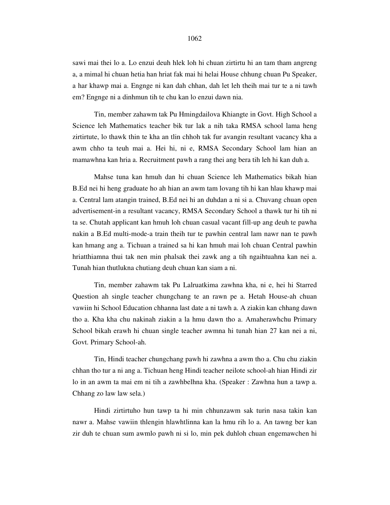sawi mai thei lo a. Lo enzui deuh hlek loh hi chuan zirtirtu hi an tam tham angreng a, a mimal hi chuan hetia han hriat fak mai hi helai House chhung chuan Pu Speaker, a har khawp mai a. Engnge ni kan dah chhan, dah let leh theih mai tur te a ni tawh em? Engnge ni a dinhmun tih te chu kan lo enzui dawn nia.

 Tin, member zahawm tak Pu Hmingdailova Khiangte in Govt. High School a Science leh Mathematics teacher bik tur lak a nih taka RMSA school lama heng zirtirtute, lo thawk thin te kha an tlin chhoh tak fur avangin resultant vacancy kha a awm chho ta teuh mai a. Hei hi, ni e, RMSA Secondary School lam hian an mamawhna kan hria a. Recruitment pawh a rang thei ang bera tih leh hi kan duh a.

 Mahse tuna kan hmuh dan hi chuan Science leh Mathematics bikah hian B.Ed nei hi heng graduate ho ah hian an awm tam lovang tih hi kan hlau khawp mai a. Central lam atangin trained, B.Ed nei hi an duhdan a ni si a. Chuvang chuan open advertisement-in a resultant vacancy, RMSA Secondary School a thawk tur hi tih ni ta se. Chutah applicant kan hmuh loh chuan casual vacant fill-up ang deuh te pawha nakin a B.Ed multi-mode-a train theih tur te pawhin central lam nawr nan te pawh kan hmang ang a. Tichuan a trained sa hi kan hmuh mai loh chuan Central pawhin hriatthiamna thui tak nen min phalsak thei zawk ang a tih ngaihtuahna kan nei a. Tunah hian thutlukna chutiang deuh chuan kan siam a ni.

 Tin, member zahawm tak Pu Lalruatkima zawhna kha, ni e, hei hi Starred Question ah single teacher chungchang te an rawn pe a. Hetah House-ah chuan vawiin hi School Education chhanna last date a ni tawh a. A ziakin kan chhang dawn tho a. Kha kha chu nakinah ziakin a la hmu dawn tho a. Amaherawhchu Primary School bikah erawh hi chuan single teacher awmna hi tunah hian 27 kan nei a ni, Govt. Primary School-ah.

 Tin, Hindi teacher chungchang pawh hi zawhna a awm tho a. Chu chu ziakin chhan tho tur a ni ang a. Tichuan heng Hindi teacher neilote school-ah hian Hindi zir lo in an awm ta mai em ni tih a zawhbelhna kha. (Speaker : Zawhna hun a tawp a. Chhang zo law law sela.)

 Hindi zirtirtuho hun tawp ta hi min chhunzawm sak turin nasa takin kan nawr a. Mahse vawiin thlengin hlawhtlinna kan la hmu rih lo a. An tawng ber kan zir duh te chuan sum awmlo pawh ni si lo, min pek duhloh chuan engemawchen hi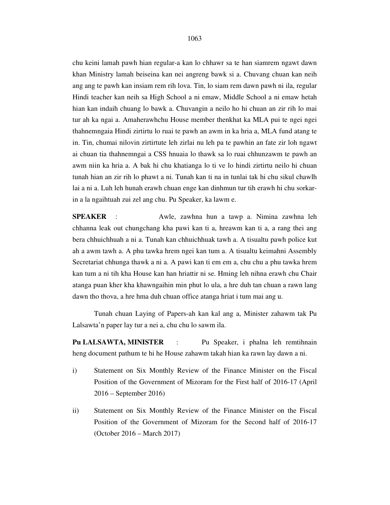1063

chu keini lamah pawh hian regular-a kan lo chhawr sa te han siamrem ngawt dawn khan Ministry lamah beiseina kan nei angreng bawk si a. Chuvang chuan kan neih ang ang te pawh kan insiam rem rih lova. Tin, lo siam rem dawn pawh ni ila, regular Hindi teacher kan neih sa High School a ni emaw, Middle School a ni emaw hetah hian kan indaih chuang lo bawk a. Chuvangin a neilo ho hi chuan an zir rih lo mai tur ah ka ngai a. Amaherawhchu House member thenkhat ka MLA pui te ngei ngei thahnemngaia Hindi zirtirtu lo ruai te pawh an awm in ka hria a, MLA fund atang te in. Tin, chumai nilovin zirtirtute leh zirlai nu leh pa te pawhin an fate zir loh ngawt ai chuan tia thahnemngai a CSS hnuaia lo thawk sa lo ruai chhunzawm te pawh an awm niin ka hria a. A bak hi chu khatianga lo ti ve lo hindi zirtirtu neilo hi chuan tunah hian an zir rih lo phawt a ni. Tunah kan ti na in tunlai tak hi chu sikul chawlh lai a ni a. Luh leh hunah erawh chuan enge kan dinhmun tur tih erawh hi chu sorkarin a la ngaihtuah zui zel ang chu. Pu Speaker, ka lawm e.

**SPEAKER** : Awle, zawhna hun a tawp a. Nimina zawhna leh chhanna leak out chungchang kha pawi kan ti a, hreawm kan ti a, a rang thei ang bera chhuichhuah a ni a. Tunah kan chhuichhuak tawh a. A tisualtu pawh police kut ah a awm tawh a. A phu tawka hrem ngei kan tum a. A tisualtu keimahni Assembly Secretariat chhunga thawk a ni a. A pawi kan ti em em a, chu chu a phu tawka hrem kan tum a ni tih kha House kan han hriattir ni se. Hming leh nihna erawh chu Chair atanga puan kher kha khawngaihin min phut lo ula, a hre duh tan chuan a rawn lang dawn tho thova, a hre hma duh chuan office atanga hriat i tum mai ang u.

 Tunah chuan Laying of Papers-ah kan kal ang a, Minister zahawm tak Pu Lalsawta'n paper lay tur a nei a, chu chu lo sawm ila.

**Pu LALSAWTA, MINISTER** : Pu Speaker, i phalna leh remtihnain heng document pathum te hi he House zahawm takah hian ka rawn lay dawn a ni.

- i) Statement on Six Monthly Review of the Finance Minister on the Fiscal Position of the Government of Mizoram for the First half of 2016-17 (April 2016 – September 2016)
- ii) Statement on Six Monthly Review of the Finance Minister on the Fiscal Position of the Government of Mizoram for the Second half of 2016-17 (October 2016 – March 2017)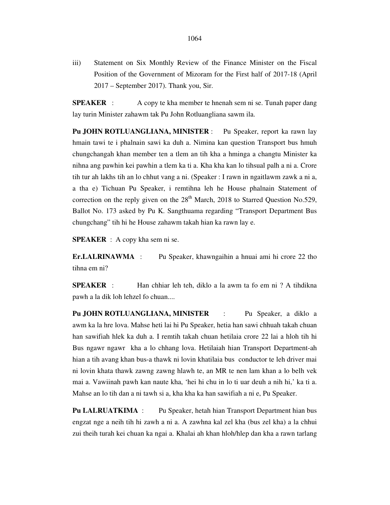iii) Statement on Six Monthly Review of the Finance Minister on the Fiscal Position of the Government of Mizoram for the First half of 2017-18 (April 2017 – September 2017). Thank you, Sir.

**SPEAKER** : A copy te kha member te hnenah sem ni se. Tunah paper dang lay turin Minister zahawm tak Pu John Rotluangliana sawm ila.

**Pu JOHN ROTLUANGLIANA, MINISTER** : Pu Speaker, report ka rawn lay hmain tawi te i phalnain sawi ka duh a. Nimina kan question Transport bus hmuh chungchangah khan member ten a tlem an tih kha a hminga a changtu Minister ka nihna ang pawhin kei pawhin a tlem ka ti a. Kha kha kan lo tihsual palh a ni a. Crore tih tur ah lakhs tih an lo chhut vang a ni. (Speaker : I rawn in ngaitlawm zawk a ni a, a tha e) Tichuan Pu Speaker, i remtihna leh he House phalnain Statement of correction on the reply given on the  $28<sup>th</sup>$  March, 2018 to Starred Question No.529, Ballot No. 173 asked by Pu K. Sangthuama regarding "Transport Department Bus chungchang" tih hi he House zahawm takah hian ka rawn lay e.

**SPEAKER** : A copy kha sem ni se.

**Er.LALRINAWMA** : Pu Speaker, khawngaihin a hnuai ami hi crore 22 tho tihna em ni?

**SPEAKER** : Han chhiar leh teh, diklo a la awm ta fo em ni ? A tihdikna pawh a la dik loh lehzel fo chuan....

**Pu JOHN ROTLUANGLIANA, MINISTER** : Pu Speaker, a diklo a awm ka la hre lova. Mahse heti lai hi Pu Speaker, hetia han sawi chhuah takah chuan han sawifiah hlek ka duh a. I remtih takah chuan hetilaia crore 22 lai a hloh tih hi Bus ngawr ngawr kha a lo chhang lova. Hetilaiah hian Transport Department-ah hian a tih avang khan bus-a thawk ni lovin khatilaia bus conductor te leh driver mai ni lovin khata thawk zawng zawng hlawh te, an MR te nen lam khan a lo belh vek mai a. Vawiinah pawh kan naute kha, 'hei hi chu in lo ti uar deuh a nih hi,' ka ti a. Mahse an lo tih dan a ni tawh si a, kha kha ka han sawifiah a ni e, Pu Speaker.

**Pu LALRUATKIMA** : Pu Speaker, hetah hian Transport Department hian bus engzat nge a neih tih hi zawh a ni a. A zawhna kal zel kha (bus zel kha) a la chhui zui theih turah kei chuan ka ngai a. Khalai ah khan hloh/hlep dan kha a rawn tarlang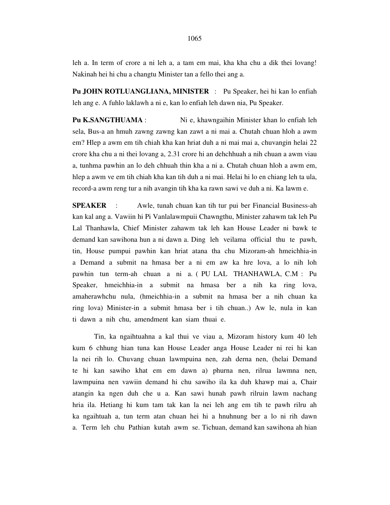leh a. In term of crore a ni leh a, a tam em mai, kha kha chu a dik thei lovang! Nakinah hei hi chu a changtu Minister tan a fello thei ang a.

**Pu JOHN ROTLUANGLIANA, MINISTER** : Pu Speaker, hei hi kan lo enfiah leh ang e. A fuhlo laklawh a ni e, kan lo enfiah leh dawn nia, Pu Speaker.

**Pu K.SANGTHUAMA** : Ni e, khawngaihin Minister khan lo enfiah leh sela, Bus-a an hmuh zawng zawng kan zawt a ni mai a. Chutah chuan hloh a awm em? Hlep a awm em tih chiah kha kan hriat duh a ni mai mai a, chuvangin helai 22 crore kha chu a ni thei lovang a, 2.31 crore hi an dehchhuah a nih chuan a awm viau a, tunhma pawhin an lo deh chhuah thin kha a ni a. Chutah chuan hloh a awm em, hlep a awm ve em tih chiah kha kan tih duh a ni mai. Helai hi lo en chiang leh ta ula, record-a awm reng tur a nih avangin tih kha ka rawn sawi ve duh a ni. Ka lawm e.

**SPEAKER** : Awle, tunah chuan kan tih tur pui ber Financial Business-ah kan kal ang a. Vawiin hi Pi Vanlalawmpuii Chawngthu, Minister zahawm tak leh Pu Lal Thanhawla, Chief Minister zahawm tak leh kan House Leader ni bawk te demand kan sawihona hun a ni dawn a. Ding leh veilama official thu te pawh, tin, House pumpui pawhin kan hriat atana tha chu Mizoram-ah hmeichhia-in a Demand a submit na hmasa ber a ni em aw ka hre lova, a lo nih loh pawhin tun term-ah chuan a ni a. ( PU LAL THANHAWLA, C.M : Pu Speaker, hmeichhia-in a submit na hmasa ber a nih ka ring lova, amaherawhchu nula, (hmeichhia-in a submit na hmasa ber a nih chuan ka ring lova) Minister-in a submit hmasa ber i tih chuan..) Aw le, nula in kan ti dawn a nih chu, amendment kan siam thuai e.

 Tin, ka ngaihtuahna a kal thui ve viau a, Mizoram history kum 40 leh kum 6 chhung hian tuna kan House Leader anga House Leader ni rei hi kan la nei rih lo. Chuvang chuan lawmpuina nen, zah derna nen, (helai Demand te hi kan sawiho khat em em dawn a) phurna nen, rilrua lawmna nen, lawmpuina nen vawiin demand hi chu sawiho ila ka duh khawp mai a, Chair atangin ka ngen duh che u a. Kan sawi hunah pawh rilruin lawm nachang hria ila. Hetiang hi kum tam tak kan la nei leh ang em tih te pawh rilru ah ka ngaihtuah a, tun term atan chuan hei hi a hnuhnung ber a lo ni rih dawn a. Term leh chu Pathian kutah awm se. Tichuan, demand kan sawihona ah hian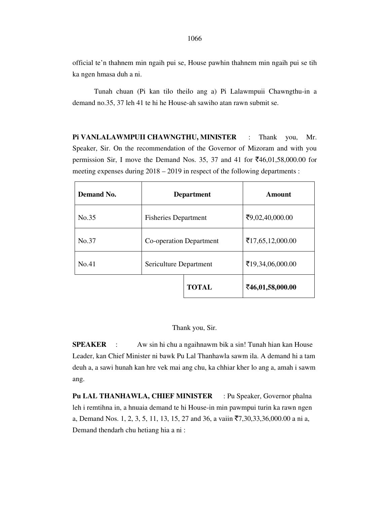official te'n thahnem min ngaih pui se, House pawhin thahnem min ngaih pui se tih ka ngen hmasa duh a ni.

 Tunah chuan (Pi kan tilo theilo ang a) Pi Lalawmpuii Chawngthu-in a demand no.35, 37 leh 41 te hi he House-ah sawiho atan rawn submit se.

**Pi VANLALAWMPUII CHAWNGTHU, MINISTER** : Thank you, Mr. Speaker, Sir. On the recommendation of the Governor of Mizoram and with you permission Sir, I move the Demand Nos. 35, 37 and 41 for  $\text{\textless}16,01,58,000.00$  for meeting expenses during 2018 – 2019 in respect of the following departments :

| Demand No. | <b>Department</b>           |              | Amount           |
|------------|-----------------------------|--------------|------------------|
| No.35      | <b>Fisheries Department</b> |              | ₹9,02,40,000.00  |
| No.37      | Co-operation Department     |              | ₹17,65,12,000.00 |
| No.41      | Sericulture Department      |              | ₹19,34,06,000.00 |
|            |                             | <b>TOTAL</b> | ₹46,01,58,000.00 |

Thank you, Sir.

**SPEAKER** : Aw sin hi chu a ngaihnawm bik a sin! Tunah hian kan House Leader, kan Chief Minister ni bawk Pu Lal Thanhawla sawm ila. A demand hi a tam deuh a, a sawi hunah kan hre vek mai ang chu, ka chhiar kher lo ang a, amah i sawm ang.

Pu LAL THANHAWLA, CHIEF MINISTER : Pu Speaker, Governor phalna leh i remtihna in, a hnuaia demand te hi House-in min pawmpui turin ka rawn ngen a, Demand Nos. 1, 2, 3, 5, 11, 13, 15, 27 and 36, a vaiin  $\overline{5}7,30,33,36,000.00$  a ni a, Demand thendarh chu hetiang hia a ni :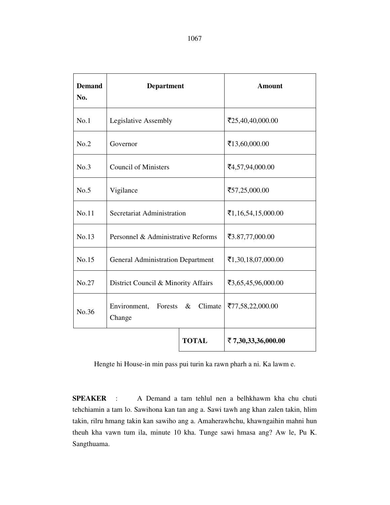| <b>Demand</b><br>No. | <b>Department</b>                                    |                 | <b>Amount</b>      |
|----------------------|------------------------------------------------------|-----------------|--------------------|
| No.1                 | Legislative Assembly                                 |                 | ₹25,40,40,000.00   |
| No.2                 | Governor                                             | ₹13,60,000.00   |                    |
| No.3                 | <b>Council of Ministers</b>                          |                 | ₹4,57,94,000.00    |
| No.5                 | Vigilance                                            | ₹57,25,000.00   |                    |
| No.11                | Secretariat Administration                           |                 | ₹1,16,54,15,000.00 |
| No.13                | Personnel & Administrative Reforms                   | ₹3.87,77,000.00 |                    |
| No.15                | <b>General Administration Department</b>             |                 | ₹1,30,18,07,000.00 |
| No.27                | District Council & Minority Affairs                  |                 | ₹3,65,45,96,000.00 |
| No.36                | Forests<br>Climate<br>Environment,<br>$\&$<br>Change |                 | ₹77,58,22,000.00   |
|                      |                                                      | <b>TOTAL</b>    | ₹7,30,33,36,000.00 |

Hengte hi House-in min pass pui turin ka rawn pharh a ni. Ka lawm e.

**SPEAKER** : A Demand a tam tehlul nen a belhkhawm kha chu chuti tehchiamin a tam lo. Sawihona kan tan ang a. Sawi tawh ang khan zalen takin, hlim takin, rilru hmang takin kan sawiho ang a. Amaherawhchu, khawngaihin mahni hun theuh kha vawn tum ila, minute 10 kha. Tunge sawi hmasa ang? Aw le, Pu K. Sangthuama.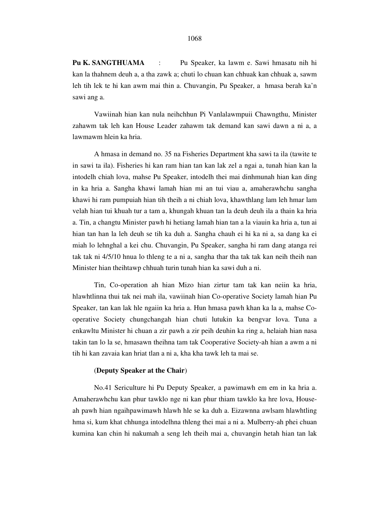#### 1068

**Pu K. SANGTHUAMA** : Pu Speaker, ka lawm e. Sawi hmasatu nih hi kan la thahnem deuh a, a tha zawk a; chuti lo chuan kan chhuak kan chhuak a, sawm leh tih lek te hi kan awm mai thin a. Chuvangin, Pu Speaker, a hmasa berah ka'n sawi ang a.

 Vawiinah hian kan nula neihchhun Pi Vanlalawmpuii Chawngthu, Minister zahawm tak leh kan House Leader zahawm tak demand kan sawi dawn a ni a, a lawmawm hlein ka hria.

 A hmasa in demand no. 35 na Fisheries Department kha sawi ta ila (tawite te in sawi ta ila). Fisheries hi kan ram hian tan kan lak zel a ngai a, tunah hian kan la intodelh chiah lova, mahse Pu Speaker, intodelh thei mai dinhmunah hian kan ding in ka hria a. Sangha khawi lamah hian mi an tui viau a, amaherawhchu sangha khawi hi ram pumpuiah hian tih theih a ni chiah lova, khawthlang lam leh hmar lam velah hian tui khuah tur a tam a, khungah khuan tan la deuh deuh ila a thain ka hria a. Tin, a changtu Minister pawh hi hetiang lamah hian tan a la viauin ka hria a, tun ai hian tan han la leh deuh se tih ka duh a. Sangha chauh ei hi ka ni a, sa dang ka ei miah lo lehnghal a kei chu. Chuvangin, Pu Speaker, sangha hi ram dang atanga rei tak tak ni 4/5/10 hnua lo thleng te a ni a, sangha thar tha tak tak kan neih theih nan Minister hian theihtawp chhuah turin tunah hian ka sawi duh a ni.

 Tin, Co-operation ah hian Mizo hian zirtur tam tak kan neiin ka hria, hlawhtlinna thui tak nei mah ila, vawiinah hian Co-operative Society lamah hian Pu Speaker, tan kan lak hle ngaiin ka hria a. Hun hmasa pawh khan ka la a, mahse Cooperative Society chungchangah hian chuti lutukin ka bengvar lova. Tuna a enkawltu Minister hi chuan a zir pawh a zir peih deuhin ka ring a, helaiah hian nasa takin tan lo la se, hmasawn theihna tam tak Cooperative Society-ah hian a awm a ni tih hi kan zavaia kan hriat tlan a ni a, kha kha tawk leh ta mai se.

#### (**Deputy Speaker at the Chair**)

 No.41 Sericulture hi Pu Deputy Speaker, a pawimawh em em in ka hria a. Amaherawhchu kan phur tawklo nge ni kan phur thiam tawklo ka hre lova, Houseah pawh hian ngaihpawimawh hlawh hle se ka duh a. Eizawnna awlsam hlawhtling hma si, kum khat chhunga intodelhna thleng thei mai a ni a. Mulberry-ah phei chuan kumina kan chin hi nakumah a seng leh theih mai a, chuvangin hetah hian tan lak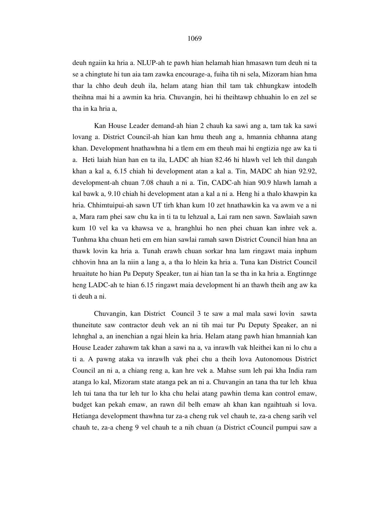deuh ngaiin ka hria a. NLUP-ah te pawh hian helamah hian hmasawn tum deuh ni ta se a chingtute hi tun aia tam zawka encourage-a, fuiha tih ni sela, Mizoram hian hma thar la chho deuh deuh ila, helam atang hian thil tam tak chhungkaw intodelh theihna mai hi a awmin ka hria. Chuvangin, hei hi theihtawp chhuahin lo en zel se tha in ka hria a,

 Kan House Leader demand-ah hian 2 chauh ka sawi ang a, tam tak ka sawi lovang a. District Council-ah hian kan hmu theuh ang a, hmannia chhanna atang khan. Development hnathawhna hi a tlem em em theuh mai hi engtizia nge aw ka ti a. Heti laiah hian han en ta ila, LADC ah hian 82.46 hi hlawh vel leh thil dangah khan a kal a, 6.15 chiah hi development atan a kal a. Tin, MADC ah hian 92.92, development-ah chuan 7.08 chauh a ni a. Tin, CADC-ah hian 90.9 hlawh lamah a kal bawk a, 9.10 chiah hi development atan a kal a ni a. Heng hi a thalo khawpin ka hria. Chhimtuipui-ah sawn UT tirh khan kum 10 zet hnathawkin ka va awm ve a ni a, Mara ram phei saw chu ka in ti ta tu lehzual a, Lai ram nen sawn. Sawlaiah sawn kum 10 vel ka va khawsa ve a, hranghlui ho nen phei chuan kan inhre vek a. Tunhma kha chuan heti em em hian sawlai ramah sawn District Council hian hna an thawk lovin ka hria a. Tunah erawh chuan sorkar hna lam ringawt maia inphum chhovin hna an la niin a lang a, a tha lo hlein ka hria a. Tuna kan District Council hruaitute ho hian Pu Deputy Speaker, tun ai hian tan la se tha in ka hria a. Engtinnge heng LADC-ah te hian 6.15 ringawt maia development hi an thawh theih ang aw ka ti deuh a ni.

 Chuvangin, kan District Council 3 te saw a mal mala sawi lovin sawta thuneitute saw contractor deuh vek an ni tih mai tur Pu Deputy Speaker, an ni lehnghal a, an inenchian a ngai hlein ka hria. Helam atang pawh hian hmanniah kan House Leader zahawm tak khan a sawi na a, va inrawlh vak hleithei kan ni lo chu a ti a. A pawng ataka va inrawlh vak phei chu a theih lova Autonomous District Council an ni a, a chiang reng a, kan hre vek a. Mahse sum leh pai kha India ram atanga lo kal, Mizoram state atanga pek an ni a. Chuvangin an tana tha tur leh khua leh tui tana tha tur leh tur lo kha chu helai atang pawhin tlema kan control emaw, budget kan pekah emaw, an rawn dil belh emaw ah khan kan ngaihtuah si lova. Hetianga development thawhna tur za-a cheng ruk vel chauh te, za-a cheng sarih vel chauh te, za-a cheng 9 vel chauh te a nih chuan (a District cCouncil pumpui saw a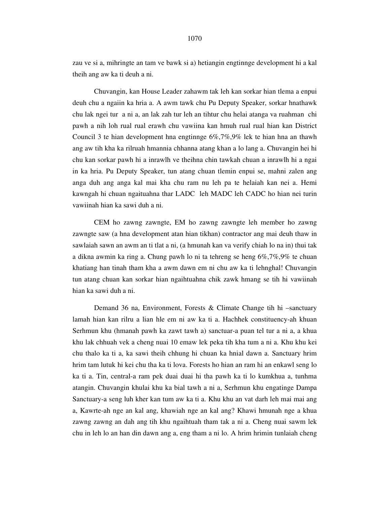zau ve si a, mihringte an tam ve bawk si a) hetiangin engtinnge development hi a kal theih ang aw ka ti deuh a ni.

 Chuvangin, kan House Leader zahawm tak leh kan sorkar hian tlema a enpui deuh chu a ngaiin ka hria a. A awm tawk chu Pu Deputy Speaker, sorkar hnathawk chu lak ngei tur a ni a, an lak zah tur leh an tihtur chu helai atanga va ruahman chi pawh a nih loh rual rual erawh chu vawiina kan hmuh rual rual hian kan District Council 3 te hian development hna engtinnge 6%,7%,9% lek te hian hna an thawh ang aw tih kha ka rilruah hmannia chhanna atang khan a lo lang a. Chuvangin hei hi chu kan sorkar pawh hi a inrawlh ve theihna chin tawkah chuan a inrawlh hi a ngai in ka hria. Pu Deputy Speaker, tun atang chuan tlemin enpui se, mahni zalen ang anga duh ang anga kal mai kha chu ram nu leh pa te helaiah kan nei a. Hemi kawngah hi chuan ngaituahna thar LADC leh MADC leh CADC ho hian nei turin vawiinah hian ka sawi duh a ni.

 CEM ho zawng zawngte, EM ho zawng zawngte leh member ho zawng zawngte saw (a hna development atan hian tikhan) contractor ang mai deuh thaw in sawlaiah sawn an awm an ti tlat a ni, (a hmunah kan va verify chiah lo na in) thui tak a dikna awmin ka ring a. Chung pawh lo ni ta tehreng se heng 6%,7%,9% te chuan khatiang han tinah tham kha a awm dawn em ni chu aw ka ti lehnghal! Chuvangin tun atang chuan kan sorkar hian ngaihtuahna chik zawk hmang se tih hi vawiinah hian ka sawi duh a ni.

 Demand 36 na, Environment, Forests & Climate Change tih hi –sanctuary lamah hian kan rilru a lian hle em ni aw ka ti a. Hachhek constituency-ah khuan Serhmun khu (hmanah pawh ka zawt tawh a) sanctuar-a puan tel tur a ni a, a khua khu lak chhuah vek a cheng nuai 10 emaw lek peka tih kha tum a ni a. Khu khu kei chu thalo ka ti a, ka sawi theih chhung hi chuan ka hnial dawn a. Sanctuary hrim hrim tam lutuk hi kei chu tha ka ti lova. Forests ho hian an ram hi an enkawl seng lo ka ti a. Tin, central-a ram pek duai duai hi tha pawh ka ti lo kumkhua a, tunhma atangin. Chuvangin khulai khu ka bial tawh a ni a, Serhmun khu engatinge Dampa Sanctuary-a seng luh kher kan tum aw ka ti a. Khu khu an vat darh leh mai mai ang a, Kawrte-ah nge an kal ang, khawiah nge an kal ang? Khawi hmunah nge a khua zawng zawng an dah ang tih khu ngaihtuah tham tak a ni a. Cheng nuai sawm lek chu in leh lo an han din dawn ang a, eng tham a ni lo. A hrim hrimin tunlaiah cheng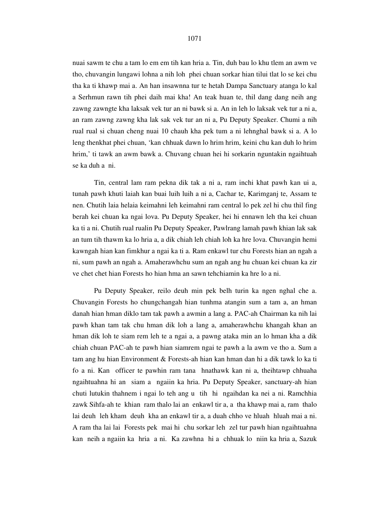nuai sawm te chu a tam lo em em tih kan hria a. Tin, duh bau lo khu tlem an awm ve tho, chuvangin lungawi lohna a nih loh phei chuan sorkar hian tilui tlat lo se kei chu tha ka ti khawp mai a. An han insawnna tur te hetah Dampa Sanctuary atanga lo kal a Serhmun rawn tih phei daih mai kha! An teak huan te, thil dang dang neih ang zawng zawngte kha laksak vek tur an ni bawk si a. An in leh lo laksak vek tur a ni a, an ram zawng zawng kha lak sak vek tur an ni a, Pu Deputy Speaker. Chumi a nih rual rual si chuan cheng nuai 10 chauh kha pek tum a ni lehnghal bawk si a. A lo leng thenkhat phei chuan, 'kan chhuak dawn lo hrim hrim, keini chu kan duh lo hrim hrim,' ti tawk an awm bawk a. Chuvang chuan hei hi sorkarin nguntakin ngaihtuah se ka duh a ni.

 Tin, central lam ram pekna dik tak a ni a, ram inchi khat pawh kan ui a, tunah pawh khuti laiah kan buai luih luih a ni a, Cachar te, Karimganj te, Assam te nen. Chutih laia helaia keimahni leh keimahni ram central lo pek zel hi chu thil fing berah kei chuan ka ngai lova. Pu Deputy Speaker, hei hi ennawn leh tha kei chuan ka ti a ni. Chutih rual rualin Pu Deputy Speaker, Pawlrang lamah pawh khian lak sak an tum tih thawm ka lo hria a, a dik chiah leh chiah loh ka hre lova. Chuvangin hemi kawngah hian kan fimkhur a ngai ka ti a. Ram enkawl tur chu Forests hian an ngah a ni, sum pawh an ngah a. Amaherawhchu sum an ngah ang hu chuan kei chuan ka zir ve chet chet hian Forests ho hian hma an sawn tehchiamin ka hre lo a ni.

 Pu Deputy Speaker, reilo deuh min pek belh turin ka ngen nghal che a. Chuvangin Forests ho chungchangah hian tunhma atangin sum a tam a, an hman danah hian hman diklo tam tak pawh a awmin a lang a. PAC-ah Chairman ka nih lai pawh khan tam tak chu hman dik loh a lang a, amaherawhchu khangah khan an hman dik loh te siam rem leh te a ngai a, a pawng ataka min an lo hman kha a dik chiah chuan PAC-ah te pawh hian siamrem ngai te pawh a la awm ve tho a. Sum a tam ang hu hian Environment & Forests-ah hian kan hman dan hi a dik tawk lo ka ti fo a ni. Kan officer te pawhin ram tana hnathawk kan ni a, theihtawp chhuaha ngaihtuahna hi an siam a ngaiin ka hria. Pu Deputy Speaker, sanctuary-ah hian chuti lutukin thahnem i ngai lo teh ang u tih hi ngaihdan ka nei a ni. Ramchhia zawk Sihfa-ah te khian ram thalo lai an enkawl tir a, a tha khawp mai a, ram thalo lai deuh leh kham deuh kha an enkawl tir a, a duah chho ve hluah hluah mai a ni. A ram tha lai lai Forests pek mai hi chu sorkar leh zel tur pawh hian ngaihtuahna kan neih a ngaiin ka hria a ni. Ka zawhna hi a chhuak lo niin ka hria a, Sazuk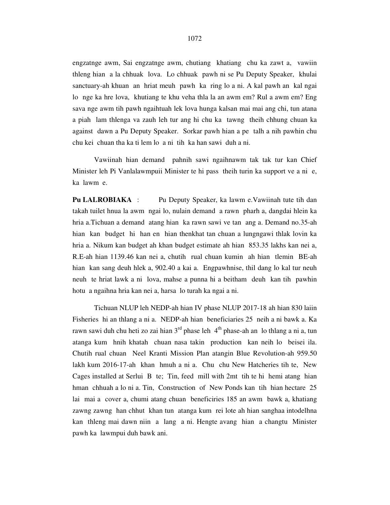engzatnge awm, Sai engzatnge awm, chutiang khatiang chu ka zawt a, vawiin thleng hian a la chhuak lova. Lo chhuak pawh ni se Pu Deputy Speaker, khulai sanctuary-ah khuan an hriat meuh pawh ka ring lo a ni. A kal pawh an kal ngai lo nge ka hre lova, khutiang te khu veha thla la an awm em? Rul a awm em? Eng sava nge awm tih pawh ngaihtuah lek lova hunga kalsan mai mai ang chi, tun atana a piah lam thlenga va zauh leh tur ang hi chu ka tawng theih chhung chuan ka against dawn a Pu Deputy Speaker. Sorkar pawh hian a pe talh a nih pawhin chu chu kei chuan tha ka ti lem lo a ni tih ka han sawi duh a ni.

 Vawiinah hian demand pahnih sawi ngaihnawm tak tak tur kan Chief Minister leh Pi Vanlalawmpuii Minister te hi pass theih turin ka support ve a ni e, ka lawm e.

**Pu LALROBIAKA** : Pu Deputy Speaker, ka lawm e.Vawiinah tute tih dan takah tuilet hnua la awm ngai lo, nulain demand a rawn pharh a, dangdai hlein ka hria a.Tichuan a demand atang hian ka rawn sawi ve tan ang a. Demand no.35-ah hian kan budget hi han en hian thenkhat tan chuan a lungngawi thlak lovin ka hria a. Nikum kan budget ah khan budget estimate ah hian 853.35 lakhs kan nei a, R.E-ah hian 1139.46 kan nei a, chutih rual chuan kumin ah hian tlemin BE-ah hian kan sang deuh hlek a, 902.40 a kai a. Engpawhnise, thil dang lo kal tur neuh neuh te hriat lawk a ni lova, mahse a punna hi a beitham deuh kan tih pawhin hotu a ngaihna hria kan nei a, harsa lo turah ka ngai a ni.

 Tichuan NLUP leh NEDP-ah hian IV phase NLUP 2017-18 ah hian 830 laiin Fisheries hi an thlang a ni a. NEDP-ah hian beneficiaries 25 neih a ni bawk a. Ka rawn sawi duh chu heti zo zai hian  $3<sup>rd</sup>$  phase leh  $4<sup>th</sup>$  phase-ah an lo thlang a ni a, tun atanga kum hnih khatah chuan nasa takin production kan neih lo beisei ila. Chutih rual chuan Neel Kranti Mission Plan atangin Blue Revolution-ah 959.50 lakh kum 2016-17-ah khan hmuh a ni a. Chu chu New Hatcheries tih te, New Cages installed at Serlui B te; Tin, feed mill with 2mt tih te hi hemi atang hian hman chhuah a lo ni a. Tin, Construction of New Ponds kan tih hian hectare 25 lai mai a cover a, chumi atang chuan beneficiries 185 an awm bawk a, khatiang zawng zawng han chhut khan tun atanga kum rei lote ah hian sanghaa intodelhna kan thleng mai dawn niin a lang a ni. Hengte avang hian a changtu Minister pawh ka lawmpui duh bawk ani.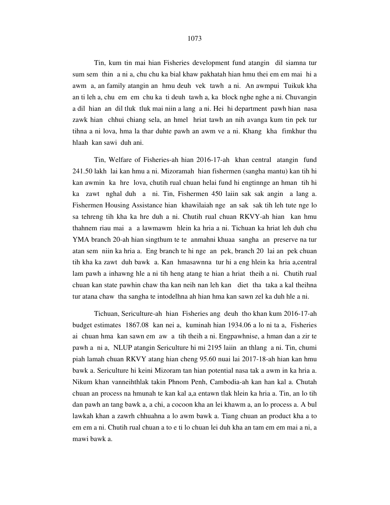Tin, kum tin mai hian Fisheries development fund atangin dil siamna tur sum sem thin a ni a, chu chu ka bial khaw pakhatah hian hmu thei em em mai hi a awm a, an family atangin an hmu deuh vek tawh a ni. An awmpui Tuikuk kha an ti leh a, chu em em chu ka ti deuh tawh a, ka block nghe nghe a ni. Chuvangin a dil hian an dil tluk tluk mai niin a lang a ni. Hei hi department pawh hian nasa zawk hian chhui chiang sela, an hmel hriat tawh an nih avanga kum tin pek tur tihna a ni lova, hma la thar duhte pawh an awm ve a ni. Khang kha fimkhur thu hlaah kan sawi duh ani.

 Tin, Welfare of Fisheries-ah hian 2016-17-ah khan central atangin fund 241.50 lakh lai kan hmu a ni. Mizoramah hian fishermen (sangha mantu) kan tih hi kan awmin ka hre lova, chutih rual chuan helai fund hi engtinnge an hman tih hi ka zawt nghal duh a ni. Tin, Fishermen 450 laiin sak sak angin a lang a. Fishermen Housing Assistance hian khawilaiah nge an sak sak tih leh tute nge lo sa tehreng tih kha ka hre duh a ni. Chutih rual chuan RKVY-ah hian kan hmu thahnem riau mai a a lawmawm hlein ka hria a ni. Tichuan ka hriat leh duh chu YMA branch 20-ah hian singthum te te anmahni khuaa sangha an preserve na tur atan sem niin ka hria a. Eng branch te hi nge an pek, branch 20 lai an pek chuan tih kha ka zawt duh bawk a. Kan hmasawnna tur hi a eng hlein ka hria a,central lam pawh a inhawng hle a ni tih heng atang te hian a hriat theih a ni. Chutih rual chuan kan state pawhin chaw tha kan neih nan leh kan diet tha taka a kal theihna tur atana chaw tha sangha te intodelhna ah hian hma kan sawn zel ka duh hle a ni.

 Tichuan, Sericulture-ah hian Fisheries ang deuh tho khan kum 2016-17-ah budget estimates 1867.08 kan nei a, kuminah hian 1934.06 a lo ni ta a, Fisheries ai chuan hma kan sawn em aw a tih theih a ni. Engpawhnise, a hman dan a zir te pawh a ni a, NLUP atangin Sericulture hi mi 2195 laiin an thlang a ni. Tin, chumi piah lamah chuan RKVY atang hian cheng 95.60 nuai lai 2017-18-ah hian kan hmu bawk a. Sericulture hi keini Mizoram tan hian potential nasa tak a awm in ka hria a. Nikum khan vanneihthlak takin Phnom Penh, Cambodia-ah kan han kal a. Chutah chuan an process na hmunah te kan kal a,a entawn tlak hlein ka hria a. Tin, an lo tih dan pawh an tang bawk a, a chi, a cocoon kha an lei khawm a, an lo process a. A bul lawkah khan a zawrh chhuahna a lo awm bawk a. Tiang chuan an product kha a to em em a ni. Chutih rual chuan a to e ti lo chuan lei duh kha an tam em em mai a ni, a mawi bawk a.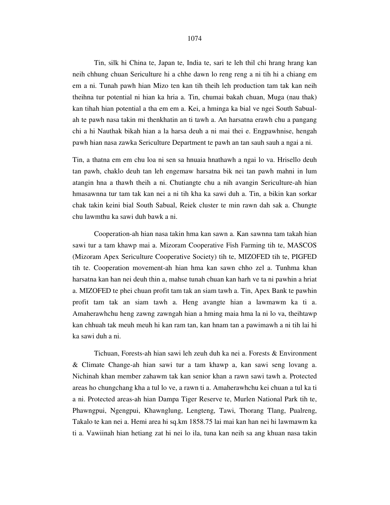#### 1074

 Tin, silk hi China te, Japan te, India te, sari te leh thil chi hrang hrang kan neih chhung chuan Sericulture hi a chhe dawn lo reng reng a ni tih hi a chiang em em a ni. Tunah pawh hian Mizo ten kan tih theih leh production tam tak kan neih theihna tur potential ni hian ka hria a. Tin, chumai bakah chuan, Muga (nau thak) kan tihah hian potential a tha em em a. Kei, a hminga ka bial ve ngei South Sabualah te pawh nasa takin mi thenkhatin an ti tawh a. An harsatna erawh chu a pangang chi a hi Nauthak bikah hian a la harsa deuh a ni mai thei e. Engpawhnise, hengah pawh hian nasa zawka Sericulture Department te pawh an tan sauh sauh a ngai a ni.

Tin, a thatna em em chu loa ni sen sa hnuaia hnathawh a ngai lo va. Hrisello deuh tan pawh, chaklo deuh tan leh engemaw harsatna bik nei tan pawh mahni in lum atangin hna a thawh theih a ni. Chutiangte chu a nih avangin Sericulture-ah hian hmasawnna tur tam tak kan nei a ni tih kha ka sawi duh a. Tin, a bikin kan sorkar chak takin keini bial South Sabual, Reiek cluster te min rawn dah sak a. Chungte chu lawmthu ka sawi duh bawk a ni.

 Cooperation-ah hian nasa takin hma kan sawn a. Kan sawnna tam takah hian sawi tur a tam khawp mai a. Mizoram Cooperative Fish Farming tih te, MASCOS (Mizoram Apex Sericulture Cooperative Society) tih te, MIZOFED tih te, PIGFED tih te. Cooperation movement-ah hian hma kan sawn chho zel a. Tunhma khan harsatna kan han nei deuh thin a, mahse tunah chuan kan harh ve ta ni pawhin a hriat a. MIZOFED te phei chuan profit tam tak an siam tawh a. Tin, Apex Bank te pawhin profit tam tak an siam tawh a. Heng avangte hian a lawmawm ka ti a. Amaherawhchu heng zawng zawngah hian a hming maia hma la ni lo va, theihtawp kan chhuah tak meuh meuh hi kan ram tan, kan hnam tan a pawimawh a ni tih lai hi ka sawi duh a ni.

 Tichuan, Forests-ah hian sawi leh zeuh duh ka nei a. Forests & Environment & Climate Change-ah hian sawi tur a tam khawp a, kan sawi seng lovang a. Nichinah khan member zahawm tak kan senior khan a rawn sawi tawh a. Protected areas ho chungchang kha a tul lo ve, a rawn ti a. Amaherawhchu kei chuan a tul ka ti a ni. Protected areas-ah hian Dampa Tiger Reserve te, Murlen National Park tih te, Phawngpui, Ngengpui, Khawnglung, Lengteng, Tawi, Thorang Tlang, Pualreng, Takalo te kan nei a. Hemi area hi sq.km 1858.75 lai mai kan han nei hi lawmawm ka ti a. Vawiinah hian hetiang zat hi nei lo ila, tuna kan neih sa ang khuan nasa takin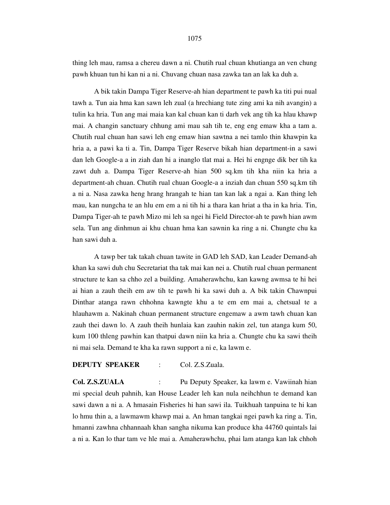thing leh mau, ramsa a chereu dawn a ni. Chutih rual chuan khutianga an ven chung pawh khuan tun hi kan ni a ni. Chuvang chuan nasa zawka tan an lak ka duh a.

 A bik takin Dampa Tiger Reserve-ah hian department te pawh ka titi pui nual tawh a. Tun aia hma kan sawn leh zual (a hrechiang tute zing ami ka nih avangin) a tulin ka hria. Tun ang mai maia kan kal chuan kan ti darh vek ang tih ka hlau khawp mai. A changin sanctuary chhung ami mau sah tih te, eng eng emaw kha a tam a. Chutih rual chuan han sawi leh eng emaw hian sawtna a nei tamlo thin khawpin ka hria a, a pawi ka ti a. Tin, Dampa Tiger Reserve bikah hian department-in a sawi dan leh Google-a a in ziah dan hi a inanglo tlat mai a. Hei hi engnge dik ber tih ka zawt duh a. Dampa Tiger Reserve-ah hian 500 sq.km tih kha niin ka hria a department-ah chuan. Chutih rual chuan Google-a a inziah dan chuan 550 sq.km tih a ni a. Nasa zawka heng hrang hrangah te hian tan kan lak a ngai a. Kan thing leh mau, kan nungcha te an hlu em em a ni tih hi a thara kan hriat a tha in ka hria. Tin, Dampa Tiger-ah te pawh Mizo mi leh sa ngei hi Field Director-ah te pawh hian awm sela. Tun ang dinhmun ai khu chuan hma kan sawnin ka ring a ni. Chungte chu ka han sawi duh a.

 A tawp ber tak takah chuan tawite in GAD leh SAD, kan Leader Demand-ah khan ka sawi duh chu Secretariat tha tak mai kan nei a. Chutih rual chuan permanent structure te kan sa chho zel a building. Amaherawhchu, kan kawng awmsa te hi hei ai hian a zauh theih em aw tih te pawh hi ka sawi duh a. A bik takin Chawnpui Dinthar atanga rawn chhohna kawngte khu a te em em mai a, chetsual te a hlauhawm a. Nakinah chuan permanent structure engemaw a awm tawh chuan kan zauh thei dawn lo. A zauh theih hunlaia kan zauhin nakin zel, tun atanga kum 50, kum 100 thleng pawhin kan thatpui dawn niin ka hria a. Chungte chu ka sawi theih ni mai sela. Demand te kha ka rawn support a ni e, ka lawm e.

# **DEPUTY SPEAKER** : Col. Z.S.Zuala.

**Col. Z.S.ZUALA** : Pu Deputy Speaker, ka lawm e. Vawiinah hian mi special deuh pahnih, kan House Leader leh kan nula neihchhun te demand kan sawi dawn a ni a. A hmasain Fisheries hi han sawi ila. Tuikhuah tanpuina te hi kan lo hmu thin a, a lawmawm khawp mai a. An hman tangkai ngei pawh ka ring a. Tin, hmanni zawhna chhannaah khan sangha nikuma kan produce kha 44760 quintals lai a ni a. Kan lo thar tam ve hle mai a. Amaherawhchu, phai lam atanga kan lak chhoh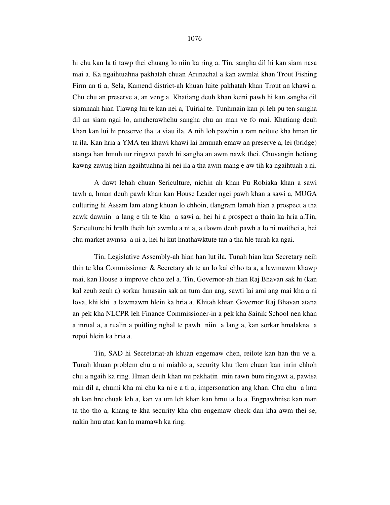hi chu kan la ti tawp thei chuang lo niin ka ring a. Tin, sangha dil hi kan siam nasa mai a. Ka ngaihtuahna pakhatah chuan Arunachal a kan awmlai khan Trout Fishing Firm an ti a, Sela, Kamend district-ah khuan luite pakhatah khan Trout an khawi a. Chu chu an preserve a, an veng a. Khatiang deuh khan keini pawh hi kan sangha dil siamnaah hian Tlawng lui te kan nei a, Tuirial te. Tunhmain kan pi leh pu ten sangha dil an siam ngai lo, amaherawhchu sangha chu an man ve fo mai. Khatiang deuh khan kan lui hi preserve tha ta viau ila. A nih loh pawhin a ram neitute kha hman tir ta ila. Kan hria a YMA ten khawi khawi lai hmunah emaw an preserve a, lei (bridge) atanga han hmuh tur ringawt pawh hi sangha an awm nawk thei. Chuvangin hetiang kawng zawng hian ngaihtuahna hi nei ila a tha awm mang e aw tih ka ngaihtuah a ni.

 A dawt lehah chuan Sericulture, nichin ah khan Pu Robiaka khan a sawi tawh a, hman deuh pawh khan kan House Leader ngei pawh khan a sawi a, MUGA culturing hi Assam lam atang khuan lo chhoin, tlangram lamah hian a prospect a tha zawk dawnin a lang e tih te kha a sawi a, hei hi a prospect a thain ka hria a.Tin, Sericulture hi hralh theih loh awmlo a ni a, a tlawm deuh pawh a lo ni maithei a, hei chu market awmsa a ni a, hei hi kut hnathawktute tan a tha hle turah ka ngai.

 Tin, Legislative Assembly-ah hian han lut ila. Tunah hian kan Secretary neih thin te kha Commissioner & Secretary ah te an lo kai chho ta a, a lawmawm khawp mai, kan House a improve chho zel a. Tin, Governor-ah hian Raj Bhavan sak hi (kan kal zeuh zeuh a) sorkar hmasain sak an tum dan ang, sawti lai ami ang mai kha a ni lova, khi khi a lawmawm hlein ka hria a. Khitah khian Governor Raj Bhavan atana an pek kha NLCPR leh Finance Commissioner-in a pek kha Sainik School nen khan a inrual a, a rualin a puitling nghal te pawh niin a lang a, kan sorkar hmalakna a ropui hlein ka hria a.

 Tin, SAD hi Secretariat-ah khuan engemaw chen, reilote kan han thu ve a. Tunah khuan problem chu a ni miahlo a, security khu tlem chuan kan inrin chhoh chu a ngaih ka ring. Hman deuh khan mi pakhatin min rawn bum ringawt a, pawisa min dil a, chumi kha mi chu ka ni e a ti a, impersonation ang khan. Chu chu a hnu ah kan hre chuak leh a, kan va um leh khan kan hmu ta lo a. Engpawhnise kan man ta tho tho a, khang te kha security kha chu engemaw check dan kha awm thei se, nakin hnu atan kan la mamawh ka ring.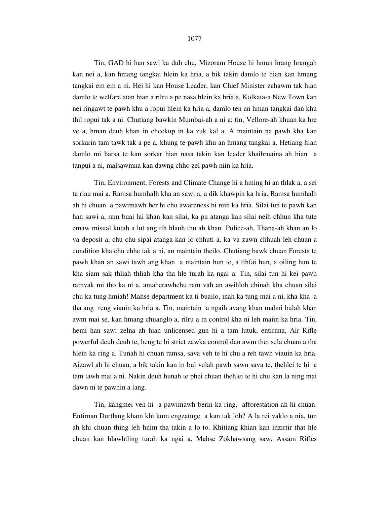Tin, GAD hi han sawi ka duh chu, Mizoram House hi hmun hrang hrangah kan nei a, kan hmang tangkai hlein ka hria, a bik takin damlo te hian kan hmang tangkai em em a ni. Hei hi kan House Leader, kan Chief Minister zahawm tak hian damlo te welfare atan hian a rilru a pe nasa hlein ka hria a, Kolkata-a New Town kan nei ringawt te pawh khu a ropui hlein ka hria a, damlo ten an hman tangkai dan khu thil ropui tak a ni. Chutiang bawkin Mumbai-ah a ni a; tin, Vellore-ah khuan ka hre ve a, hman deuh khan in checkup in ka zuk kal a. A maintain na pawh kha kan sorkarin tam tawk tak a pe a, khung te pawh khu an hmang tangkai a. Hetiang hian damlo mi harsa te kan sorkar hian nasa takin kan leader khaihruaina ah hian a tanpui a ni, malsawmna kan dawng chho zel pawh niin ka hria.

 Tin, Environment, Forests and Climate Change hi a hming hi an thlak a, a sei ta riau mai a. Ramsa humhalh kha an sawi a, a dik khawpin ka hria. Ramsa humhalh ah hi chuan a pawimawh ber hi chu awareness hi niin ka hria. Silai tun te pawh kan han sawi a, ram buai lai khan kan silai, ka pu atanga kan silai neih chhun kha tute emaw misual kutah a lut ang tih hlauh thu ah khan Police-ah, Thana-ah khan an lo va deposit a, chu chu sipai atanga kan lo chhuti a, ka va zawn chhuah leh chuan a condition kha chu chhe tak a ni, an maintain theilo. Chutiang bawk chuan Forests te pawh khan an sawi tawh ang khan a maintain hun te, a tihfai hun, a oiling hun te kha siam sak thliah thliah kha tha hle turah ka ngai a. Tin, silai tun hi kei pawh ramvak mi tho ka ni a, amaherawhchu ram vah an awihloh chinah kha chuan silai chu ka tung hmiah! Mahse department ka ti buailo, inah ka tung mai a ni, kha kha a tha ang reng viauin ka hria a. Tin, maintain a ngaih avang khan mahni bulah khan awm mai se, kan hmang chuanglo a, rilru a in control kha ni leh maiin ka hria. Tin, hemi han sawi zelna ah hian unlicensed gun hi a tam lutuk, entirnna, Air Rifle powerful deuh deuh te, heng te hi strict zawka control dan awm thei sela chuan a tha hlein ka ring a. Tunah hi chuan ramsa, sava veh te hi chu a reh tawh viauin ka hria. Aizawl ah hi chuan, a bik takin kan in bul velah pawh sawn sava te, thehlei te hi a tam tawh mai a ni. Nakin deuh hunah te phei chuan thehlei te hi chu kan la ning mai dawn ni te pawhin a lang.

 Tin, kangmei ven hi a pawimawh berin ka ring, afforestation-ah hi chuan. Entirnan Durtlang kham khi kum engzatnge a kan tak loh? A la rei vaklo a nia, tun ah khi chuan thing leh hnim tha takin a lo to. Khitiang khian kan inzirtir that hle chuan kan hlawhtling turah ka ngai a. Mahse Zokhawsang saw, Assam Rifles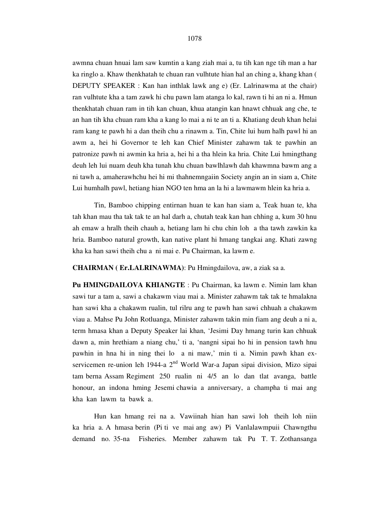awmna chuan hnuai lam saw kumtin a kang ziah mai a, tu tih kan nge tih man a har ka ringlo a. Khaw thenkhatah te chuan ran vulhtute hian hal an ching a, khang khan ( DEPUTY SPEAKER : Kan han inthlak lawk ang e) (Er. Lalrinawma at the chair) ran vulhtute kha a tam zawk hi chu pawn lam atanga lo kal, rawn ti hi an ni a. Hmun thenkhatah chuan ram in tih kan chuan, khua atangin kan hnawt chhuak ang che, te an han tih kha chuan ram kha a kang lo mai a ni te an ti a. Khatiang deuh khan helai ram kang te pawh hi a dan theih chu a rinawm a. Tin, Chite lui hum halh pawl hi an awm a, hei hi Governor te leh kan Chief Minister zahawm tak te pawhin an patronize pawh ni awmin ka hria a, hei hi a tha hlein ka hria. Chite Lui hmingthang deuh leh lui nuam deuh kha tunah khu chuan bawlhlawh dah khawmna bawm ang a ni tawh a, amaherawhchu hei hi mi thahnemngaiin Society angin an in siam a, Chite Lui humhalh pawl, hetiang hian NGO ten hma an la hi a lawmawm hlein ka hria a.

 Tin, Bamboo chipping entirnan huan te kan han siam a, Teak huan te, kha tah khan mau tha tak tak te an hal darh a, chutah teak kan han chhing a, kum 30 hnu ah emaw a hralh theih chauh a, hetiang lam hi chu chin loh a tha tawh zawkin ka hria. Bamboo natural growth, kan native plant hi hmang tangkai ang. Khati zawng kha ka han sawi theih chu a ni mai e. Pu Chairman, ka lawm e.

**CHAIRMAN ( Er.LALRINAWMA)**: Pu Hmingdailova, aw, a ziak sa a.

**Pu HMINGDAILOVA KHIANGTE** : Pu Chairman, ka lawm e. Nimin lam khan sawi tur a tam a, sawi a chakawm viau mai a. Minister zahawm tak tak te hmalakna han sawi kha a chakawm rualin, tul rilru ang te pawh han sawi chhuah a chakawm viau a. Mahse Pu John Rotluanga, Minister zahawm takin min fiam ang deuh a ni a, term hmasa khan a Deputy Speaker lai khan, 'Jesimi Day hmang turin kan chhuak dawn a, min hrethiam a niang chu,' ti a, 'nangni sipai ho hi in pension tawh hnu pawhin in hna hi in ning thei lo a ni maw,' min ti a. Nimin pawh khan exservicemen re-union leh 1944-a 2<sup>nd</sup> World War-a Japan sipai division, Mizo sipai tam berna Assam Regiment 250 rualin ni 4/5 an lo dan tlat avanga, battle honour, an indona hming Jesemi chawia a anniversary, a champha ti mai ang kha kan lawm ta bawk a.

 Hun kan hmang rei na a. Vawiinah hian han sawi loh theih loh niin ka hria a. A hmasa berin (Pi ti ve mai ang aw) Pi Vanlalawmpuii Chawngthu demand no. 35-na Fisheries. Member zahawm tak Pu T. T. Zothansanga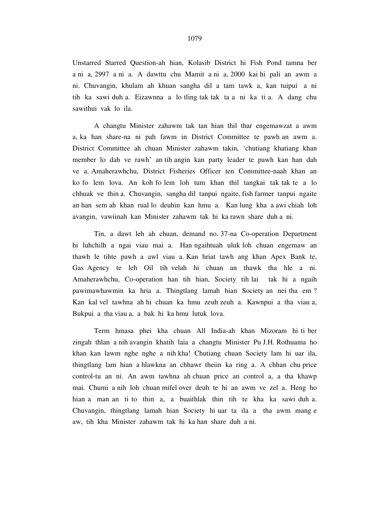Unstarred Starred Question-ah hian, Kolasib District hi Fish Pond tamna ber a ni a, 2997 a ni a. A dawttu chu Mamit a ni a, 2000 kai hi pali an awm a ni. Chuvangin, khulam ah khuan sangha dil a tam tawk a, kan tuipui a ni tih ka sawi duh a. Eizawnna a lo tling tak tak ta a ni ka ti a. A dang chu sawithui vak lo ila.

 A changtu Minister zahawm tak tan hian thil thar engemawzat a awm a, ka han share-na ni pah fawm in District Committee te pawh an awm a. District Committee ah chuan Minister zahawm takin, 'chutiang khatiang khan member lo dah ve rawh' an tih angin kan party leader te pawh kan han dah ve a. Amaherawhchu, District Fisheries Officer ten Committee-naah khan an ko fo lem lova. An koh fo lem loh tum khan thil tangkai tak tak te a lo chhuak ve thin a. Chuvangin, sangha dil tanpui ngaite, fish farmer tanpui ngaite an han sem ah khan rual lo deuhin kan hmu a. Kan lung kha a awi chiah loh avangin, vawiinah kan Minister zahawm tak hi ka rawn share duh a ni.

 Tin, a dawt leh ah chuan, demand no. 37-na Co-operation Department hi luhchilh a ngai viau mai a. Han ngaihtuah uluk loh chuan engemaw an thawh le tihte pawh a awl viau a. Kan hriat tawh ang khan Apex Bank te, Gas Agency te leh Oil tih velah hi chuan an thawk tha hle a ni. Amaherawhchu, Co-operation han tih hian, Society tih lai tak hi a ngaih pawimawhawmin ka hria a. Thingtlang lamah hian Society an nei tha em ? Kan kal vel tawhna ah hi chuan ka hmu zeuh zeuh a. Kawnpui a tha viau a, Bukpui a tha viau a, a bak hi ka hmu lutuk lova.

 Term hmasa phei kha chuan All India-ah khan Mizoram hi ti ber zingah thlan a nih avangin khatih laia a changtu Minister Pu J.H. Rothuama ho khan kan lawm nghe nghe a nih kha! Chutiang chuan Society lam hi uar ila, thingtlang lam hian a hlawkna an chhawr theiin ka ring a. A chhan chu price control-tu an ni. An awm tawhna ah chuan price an control a, a tha khawp mai. Chumi a nih loh chuan mifel over deuh te hi an awm ve zel a. Heng ho hian a man an ti to thin a, a buaithlak thin tih te kha ka sawi duh a. Chuvangin, thingtlang lamah hian Society hi uar ta ila a tha awm mang e aw, tih kha Minister zahawm tak hi ka han share duh a ni.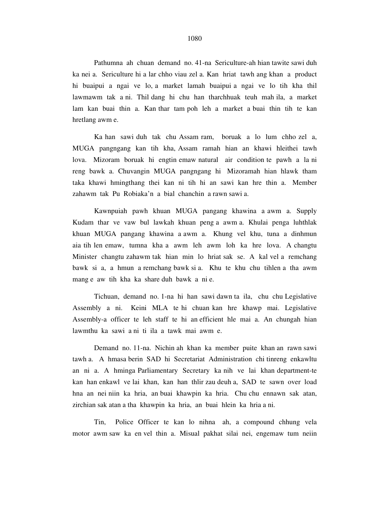Pathumna ah chuan demand no. 41-na Sericulture-ah hian tawite sawi duh ka nei a. Sericulture hi a lar chho viau zel a. Kan hriat tawh ang khan a product hi buaipui a ngai ve lo, a market lamah buaipui a ngai ve lo tih kha thil lawmawm tak a ni. Thil dang hi chu han tharchhuak teuh mah ila, a market lam kan buai thin a. Kan thar tam poh leh a market a buai thin tih te kan hretlang awm e.

 Ka han sawi duh tak chu Assam ram, boruak a lo lum chho zel a, MUGA pangngang kan tih kha, Assam ramah hian an khawi hleithei tawh lova. Mizoram boruak hi engtin emaw natural air condition te pawh a la ni reng bawk a. Chuvangin MUGA pangngang hi Mizoramah hian hlawk tham taka khawi hmingthang thei kan ni tih hi an sawi kan hre thin a. Member zahawm tak Pu Robiaka'n a bial chanchin a rawn sawi a.

 Kawnpuiah pawh khuan MUGA pangang khawina a awm a. Supply Kudam thar ve vaw bul lawkah khuan peng a awm a. Khulai penga luhthlak khuan MUGA pangang khawina a awm a. Khung vel khu, tuna a dinhmun aia tih len emaw, tumna kha a awm leh awm loh ka hre lova. A changtu Minister changtu zahawm tak hian min lo hriat sak se. A kal vel a remchang bawk si a, a hmun a remchang bawk si a. Khu te khu chu tihlen a tha awm mang e aw tih kha ka share duh bawk a ni e.

 Tichuan, demand no. 1-na hi han sawi dawn ta ila, chu chu Legislative Assembly a ni. Keini MLA te hi chuan kan hre khawp mai. Legislative Assembly-a officer te leh staff te hi an efficient hle mai a. An chungah hian lawmthu ka sawi a ni ti ila a tawk mai awm e.

 Demand no. 11-na. Nichin ah khan ka member puite khan an rawn sawi tawh a. A hmasa berin SAD hi Secretariat Administration chi tinreng enkawltu an ni a. A hminga Parliamentary Secretary ka nih ve lai khan department-te kan han enkawl ve lai khan, kan han thlir zau deuh a, SAD te sawn over load hna an nei niin ka hria, an buai khawpin ka hria. Chu chu ennawn sak atan, zirchian sak atan a tha khawpin ka hria, an buai hlein ka hria a ni.

 Tin, Police Officer te kan lo nihna ah, a compound chhung vela motor awm saw ka en vel thin a. Misual pakhat silai nei, engemaw tum neiin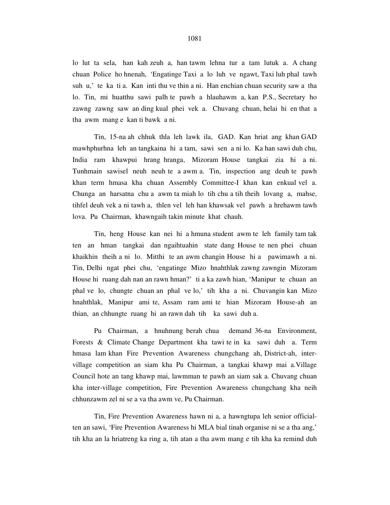lo lut ta sela, han kah zeuh a, han tawm lehna tur a tam lutuk a. A chang chuan Police ho hnenah, 'Engatinge Taxi a lo luh ve ngawt, Taxi luh phal tawh suh u,' te ka ti a. Kan inti thu ve thin a ni. Han enchian chuan security saw a tha lo. Tin, mi huatthu sawi palh te pawh a hlauhawm a, kan P.S., Secretary ho zawng zawng saw an ding kual phei vek a. Chuvang chuan, helai hi en that a tha awm mang e kan ti bawk a ni.

 Tin, 15-na ah chhuk thla leh lawk ila, GAD. Kan hriat ang khan GAD mawhphurhna leh an tangkaina hi a tam, sawi sen a ni lo. Ka han sawi duh chu, India ram khawpui hrang hranga, Mizoram House tangkai zia hi a ni. Tunhmain sawisel neuh neuh te a awm a. Tin, inspection ang deuh te pawh khan term hmasa kha chuan Assembly Committee-I khan kan enkual vel a. Chunga an harsatna chu a awm ta miah lo tih chu a tih theih lovang a, mahse, tihfel deuh vek a ni tawh a, thlen vel leh han khawsak vel pawh a hrehawm tawh lova. Pu Chairman, khawngaih takin minute khat chauh.

 Tin, heng House kan nei hi a hmuna student awm te leh family tam tak ten an hman tangkai dan ngaihtuahin state dang House te nen phei chuan khaikhin theih a ni lo. Mitthi te an awm changin House hi a pawimawh a ni. Tin, Delhi ngat phei chu, 'engatinge Mizo hnahthlak zawng zawngin Mizoram House hi ruang dah nan an rawn hman?' ti a ka zawh hian, 'Manipur te chuan an phal ve lo, chungte chuan an phal ve lo,' tih kha a ni. Chuvangin kan Mizo hnahthlak, Manipur ami te, Assam ram ami te hian Mizoram House-ah an thian, an chhungte ruang hi an rawn dah tih ka sawi duh a.

 Pu Chairman, a hnuhnung berah chua demand 36-na Environment, Forests & Climate Change Department kha tawi te in ka sawi duh a. Term hmasa lam khan Fire Prevention Awareness chungchang ah, District-ah, intervillage competition an siam kha Pu Chairman, a tangkai khawp mai a.Village Council hote an tang khawp mai, lawmman te pawh an siam sak a. Chuvang chuan kha inter-village competition, Fire Prevention Awareness chungchang kha neih chhunzawm zel ni se a va tha awm ve, Pu Chairman.

 Tin, Fire Prevention Awareness hawn ni a, a hawngtupa leh senior officialten an sawi, 'Fire Prevention Awareness hi MLA bial tinah organise ni se a tha ang,' tih kha an la hriatreng ka ring a, tih atan a tha awm mang e tih kha ka remind duh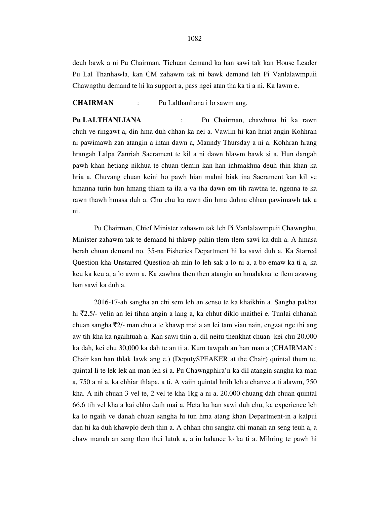deuh bawk a ni Pu Chairman. Tichuan demand ka han sawi tak kan House Leader Pu Lal Thanhawla, kan CM zahawm tak ni bawk demand leh Pi Vanlalawmpuii Chawngthu demand te hi ka support a, pass ngei atan tha ka ti a ni. Ka lawm e.

# **CHAIRMAN** : Pu Lalthanliana i lo sawm ang.

**Pu LALTHANLIANA** : Pu Chairman, chawhma hi ka rawn chuh ve ringawt a, din hma duh chhan ka nei a. Vawiin hi kan hriat angin Kohhran ni pawimawh zan atangin a intan dawn a, Maundy Thursday a ni a. Kohhran hrang hrangah Lalpa Zanriah Sacrament te kil a ni dawn hlawm bawk si a. Hun dangah pawh khan hetiang nikhua te chuan tlemin kan han inhmakhua deuh thin khan ka hria a. Chuvang chuan keini ho pawh hian mahni biak ina Sacrament kan kil ve hmanna turin hun hmang thiam ta ila a va tha dawn em tih rawtna te, ngenna te ka rawn thawh hmasa duh a. Chu chu ka rawn din hma duhna chhan pawimawh tak a ni.

 Pu Chairman, Chief Minister zahawm tak leh Pi Vanlalawmpuii Chawngthu, Minister zahawm tak te demand hi thlawp pahin tlem tlem sawi ka duh a. A hmasa berah chuan demand no. 35-na Fisheries Department hi ka sawi duh a. Ka Starred Question kha Unstarred Question-ah min lo leh sak a lo ni a, a bo emaw ka ti a, ka keu ka keu a, a lo awm a. Ka zawhna then then atangin an hmalakna te tlem azawng han sawi ka duh a.

 2016-17-ah sangha an chi sem leh an senso te ka khaikhin a. Sangha pakhat hi  $\bar{\mathfrak{g}}$ 2.5/- velin an lei tihna angin a lang a, ka chhut diklo maithei e. Tunlai chhanah chuan sangha  $\overline{z}$ 2/- man chu a te khawp mai a an lei tam viau nain, engzat nge thi ang aw tih kha ka ngaihtuah a. Kan sawi thin a, dil neitu thenkhat chuan kei chu 20,000 ka dah, kei chu 30,000 ka dah te an ti a. Kum tawpah an han man a (CHAIRMAN : Chair kan han thlak lawk ang e.) (DeputySPEAKER at the Chair) quintal thum te, quintal li te lek lek an man leh si a. Pu Chawngphira'n ka dil atangin sangha ka man a, 750 a ni a, ka chhiar thlapa, a ti. A vaiin quintal hnih leh a chanve a ti alawm, 750 kha. A nih chuan 3 vel te, 2 vel te kha 1kg a ni a, 20,000 chuang dah chuan quintal 66.6 tih vel kha a kai chho daih mai a. Heta ka han sawi duh chu, ka experience leh ka lo ngaih ve danah chuan sangha hi tun hma atang khan Department-in a kalpui dan hi ka duh khawplo deuh thin a. A chhan chu sangha chi manah an seng teuh a, a chaw manah an seng tlem thei lutuk a, a in balance lo ka ti a. Mihring te pawh hi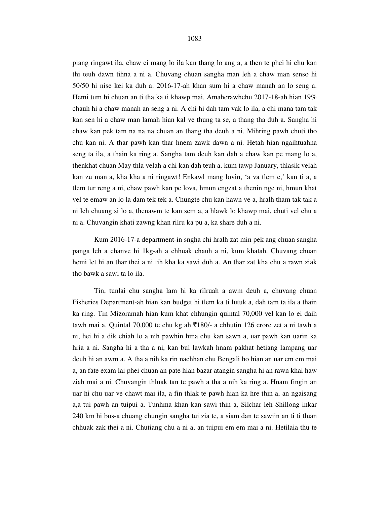piang ringawt ila, chaw ei mang lo ila kan thang lo ang a, a then te phei hi chu kan thi teuh dawn tihna a ni a. Chuvang chuan sangha man leh a chaw man senso hi 50/50 hi nise kei ka duh a. 2016-17-ah khan sum hi a chaw manah an lo seng a. Hemi tum hi chuan an ti tha ka ti khawp mai. Amaherawhchu 2017-18-ah hian 19% chauh hi a chaw manah an seng a ni. A chi hi dah tam vak lo ila, a chi mana tam tak kan sen hi a chaw man lamah hian kal ve thung ta se, a thang tha duh a. Sangha hi chaw kan pek tam na na na chuan an thang tha deuh a ni. Mihring pawh chuti tho chu kan ni. A thar pawh kan thar hnem zawk dawn a ni. Hetah hian ngaihtuahna seng ta ila, a thain ka ring a. Sangha tam deuh kan dah a chaw kan pe mang lo a, thenkhat chuan May thla velah a chi kan dah teuh a, kum tawp January, thlasik velah kan zu man a, kha kha a ni ringawt! Enkawl mang lovin, 'a va tlem e,' kan ti a, a tlem tur reng a ni, chaw pawh kan pe lova, hmun engzat a thenin nge ni, hmun khat vel te emaw an lo la dam tek tek a. Chungte chu kan hawn ve a, hralh tham tak tak a ni leh chuang si lo a, thenawm te kan sem a, a hlawk lo khawp mai, chuti vel chu a ni a. Chuvangin khati zawng khan rilru ka pu a, ka share duh a ni.

 Kum 2016-17-a department-in sngha chi hralh zat min pek ang chuan sangha panga leh a chanve hi 1kg-ah a chhuak chauh a ni, kum khatah. Chuvang chuan hemi let hi an thar thei a ni tih kha ka sawi duh a. An thar zat kha chu a rawn ziak tho bawk a sawi ta lo ila.

 Tin, tunlai chu sangha lam hi ka rilruah a awm deuh a, chuvang chuan Fisheries Department-ah hian kan budget hi tlem ka ti lutuk a, dah tam ta ila a thain ka ring. Tin Mizoramah hian kum khat chhungin quintal 70,000 vel kan lo ei daih tawh mai a. Quintal 70,000 te chu kg ah  $\overline{5}180/2$  a chhutin 126 crore zet a ni tawh a ni, hei hi a dik chiah lo a nih pawhin hma chu kan sawn a, uar pawh kan uarin ka hria a ni. Sangha hi a tha a ni, kan bul lawkah hnam pakhat hetiang lampang uar deuh hi an awm a. A tha a nih ka rin nachhan chu Bengali ho hian an uar em em mai a, an fate exam lai phei chuan an pate hian bazar atangin sangha hi an rawn khai haw ziah mai a ni. Chuvangin thluak tan te pawh a tha a nih ka ring a. Hnam fingin an uar hi chu uar ve chawt mai ila, a fin thlak te pawh hian ka hre thin a, an ngaisang a,a tui pawh an tuipui a. Tunhma khan kan sawi thin a, Silchar leh Shillong inkar 240 km hi bus-a chuang chungin sangha tui zia te, a siam dan te sawiin an ti ti tluan chhuak zak thei a ni. Chutiang chu a ni a, an tuipui em em mai a ni. Hetilaia thu te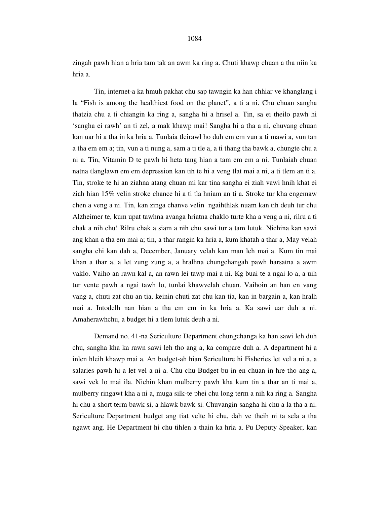zingah pawh hian a hria tam tak an awm ka ring a. Chuti khawp chuan a tha niin ka hria a.

 Tin, internet-a ka hmuh pakhat chu sap tawngin ka han chhiar ve khanglang i la "Fish is among the healthiest food on the planet", a ti a ni. Chu chuan sangha thatzia chu a ti chiangin ka ring a, sangha hi a hrisel a. Tin, sa ei theilo pawh hi 'sangha ei rawh' an ti zel, a mak khawp mai! Sangha hi a tha a ni, chuvang chuan kan uar hi a tha in ka hria a. Tunlaia tleirawl ho duh em em vun a ti mawi a, vun tan a tha em em a; tin, vun a ti nung a, sam a ti tle a, a ti thang tha bawk a, chungte chu a ni a. Tin, Vitamin D te pawh hi heta tang hian a tam em em a ni. Tunlaiah chuan natna tlanglawn em em depression kan tih te hi a veng tlat mai a ni, a ti tlem an ti a. Tin, stroke te hi an ziahna atang chuan mi kar tina sangha ei ziah vawi hnih khat ei ziah hian 15% velin stroke chance hi a ti tla hniam an ti a. Stroke tur kha engemaw chen a veng a ni. Tin, kan zinga chanve velin ngaihthlak nuam kan tih deuh tur chu Alzheimer te, kum upat tawhna avanga hriatna chaklo turte kha a veng a ni, rilru a ti chak a nih chu! Rilru chak a siam a nih chu sawi tur a tam lutuk. Nichina kan sawi ang khan a tha em mai a; tin, a thar rangin ka hria a, kum khatah a thar a, May velah sangha chi kan dah a, December, January velah kan man leh mai a. Kum tin mai khan a thar a, a let zung zung a, a hralhna chungchangah pawh harsatna a awm vaklo. **V**aiho an rawn kal a, an rawn lei tawp mai a ni. Kg buai te a ngai lo a, a uih tur vente pawh a ngai tawh lo, tunlai khawvelah chuan. Vaihoin an han en vang vang a, chuti zat chu an tia, keinin chuti zat chu kan tia, kan in bargain a, kan hralh mai a. Intodelh nan hian a tha em em in ka hria a. Ka sawi uar duh a ni. Amaherawhchu, a budget hi a tlem lutuk deuh a ni.

 Demand no. 41-na Sericulture Department chungchanga ka han sawi leh duh chu, sangha kha ka rawn sawi leh tho ang a, ka compare duh a. A department hi a inlen hleih khawp mai a. An budget-ah hian Sericulture hi Fisheries let vel a ni a, a salaries pawh hi a let vel a ni a. Chu chu Budget bu in en chuan in hre tho ang a, sawi vek lo mai ila. Nichin khan mulberry pawh kha kum tin a thar an ti mai a, mulberry ringawt kha a ni a, muga silk-te phei chu long term a nih ka ring a. Sangha hi chu a short term bawk si, a hlawk bawk si. Chuvangin sangha hi chu a la tha a ni. Sericulture Department budget ang tiat velte hi chu, dah ve theih ni ta sela a tha ngawt ang. He Department hi chu tihlen a thain ka hria a. Pu Deputy Speaker, kan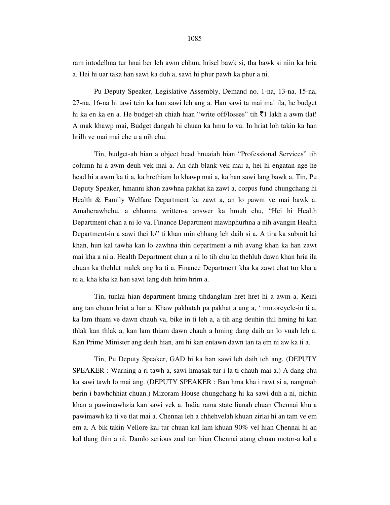ram intodelhna tur hnai ber leh awm chhun, hrisel bawk si, tha bawk si niin ka hria a. Hei hi uar taka han sawi ka duh a, sawi hi phur pawh ka phur a ni.

 Pu Deputy Speaker, Legislative Assembly, Demand no. 1-na, 13-na, 15-na, 27-na, 16-na hi tawi tein ka han sawi leh ang a. Han sawi ta mai mai ila, he budget hi ka en ka en a. He budget-ah chiah hian "write off/losses" tih  $\bar{\tau}$ 1 lakh a awm tlat! A mak khawp mai, Budget dangah hi chuan ka hmu lo va. In hriat loh takin ka han hrilh ve mai mai che u a nih chu.

 Tin, budget-ah hian a object head hnuaiah hian "Professional Services" tih column hi a awm deuh vek mai a. An dah blank vek mai a, hei hi engatan nge he head hi a awm ka ti a, ka hrethiam lo khawp mai a, ka han sawi lang bawk a. Tin, Pu Deputy Speaker, hmanni khan zawhna pakhat ka zawt a, corpus fund chungchang hi Health & Family Welfare Department ka zawt a, an lo pawm ve mai bawk a. Amaherawhchu, a chhanna written-a answer ka hmuh chu, "Hei hi Health Department chan a ni lo va, Finance Department mawhphurhna a nih avangin Health Department-in a sawi thei lo" ti khan min chhang leh daih si a. A tira ka submit lai khan, hun kal tawha kan lo zawhna thin department a nih avang khan ka han zawt mai kha a ni a. Health Department chan a ni lo tih chu ka thehluh dawn khan hria ila chuan ka thehlut malek ang ka ti a. Finance Department kha ka zawt chat tur kha a ni a, kha kha ka han sawi lang duh hrim hrim a.

 Tin, tunlai hian department hming tihdanglam hret hret hi a awm a. Keini ang tan chuan hriat a har a. Khaw pakhatah pa pakhat a ang a, ' motorcycle-in ti a, ka lam thiam ve dawn chauh va, bike in ti leh a, a tih ang deuhin thil hming hi kan thlak kan thlak a, kan lam thiam dawn chauh a hming dang daih an lo vuah leh a. Kan Prime Minister ang deuh hian, ani hi kan entawn dawn tan ta em ni aw ka ti a.

 Tin, Pu Deputy Speaker, GAD hi ka han sawi leh daih teh ang. (DEPUTY SPEAKER : Warning a ri tawh a, sawi hmasak tur i la ti chauh mai a.) A dang chu ka sawi tawh lo mai ang. (DEPUTY SPEAKER : Ban hma kha i rawt si a, nangmah berin i bawhchhiat chuan.) Mizoram House chungchang hi ka sawi duh a ni, nichin khan a pawimawhzia kan sawi vek a. India rama state lianah chuan Chennai khu a pawimawh ka ti ve tlat mai a. Chennai leh a chhehvelah khuan zirlai hi an tam ve em em a. A bik takin Vellore kal tur chuan kal lam khuan 90% vel hian Chennai hi an kal tlang thin a ni. Damlo serious zual tan hian Chennai atang chuan motor-a kal a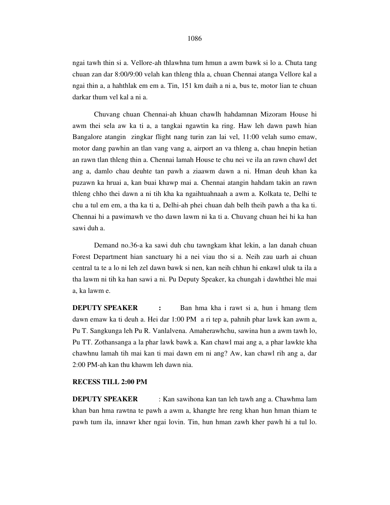## 1086

ngai tawh thin si a. Vellore-ah thlawhna tum hmun a awm bawk si lo a. Chuta tang chuan zan dar 8:00/9:00 velah kan thleng thla a, chuan Chennai atanga Vellore kal a ngai thin a, a hahthlak em em a. Tin, 151 km daih a ni a, bus te, motor lian te chuan darkar thum vel kal a ni a.

 Chuvang chuan Chennai-ah khuan chawlh hahdamnan Mizoram House hi awm thei sela aw ka ti a, a tangkai ngawtin ka ring. Haw leh dawn pawh hian Bangalore atangin zingkar flight nang turin zan lai vel, 11:00 velah sumo emaw, motor dang pawhin an tlan vang vang a, airport an va thleng a, chau hnepin hetian an rawn tlan thleng thin a. Chennai lamah House te chu nei ve ila an rawn chawl det ang a, damlo chau deuhte tan pawh a ziaawm dawn a ni. Hman deuh khan ka puzawn ka hruai a, kan buai khawp mai a. Chennai atangin hahdam takin an rawn thleng chho thei dawn a ni tih kha ka ngaihtuahnaah a awm a. Kolkata te, Delhi te chu a tul em em, a tha ka ti a, Delhi-ah phei chuan dah belh theih pawh a tha ka ti. Chennai hi a pawimawh ve tho dawn lawm ni ka ti a. Chuvang chuan hei hi ka han sawi duh a.

 Demand no.36-a ka sawi duh chu tawngkam khat lekin, a lan danah chuan Forest Department hian sanctuary hi a nei viau tho si a. Neih zau uarh ai chuan central ta te a lo ni leh zel dawn bawk si nen, kan neih chhun hi enkawl uluk ta ila a tha lawm ni tih ka han sawi a ni. Pu Deputy Speaker, ka chungah i dawhthei hle mai a, ka lawm e.

**DEPUTY SPEAKER** : Ban hma kha i rawt si a, hun i hmang tlem dawn emaw ka ti deuh a. Hei dar 1:00 PM a ri tep a, pahnih phar lawk kan awm a, Pu T. Sangkunga leh Pu R. Vanlalvena. Amaherawhchu, sawina hun a awm tawh lo, Pu TT. Zothansanga a la phar lawk bawk a. Kan chawl mai ang a, a phar lawkte kha chawhnu lamah tih mai kan ti mai dawn em ni ang? Aw, kan chawl rih ang a, dar 2:00 PM-ah kan thu khawm leh dawn nia.

#### **RECESS TILL 2:00 PM**

**DEPUTY SPEAKER** : Kan sawihona kan tan leh tawh ang a. Chawhma lam khan ban hma rawtna te pawh a awm a, khangte hre reng khan hun hman thiam te pawh tum ila, innawr kher ngai lovin. Tin, hun hman zawh kher pawh hi a tul lo.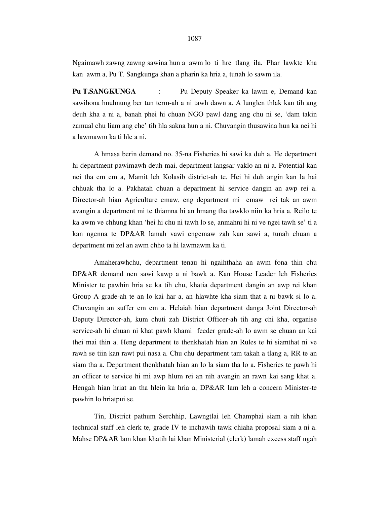Ngaimawh zawng zawng sawina hun a awm lo ti hre tlang ila. Phar lawkte kha kan awm a, Pu T. Sangkunga khan a pharin ka hria a, tunah lo sawm ila.

**Pu T.SANGKUNGA** : Pu Deputy Speaker ka lawm e, Demand kan sawihona hnuhnung ber tun term-ah a ni tawh dawn a. A lunglen thlak kan tih ang deuh kha a ni a, banah phei hi chuan NGO pawl dang ang chu ni se, 'dam takin zamual chu liam ang che' tih hla sakna hun a ni. Chuvangin thusawina hun ka nei hi a lawmawm ka ti hle a ni.

 A hmasa berin demand no. 35-na Fisheries hi sawi ka duh a. He department hi department pawimawh deuh mai, department langsar vaklo an ni a. Potential kan nei tha em em a, Mamit leh Kolasib district-ah te. Hei hi duh angin kan la hai chhuak tha lo a. Pakhatah chuan a department hi service dangin an awp rei a. Director-ah hian Agriculture emaw, eng department mi emaw rei tak an awm avangin a department mi te thiamna hi an hmang tha tawklo niin ka hria a. Reilo te ka awm ve chhung khan 'hei hi chu ni tawh lo se, anmahni hi ni ve ngei tawh se' ti a kan ngenna te DP&AR lamah vawi engemaw zah kan sawi a, tunah chuan a department mi zel an awm chho ta hi lawmawm ka ti.

 Amaherawhchu, department tenau hi ngaihthaha an awm fona thin chu DP&AR demand nen sawi kawp a ni bawk a. Kan House Leader leh Fisheries Minister te pawhin hria se ka tih chu, khatia department dangin an awp rei khan Group A grade-ah te an lo kai har a, an hlawhte kha siam that a ni bawk si lo a. Chuvangin an suffer em em a. Helaiah hian department danga Joint Director-ah Deputy Director-ah, kum chuti zah District Officer-ah tih ang chi kha, organise service-ah hi chuan ni khat pawh khami feeder grade-ah lo awm se chuan an kai thei mai thin a. Heng department te thenkhatah hian an Rules te hi siamthat ni ve rawh se tiin kan rawt pui nasa a. Chu chu department tam takah a tlang a, RR te an siam tha a. Department thenkhatah hian an lo la siam tha lo a. Fisheries te pawh hi an officer te service hi mi awp hlum rei an nih avangin an rawn kai sang khat a. Hengah hian hriat an tha hlein ka hria a, DP&AR lam leh a concern Minister-te pawhin lo hriatpui se.

 Tin, District pathum Serchhip, Lawngtlai leh Champhai siam a nih khan technical staff leh clerk te, grade IV te inchawih tawk chiaha proposal siam a ni a. Mahse DP&AR lam khan khatih lai khan Ministerial (clerk) lamah excess staff ngah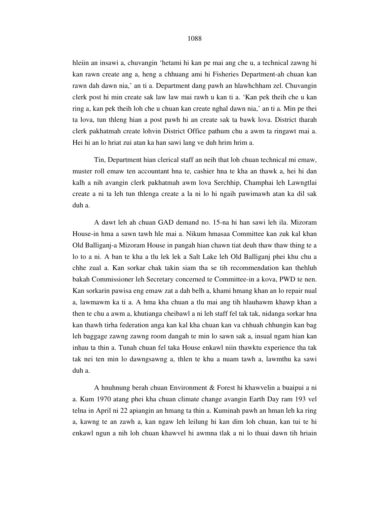hleiin an insawi a, chuvangin 'hetami hi kan pe mai ang che u, a technical zawng hi kan rawn create ang a, heng a chhuang ami hi Fisheries Department-ah chuan kan rawn dah dawn nia,' an ti a. Department dang pawh an hlawhchham zel. Chuvangin clerk post hi min create sak law law mai rawh u kan ti a. 'Kan pek theih che u kan ring a, kan pek theih loh che u chuan kan create nghal dawn nia,' an ti a. Min pe thei ta lova, tun thleng hian a post pawh hi an create sak ta bawk lova. District tharah clerk pakhatmah create lohvin District Office pathum chu a awm ta ringawt mai a. Hei hi an lo hriat zui atan ka han sawi lang ve duh hrim hrim a.

 Tin, Department hian clerical staff an neih that loh chuan technical mi emaw, muster roll emaw ten accountant hna te, cashier hna te kha an thawk a, hei hi dan kalh a nih avangin clerk pakhatmah awm lova Serchhip, Champhai leh Lawngtlai create a ni ta leh tun thlenga create a la ni lo hi ngaih pawimawh atan ka dil sak duh a.

 A dawt leh ah chuan GAD demand no. 15-na hi han sawi leh ila. Mizoram House-in hma a sawn tawh hle mai a. Nikum hmasaa Committee kan zuk kal khan Old Balliganj-a Mizoram House in pangah hian chawn tiat deuh thaw thaw thing te a lo to a ni. A ban te kha a tlu lek lek a Salt Lake leh Old Balliganj phei khu chu a chhe zual a. Kan sorkar chak takin siam tha se tih recommendation kan thehluh bakah Commissioner leh Secretary concerned te Committee-in a kova, PWD te nen. Kan sorkarin pawisa eng emaw zat a dah belh a, khami hmang khan an lo repair nual a, lawmawm ka ti a. A hma kha chuan a tlu mai ang tih hlauhawm khawp khan a then te chu a awm a, khutianga cheibawl a ni leh staff fel tak tak, nidanga sorkar hna kan thawh tirha federation anga kan kal kha chuan kan va chhuah chhungin kan bag leh baggage zawng zawng room dangah te min lo sawn sak a, insual ngam hian kan inhau ta thin a. Tunah chuan fel taka House enkawl niin thawktu experience tha tak tak nei ten min lo dawngsawng a, thlen te khu a nuam tawh a, lawmthu ka sawi duh a.

 A hnuhnung berah chuan Environment & Forest hi khawvelin a buaipui a ni a. Kum 1970 atang phei kha chuan climate change avangin Earth Day ram 193 vel telna in April ni 22 apiangin an hmang ta thin a. Kuminah pawh an hman leh ka ring a, kawng te an zawh a, kan ngaw leh leilung hi kan dim loh chuan, kan tui te hi enkawl ngun a nih loh chuan khawvel hi awmna tlak a ni lo thuai dawn tih hriain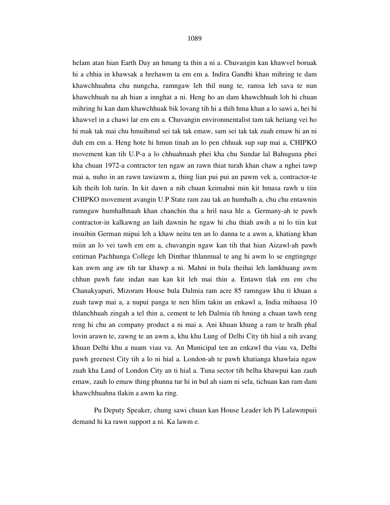helam atan hian Earth Day an hmang ta thin a ni a. Chuvangin kan khawvel boruak hi a chhia in khawsak a hrehawm ta em em a. Indira Gandhi khan mihring te dam khawchhuahna chu nungcha, ramngaw leh thil nung te, ramsa leh sava te nun khawchhuah na ah hian a innghat a ni. Heng ho an dam khawchhuah loh hi chuan mihring hi kan dam khawchhuak bik lovang tih hi a thih hma khan a lo sawi a, hei hi khawvel in a chawi lar em em a. Chuvangin environmentalist tam tak hetiang vei ho hi mak tak mai chu hmuihmul sei tak tak emaw, sam sei tak tak zuah emaw hi an ni duh em em a. Heng hote hi hmun tinah an lo pen chhuak sup sup mai a, CHIPKO movement kan tih U.P-a a lo chhuahnaah phei kha chu Sundar lal Bahuguna phei kha chuan 1972-a contractor ten ngaw an rawn thiat turah khan chaw a nghei tawp mai a, nuho in an rawn tawiawm a, thing lian pui pui an pawm vek a, contractor-te kih theih loh turin. In kit dawn a nih chuan keimahni min kit hmasa rawh u tiin CHIPKO movement avangin U.P State ram zau tak an humhalh a, chu chu entawnin ramngaw humhalhnaah khan chanchin tha a hril nasa hle a. Germany-ah te pawh contractor-in kalkawng an laih dawnin he ngaw hi chu thiah awih a ni lo tiin kut insuihin German mipui leh a khaw neitu ten an lo danna te a awm a, khatiang khan miin an lo vei tawh em em a, chuvangin ngaw kan tih that hian Aizawl-ah pawh entirnan Pachhunga College leh Dinthar thlanmual te ang hi awm lo se engtingnge kan awm ang aw tih tur khawp a ni. Mahni in bula theihai leh lamkhuang awm chhun pawh fate indan nan kan kit leh mai thin a. Entawn tlak em em chu Chanakyapuri, Mizoram House bula Dalmia ram acre 85 ramngaw khu ti khuan a zuah tawp mai a, a nupui panga te nen hlim takin an enkawl a, India mihausa 10 thlanchhuah zingah a tel thin a, cement te leh Dalmia tih hming a chuan tawh reng reng hi chu an company product a ni mai a. Ani khuan khung a ram te hralh phal lovin arawn te, zawng te an awm a, khu khu Lung of Delhi City tih hial a nih avang khuan Delhi khu a nuam viau va. An Municipal ten an enkawl tha viau va, Delhi pawh greenest City tih a lo ni hial a. London-ah te pawh khatianga khawlaia ngaw zuah kha Land of London City an ti hial a. Tuna sector tih belha khawpui kan zauh emaw, zauh lo emaw thing phunna tur hi in bul ah siam ni sela, tichuan kan ram dam khawchhuahna tlakin a awm ka ring.

 Pu Deputy Speaker, chung sawi chuan kan House Leader leh Pi Lalawmpuii demand hi ka rawn support a ni. Ka lawm e.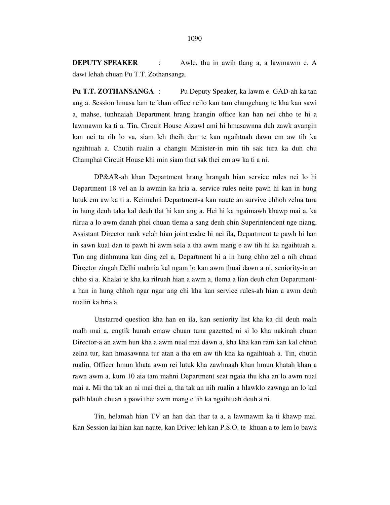**DEPUTY SPEAKER** : Awle, thu in awih tlang a, a lawmawm e. A dawt lehah chuan Pu T.T. Zothansanga.

**Pu T.T. ZOTHANSANGA** : Pu Deputy Speaker, ka lawm e. GAD-ah ka tan ang a. Session hmasa lam te khan office neilo kan tam chungchang te kha kan sawi a, mahse, tunhnaiah Department hrang hrangin office kan han nei chho te hi a lawmawm ka ti a. Tin, Circuit House Aizawl ami hi hmasawnna duh zawk avangin kan nei ta rih lo va, siam leh theih dan te kan ngaihtuah dawn em aw tih ka ngaihtuah a. Chutih rualin a changtu Minister-in min tih sak tura ka duh chu Champhai Circuit House khi min siam that sak thei em aw ka ti a ni.

 DP&AR-ah khan Department hrang hrangah hian service rules nei lo hi Department 18 vel an la awmin ka hria a, service rules neite pawh hi kan in hung lutuk em aw ka ti a. Keimahni Department-a kan naute an survive chhoh zelna tura in hung deuh taka kal deuh tlat hi kan ang a. Hei hi ka ngaimawh khawp mai a, ka rilrua a lo awm danah phei chuan tlema a sang deuh chin Superintendent nge niang, Assistant Director rank velah hian joint cadre hi nei ila, Department te pawh hi han in sawn kual dan te pawh hi awm sela a tha awm mang e aw tih hi ka ngaihtuah a. Tun ang dinhmuna kan ding zel a, Department hi a in hung chho zel a nih chuan Director zingah Delhi mahnia kal ngam lo kan awm thuai dawn a ni, seniority-in an chho si a. Khalai te kha ka rilruah hian a awm a, tlema a lian deuh chin Departmenta han in hung chhoh ngar ngar ang chi kha kan service rules-ah hian a awm deuh nualin ka hria a.

 Unstarred question kha han en ila, kan seniority list kha ka dil deuh malh malh mai a, engtik hunah emaw chuan tuna gazetted ni si lo kha nakinah chuan Director-a an awm hun kha a awm nual mai dawn a, kha kha kan ram kan kal chhoh zelna tur, kan hmasawnna tur atan a tha em aw tih kha ka ngaihtuah a. Tin, chutih rualin, Officer hmun khata awm rei lutuk kha zawhnaah khan hmun khatah khan a rawn awm a, kum 10 aia tam mahni Department seat ngaia thu kha an lo awm nual mai a. Mi tha tak an ni mai thei a, tha tak an nih rualin a hlawklo zawnga an lo kal palh hlauh chuan a pawi thei awm mang e tih ka ngaihtuah deuh a ni.

 Tin, helamah hian TV an han dah thar ta a, a lawmawm ka ti khawp mai. Kan Session lai hian kan naute, kan Driver leh kan P.S.O. te khuan a to lem lo bawk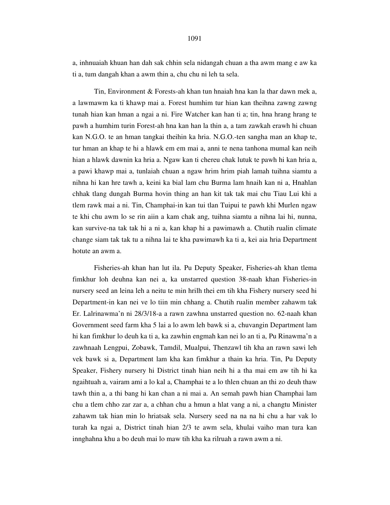a, inhnuaiah khuan han dah sak chhin sela nidangah chuan a tha awm mang e aw ka ti a, tum dangah khan a awm thin a, chu chu ni leh ta sela.

 Tin, Environment & Forests-ah khan tun hnaiah hna kan la thar dawn mek a, a lawmawm ka ti khawp mai a. Forest humhim tur hian kan theihna zawng zawng tunah hian kan hman a ngai a ni. Fire Watcher kan han ti a; tin, hna hrang hrang te pawh a humhim turin Forest-ah hna kan han la thin a, a tam zawkah erawh hi chuan kan N.G.O. te an hman tangkai theihin ka hria. N.G.O.-ten sangha man an khap te, tur hman an khap te hi a hlawk em em mai a, anni te nena tanhona mumal kan neih hian a hlawk dawnin ka hria a. Ngaw kan ti chereu chak lutuk te pawh hi kan hria a, a pawi khawp mai a, tunlaiah chuan a ngaw hrim hrim piah lamah tuihna siamtu a nihna hi kan hre tawh a, keini ka bial lam chu Burma lam hnaih kan ni a, Hnahlan chhak tlang dungah Burma hovin thing an han kit tak tak mai chu Tiau Lui khi a tlem rawk mai a ni. Tin, Champhai-in kan tui tlan Tuipui te pawh khi Murlen ngaw te khi chu awm lo se rin aiin a kam chak ang, tuihna siamtu a nihna lai hi, nunna, kan survive-na tak tak hi a ni a, kan khap hi a pawimawh a. Chutih rualin climate change siam tak tak tu a nihna lai te kha pawimawh ka ti a, kei aia hria Department hotute an awm a.

 Fisheries-ah khan han lut ila. Pu Deputy Speaker, Fisheries-ah khan tlema fimkhur loh deuhna kan nei a, ka unstarred question 38-naah khan Fisheries-in nursery seed an leina leh a neitu te min hrilh thei em tih kha Fishery nursery seed hi Department-in kan nei ve lo tiin min chhang a. Chutih rualin member zahawm tak Er. Lalrinawma'n ni 28/3/18-a a rawn zawhna unstarred question no. 62-naah khan Government seed farm kha 5 lai a lo awm leh bawk si a, chuvangin Department lam hi kan fimkhur lo deuh ka ti a, ka zawhin engmah kan nei lo an ti a, Pu Rinawma'n a zawhnaah Lengpui, Zobawk, Tamdil, Mualpui, Thenzawl tih kha an rawn sawi leh vek bawk si a, Department lam kha kan fimkhur a thain ka hria. Tin, Pu Deputy Speaker, Fishery nursery hi District tinah hian neih hi a tha mai em aw tih hi ka ngaihtuah a, vairam ami a lo kal a, Champhai te a lo thlen chuan an thi zo deuh thaw tawh thin a, a thi bang hi kan chan a ni mai a. An semah pawh hian Champhai lam chu a tlem chho zar zar a, a chhan chu a hmun a hlat vang a ni, a changtu Minister zahawm tak hian min lo hriatsak sela. Nursery seed na na na hi chu a har vak lo turah ka ngai a, District tinah hian 2/3 te awm sela, khulai vaiho man tura kan innghahna khu a bo deuh mai lo maw tih kha ka rilruah a rawn awm a ni.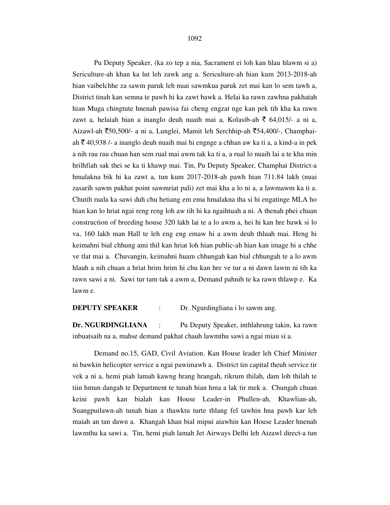1092

 Pu Deputy Speaker, (ka zo tep a nia, Sacrament ei loh kan hlau hlawm si a) Sericulture-ah khan ka lut leh zawk ang a. Sericulture-ah hian kum 2013-2018-ah hian vaibelchhe za sawm paruk leh nuai sawmkua paruk zet mai kan lo sem tawh a, District tinah kan semna te pawh hi ka zawt bawk a. Helai ka rawn zawhna pakhatah hian Muga chingtute hnenah pawisa fai cheng engzat nge kan pek tih kha ka rawn zawt a, helaiah hian a inanglo deuh nuaih mai a, Kolasib-ah  $\bar{\xi}$  64,015/- a ni a, Aizawl-ah  $\overline{50,500}$ - a ni a, Lunglei, Mamit leh Serchhip-ah  $\overline{554,400}$ -, Champhaiah  $\bar{\tau}$  40,938 /- a inanglo deuh nuaih mai hi engnge a chhan aw ka ti a, a kind-a in pek a nih rau rau chuan han sem rual mai awm tak ka ti a, a rual lo nuaih lai a te kha min hrilhfiah sak thei se ka ti khawp mai. Tin, Pu Deputy Speaker, Champhai District-a hmalakna bik hi ka zawt a, tun kum 2017-2018-ah pawh hian 711.84 lakh (nuai zasarih sawm pakhat point sawmriat pali) zet mai kha a lo ni a, a lawmawm ka ti a. Chutih ruala ka sawi duh chu hetiang em ema hmalakna tha si hi engatinge MLA ho hian kan lo hriat ngai reng reng loh aw tih hi ka ngaihtuah a ni. A thenah phei chuan construction of breeding house 320 lakh lai te a lo awm a, hei hi kan hre bawk si lo va, 160 lakh man Hall te leh eng eng emaw hi a awm deuh thluah mai. Heng hi keimahni bial chhung ami thil kan hriat loh hian public-ah hian kan image hi a chhe ve tlat mai a. Chuvangin, keimahni huam chhungah kan bial chhungah te a lo awm hlauh a nih chuan a hriat hrim hrim hi chu kan hre ve tur a ni dawn lawm ni tih ka rawn sawi a ni. Sawi tur tam tak a awm a, Demand pahnih te ka rawn thlawp e. Ka lawm e.

**DEPUTY SPEAKER** : Dr. Ngurdingliana i lo sawm ang.

**Dr. NGURDINGLIANA** : Pu Deputy Speaker, inthlahrung takin, ka rawn inbuatsaih na a, mahse demand pakhat chauh lawmthu sawi a ngai miau si a.

 Demand no.15, GAD, Civil Aviation. Kan House leader leh Chief Minister ni bawkin helicopter service a ngai pawimawh a. District tin capital theuh service tir vek a ni a, hemi piah lamah kawng hrang hrangah, rikrum thilah, dam loh thilah te tiin hmun dangah te Department te tunah hian hma a lak tir mek a. Chungah chuan keini pawh kan bialah kan House Leader-in Phullen-ah, Khawlian-ah, Suangpuilawn-ah tunah hian a thawktu turte thlang fel tawhin hna pawh kar leh maiah an tan dawn a. Khangah khan bial mipui aiawhin kan House Leader hnenah lawmthu ka sawi a. Tin, hemi piah lamah Jet Airways Delhi leh Aizawl direct-a tun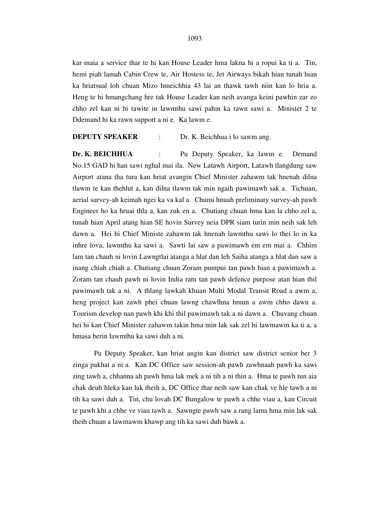kar maia a service thar te hi kan House Leader hma lakna hi a ropui ka ti a. Tin, hemi piah lamah Cabin Crew te, Air Hostess te, Jet Airways bikah hian tunah hian ka hriatsual loh chuan Mizo hmeichhia 43 lai an thawk tawh niin kan lo hria a. Heng te hi hmangchang hre tak House Leader kan neih avanga keini pawhin zar zo chho zel kan ni hi tawite in lawmthu sawi pahin ka rawn sawi a. Minister 2 te Ddemand hi ka rawn support a ni e. Ka lawm e.

## **DEPUTY SPEAKER** : Dr. K. Beichhua i lo sawm ang.

**Dr. K. BEICHHUA** : Pu Deputy Speaker, ka lawm e. Demand No.15 GAD hi han sawi nghal mai ila. New Latawh Airport, Latawh tlangdung saw Airport atana tha tura kan hriat avangin Chief Minister zahawm tak hnenah dilna tlawm te kan thehlut a, kan dilna tlawm tak min ngaih pawimawh sak a. Tichuan, aerial survey-ah keimah ngei ka va kal a. Chumi hnuah preliminary survey-ah pawh Engineer ho ka hruai thla a, kan zuk en a. Chutiang chuan hma kan la chho zel a, tunah hian April atang hian SE hovin Survey neia DPR siam turin min neih sak leh dawn a. Hei hi Chief Ministe zahawm tak hnenah lawmthu sawi lo thei lo in ka inhre lova, lawmthu ka sawi a. Sawti lai saw a pawimawh em em mai a. Chhim lam tan chauh ni lovin Lawngtlai atanga a hlat dan leh Saiha atanga a hlat dan saw a inang chiah chiah a. Chutiang chuan Zoram pumpui tan pawh hian a pawimawh a. Zoram tan chauh pawh ni lovin India ram tan pawh defence purpose atan hian thil pawimawh tak a ni. A thlang lawkah khuan Multi Modal Transit Road a awm a, heng project kan zawh phei chuan lawng chawlhna hmun a awm chho dawn a. Tourism develop nan pawh khi khi thil pawimawh tak a ni dawn a. Chuvang chuan hei hi kan Chief Minister zahawm takin hma min lak sak zel hi lawmawm ka ti a, a hmasa berin lawmthu ka sawi duh a ni.

 Pu Deputy Speaker, kan hriat angin kan district saw district senior ber 3 zinga pakhat a ni a. Kan DC Office saw session-ah pawh zawhnaah pawh ka sawi zing tawh a, chhanna ah pawh hma lak mek a ni tih a ni thin a. Hma te pawh tun aia chak deuh hleka kan lak theih a, DC Office thar neih saw kan chak ve hle tawh a ni tih ka sawi duh a. Tin, chu lovah DC Bungalow te pawh a chhe viau a, kan Circuit te pawh khi a chhe ve viau tawh a. Sawngte pawh saw a rang lama hma min lak sak theih chuan a lawmawm khawp ang tih ka sawi duh bawk a.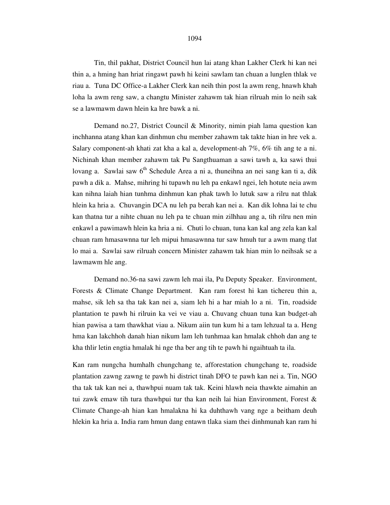Tin, thil pakhat, District Council hun lai atang khan Lakher Clerk hi kan nei thin a, a hming han hriat ringawt pawh hi keini sawlam tan chuan a lunglen thlak ve riau a. Tuna DC Office-a Lakher Clerk kan neih thin post la awm reng, hnawh khah loha la awm reng saw, a changtu Minister zahawm tak hian rilruah min lo neih sak se a lawmawm dawn hlein ka hre bawk a ni.

 Demand no.27, District Council & Minority, nimin piah lama question kan inchhanna atang khan kan dinhmun chu member zahawm tak takte hian in hre vek a. Salary component-ah khati zat kha a kal a, development-ah 7%, 6% tih ang te a ni. Nichinah khan member zahawm tak Pu Sangthuaman a sawi tawh a, ka sawi thui lovang a. Sawlai saw  $6<sup>th</sup>$  Schedule Area a ni a, thuneihna an nei sang kan ti a, dik pawh a dik a. Mahse, mihring hi tupawh nu leh pa enkawl ngei, leh hotute neia awm kan nihna laiah hian tunhma dinhmun kan phak tawh lo lutuk saw a rilru nat thlak hlein ka hria a. Chuvangin DCA nu leh pa berah kan nei a. Kan dik lohna lai te chu kan thatna tur a nihte chuan nu leh pa te chuan min zilhhau ang a, tih rilru nen min enkawl a pawimawh hlein ka hria a ni. Chuti lo chuan, tuna kan kal ang zela kan kal chuan ram hmasawnna tur leh mipui hmasawnna tur saw hmuh tur a awm mang tlat lo mai a. Sawlai saw rilruah concern Minister zahawm tak hian min lo neihsak se a lawmawm hle ang.

 Demand no.36-na sawi zawm leh mai ila, Pu Deputy Speaker. Environment, Forests & Climate Change Department. Kan ram forest hi kan tichereu thin a, mahse, sik leh sa tha tak kan nei a, siam leh hi a har miah lo a ni. Tin, roadside plantation te pawh hi rilruin ka vei ve viau a. Chuvang chuan tuna kan budget-ah hian pawisa a tam thawkhat viau a. Nikum aiin tun kum hi a tam lehzual ta a. Heng hma kan lakchhoh danah hian nikum lam leh tunhmaa kan hmalak chhoh dan ang te kha thlir letin engtia hmalak hi nge tha ber ang tih te pawh hi ngaihtuah ta ila.

Kan ram nungcha humhalh chungchang te, afforestation chungchang te, roadside plantation zawng zawng te pawh hi district tinah DFO te pawh kan nei a. Tin, NGO tha tak tak kan nei a, thawhpui nuam tak tak. Keini hlawh neia thawkte aimahin an tui zawk emaw tih tura thawhpui tur tha kan neih lai hian Environment, Forest & Climate Change-ah hian kan hmalakna hi ka duhthawh vang nge a beitham deuh hlekin ka hria a. India ram hmun dang entawn tlaka siam thei dinhmunah kan ram hi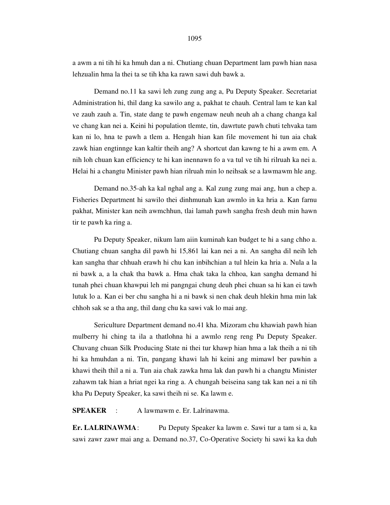a awm a ni tih hi ka hmuh dan a ni. Chutiang chuan Department lam pawh hian nasa lehzualin hma la thei ta se tih kha ka rawn sawi duh bawk a.

 Demand no.11 ka sawi leh zung zung ang a, Pu Deputy Speaker. Secretariat Administration hi, thil dang ka sawilo ang a, pakhat te chauh. Central lam te kan kal ve zauh zauh a. Tin, state dang te pawh engemaw neuh neuh ah a chang changa kal ve chang kan nei a. Keini hi population tlemte, tin, dawrtute pawh chuti tehvaka tam kan ni lo, hna te pawh a tlem a. Hengah hian kan file movement hi tun aia chak zawk hian engtinnge kan kaltir theih ang? A shortcut dan kawng te hi a awm em. A nih loh chuan kan efficiency te hi kan inennawn fo a va tul ve tih hi rilruah ka nei a. Helai hi a changtu Minister pawh hian rilruah min lo neihsak se a lawmawm hle ang.

 Demand no.35-ah ka kal nghal ang a. Kal zung zung mai ang, hun a chep a. Fisheries Department hi sawilo thei dinhmunah kan awmlo in ka hria a. Kan farnu pakhat, Minister kan neih awmchhun, tlai lamah pawh sangha fresh deuh min hawn tir te pawh ka ring a.

 Pu Deputy Speaker, nikum lam aiin kuminah kan budget te hi a sang chho a. Chutiang chuan sangha dil pawh hi 15,861 lai kan nei a ni. An sangha dil neih leh kan sangha thar chhuah erawh hi chu kan inbihchian a tul hlein ka hria a. Nula a la ni bawk a, a la chak tha bawk a. Hma chak taka la chhoa, kan sangha demand hi tunah phei chuan khawpui leh mi pangngai chung deuh phei chuan sa hi kan ei tawh lutuk lo a. Kan ei ber chu sangha hi a ni bawk si nen chak deuh hlekin hma min lak chhoh sak se a tha ang, thil dang chu ka sawi vak lo mai ang.

 Sericulture Department demand no.41 kha. Mizoram chu khawiah pawh hian mulberry hi ching ta ila a thatlohna hi a awmlo reng reng Pu Deputy Speaker. Chuvang chuan Silk Producing State ni thei tur khawp hian hma a lak theih a ni tih hi ka hmuhdan a ni. Tin, pangang khawi lah hi keini ang mimawl ber pawhin a khawi theih thil a ni a. Tun aia chak zawka hma lak dan pawh hi a changtu Minister zahawm tak hian a hriat ngei ka ring a. A chungah beiseina sang tak kan nei a ni tih kha Pu Deputy Speaker, ka sawi theih ni se. Ka lawm e.

**SPEAKER** : A lawmawm e. Er. Lalrinawma.

**Er. LALRINAWMA** : Pu Deputy Speaker ka lawm e. Sawi tur a tam si a, ka sawi zawr zawr mai ang a. Demand no.37, Co-Operative Society hi sawi ka ka duh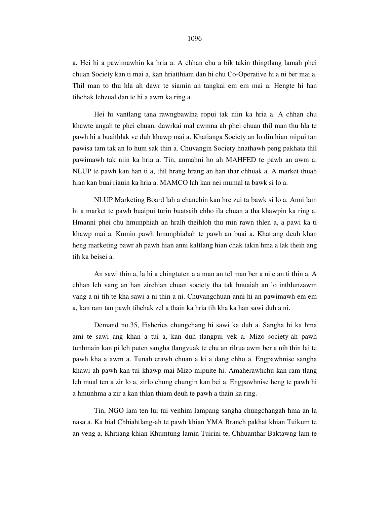a. Hei hi a pawimawhin ka hria a. A chhan chu a bik takin thingtlang lamah phei chuan Society kan ti mai a, kan hriatthiam dan hi chu Co-Operative hi a ni ber mai a. Thil man to thu hla ah dawr te siamin an tangkai em em mai a. Hengte hi han tihchak lehzual dan te hi a awm ka ring a.

 Hei hi vantlang tana rawngbawlna ropui tak niin ka hria a. A chhan chu khawte angah te phei chuan, dawrkai mal awmna ah phei chuan thil man thu hla te pawh hi a buaithlak ve duh khawp mai a. Khatianga Society an lo din hian mipui tan pawisa tam tak an lo hum sak thin a. Chuvangin Society hnathawh peng pakhata thil pawimawh tak niin ka hria a. Tin, anmahni ho ah MAHFED te pawh an awm a. NLUP te pawh kan han ti a, thil hrang hrang an han thar chhuak a. A market thuah hian kan buai riauin ka hria a. MAMCO lah kan nei mumal ta bawk si lo a.

 NLUP Marketing Board lah a chanchin kan hre zui ta bawk si lo a. Anni lam hi a market te pawh buaipui turin buatsaih chho ila chuan a tha khawpin ka ring a. Hmanni phei chu hmunphiah an hralh theihloh thu min rawn thlen a, a pawi ka ti khawp mai a. Kumin pawh hmunphiahah te pawh an buai a. Khatiang deuh khan heng marketing bawr ah pawh hian anni kaltlang hian chak takin hma a lak theih ang tih ka beisei a.

 An sawi thin a, la hi a chingtuten a a man an tel man ber a ni e an ti thin a. A chhan leh vang an han zirchian chuan society tha tak hnuaiah an lo inthlunzawm vang a ni tih te kha sawi a ni thin a ni. Chuvangchuan anni hi an pawimawh em em a, kan ram tan pawh tihchak zel a thain ka hria tih kha ka han sawi duh a ni.

 Demand no.35, Fisheries chungchang hi sawi ka duh a. Sangha hi ka hma ami te sawi ang khan a tui a, kan duh tlangpui vek a. Mizo society-ah pawh tunhmain kan pi leh puten sangha tlangvuak te chu an rilrua awm ber a nih thin lai te pawh kha a awm a. Tunah erawh chuan a ki a dang chho a. Engpawhnise sangha khawi ah pawh kan tui khawp mai Mizo mipuite hi. Amaherawhchu kan ram tlang leh mual ten a zir lo a, zirlo chung chungin kan bei a. Engpawhnise heng te pawh hi a hmunhma a zir a kan thlan thiam deuh te pawh a thain ka ring.

 Tin, NGO lam ten lui tui venhim lampang sangha chungchangah hma an la nasa a. Ka bial Chhiahtlang-ah te pawh khian YMA Branch pakhat khian Tuikum te an veng a. Khitiang khian Khumtung lamin Tuirini te, Chhuanthar Baktawng lam te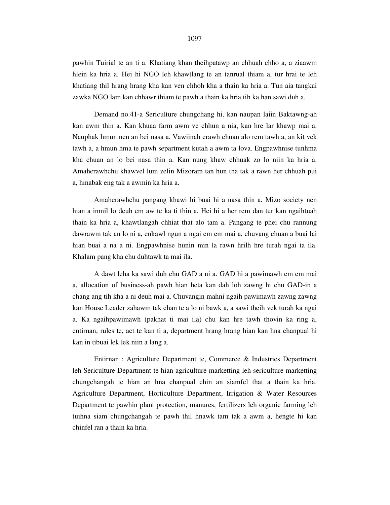pawhin Tuirial te an ti a. Khatiang khan theihpatawp an chhuah chho a, a ziaawm hlein ka hria a. Hei hi NGO leh khawtlang te an tanrual thiam a, tur hrai te leh khatiang thil hrang hrang kha kan ven chhoh kha a thain ka hria a. Tun aia tangkai zawka NGO lam kan chhawr thiam te pawh a thain ka hria tih ka han sawi duh a.

 Demand no.41-a Sericulture chungchang hi, kan naupan laiin Baktawng-ah kan awm thin a. Kan khuaa farm awm ve chhun a nia, kan hre lar khawp mai a. Nauphak hmun nen an bei nasa a. Vawiinah erawh chuan alo rem tawh a, an kit vek tawh a, a hmun hma te pawh separtment kutah a awm ta lova. Engpawhnise tunhma kha chuan an lo bei nasa thin a. Kan nung khaw chhuak zo lo niin ka hria a. Amaherawhchu khawvel lum zelin Mizoram tan hun tha tak a rawn her chhuah pui a, hmabak eng tak a awmin ka hria a.

 Amaherawhchu pangang khawi hi buai hi a nasa thin a. Mizo society nen hian a inmil lo deuh em aw te ka ti thin a. Hei hi a her rem dan tur kan ngaihtuah thain ka hria a, khawtlangah chhiat that alo tam a. Pangang te phei chu rannung dawrawm tak an lo ni a, enkawl ngun a ngai em em mai a, chuvang chuan a buai lai hian buai a na a ni. Engpawhnise hunin min la rawn hrilh hre turah ngai ta ila. Khalam pang kha chu duhtawk ta mai ila.

 A dawt leha ka sawi duh chu GAD a ni a. GAD hi a pawimawh em em mai a, allocation of business-ah pawh hian heta kan dah loh zawng hi chu GAD-in a chang ang tih kha a ni deuh mai a. Chuvangin mahni ngaih pawimawh zawng zawng kan House Leader zahawm tak chan te a lo ni bawk a, a sawi theih vek turah ka ngai a. Ka ngaihpawimawh (pakhat ti mai ila) chu kan hre tawh thovin ka ring a, entirnan, rules te, act te kan ti a, department hrang hrang hian kan hna chanpual hi kan in tibuai lek lek niin a lang a.

 Entirnan : Agriculture Department te, Commerce & Industries Department leh Sericulture Department te hian agriculture marketting leh sericulture marketting chungchangah te hian an hna chanpual chin an siamfel that a thain ka hria. Agriculture Department, Horticulture Department, Irrigation & Water Resources Department te pawhin plant protection, manures, fertilizers leh organic farming leh tuihna siam chungchangah te pawh thil hnawk tam tak a awm a, hengte hi kan chinfel ran a thain ka hria.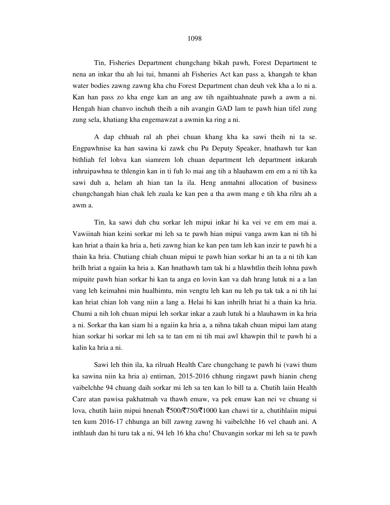### 1098

 Tin, Fisheries Department chungchang bikah pawh, Forest Department te nena an inkar thu ah lui tui, hmanni ah Fisheries Act kan pass a, khangah te khan water bodies zawng zawng kha chu Forest Department chan deuh vek kha a lo ni a. Kan han pass zo kha enge kan an ang aw tih ngaihtuahnate pawh a awm a ni. Hengah hian chanvo inchuh theih a nih avangin GAD lam te pawh hian tifel zung zung sela, khatiang kha engemawzat a awmin ka ring a ni.

 A dap chhuah ral ah phei chuan khang kha ka sawi theih ni ta se. Engpawhnise ka han sawina ki zawk chu Pu Deputy Speaker, hnathawh tur kan bithliah fel lohva kan siamrem loh chuan department leh department inkarah inhruipawhna te thlengin kan in ti fuh lo mai ang tih a hlauhawm em em a ni tih ka sawi duh a, helam ah hian tan la ila. Heng anmahni allocation of business chungchangah hian chak leh zuala ke kan pen a tha awm mang e tih kha rilru ah a awm a.

 Tin, ka sawi duh chu sorkar leh mipui inkar hi ka vei ve em em mai a. Vawiinah hian keini sorkar mi leh sa te pawh hian mipui vanga awm kan ni tih hi kan hriat a thain ka hria a, heti zawng hian ke kan pen tam leh kan inzir te pawh hi a thain ka hria. Chutiang chiah chuan mipui te pawh hian sorkar hi an ta a ni tih kan hrilh hriat a ngaiin ka hria a. Kan hnathawh tam tak hi a hlawhtlin theih lohna pawh mipuite pawh hian sorkar hi kan ta anga en lovin kan va dah hrang lutuk ni a a lan vang leh keimahni min hualhimtu, min vengtu leh kan nu leh pa tak tak a ni tih lai kan hriat chian loh vang niin a lang a. Helai hi kan inhrilh hriat hi a thain ka hria. Chumi a nih loh chuan mipui leh sorkar inkar a zauh lutuk hi a hlauhawm in ka hria a ni. Sorkar tha kan siam hi a ngaiin ka hria a, a nihna takah chuan mipui lam atang hian sorkar hi sorkar mi leh sa te tan em ni tih mai awl khawpin thil te pawh hi a kalin ka hria a ni.

 Sawi leh thin ila, ka rilruah Health Care chungchang te pawh hi (vawi thum ka sawina niin ka hria a) entirnan, 2015-2016 chhung ringawt pawh hianin cheng vaibelchhe 94 chuang daih sorkar mi leh sa ten kan lo bill ta a. Chutih laiin Health Care atan pawisa pakhatmah va thawh emaw, va pek emaw kan nei ve chuang si lova, chutih laiin mipui hnenah  $\bar{\xi}$ 500/ $\bar{\xi}$ 750/ $\bar{\xi}$ 1000 kan chawi tir a, chutihlaiin mipui ten kum 2016-17 chhunga an bill zawng zawng hi vaibelchhe 16 vel chauh ani. A inthlauh dan hi turu tak a ni, 94 leh 16 kha chu! Chuvangin sorkar mi leh sa te pawh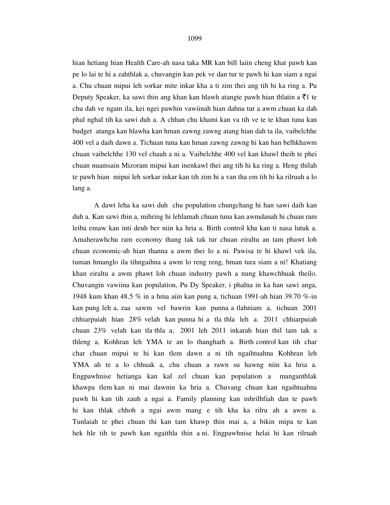hian hetiang hian Health Care-ah nasa taka MR kan bill laiin cheng khat pawh kan pe lo lai te hi a zahthlak a, chuvangin kan pek ve dan tur te pawh hi kan siam a ngai a. Chu chuan mipui leh sorkar mite inkar kha a ti zim thei ang tih hi ka ring a. Pu Deputy Speaker, ka sawi thin ang khan kan hlawh atangte pawh hian thlatin a  $\bar{\tau}$ 1 te chu dah ve ngam ila, kei ngei pawhin vawiinah hian dahna tur a awm chuan ka dah phal nghal tih ka sawi duh a. A chhan chu khami kan va tih ve te te khan tuna kan budget atanga kan hlawha kan hman zawng zawng atang hian dah ta ila, vaibelchhe 400 vel a daih dawn a. Tichuan tuna kan hman zawng zawng hi kan han belhkhawm chuan vaibelchhe 130 vel chauh a ni a. Vaibelchhe 400 vel kan khawl theih te phei chuan nuamsain Mizoram mipui kan inenkawl thei ang tih hi ka ring a. Heng thilah te pawh hian mipui leh sorkar inkar kan tih zim hi a van tha em tih hi ka rilruah a lo lang a.

 A dawt leha ka sawi duh chu population chungchang hi han sawi daih kan duh a. Kan sawi thin a, mihring hi lehlamah chuan tuna kan awmdanah hi chuan ram leiba emaw kan inti deuh ber niin ka hria a. Birth control kha kan ti nasa lutuk a. Amaherawhchu ram economy thang tak tak tur chuan eiraltu an tam phawt loh chuan economic-ah hian thanna a awm thei lo a ni. Pawisa te hi khawl vek ila, tuman hmanglo ila tihngaihna a awm lo reng reng, hman tura siam a ni! Khatiang khan eiraltu a awm phawt loh chuan industry pawh a nung khawchhuak theilo. Chuvangin vawiina kan population, Pu Dy Speaker, i phalna in ka han sawi anga, 1948 kum khan 48.5 % in a hma aiin kan pung a, tichuan 1991-ah hian 39.70 %-in kan pung leh a, zaa sawm vel bawrin kan punna a tlahniam a, tichuan 2001 chhiarpuiah hian 28% velah kan punna hi a tla thla leh a. 2011 chhiarpuiah chuan 23% velah kan tla thla a, 2001 leh 2011 inkarah hian thil tam tak a thleng a, Kohhran leh YMA te an lo thangharh a. Birth control kan tih char char chuan mipui te hi kan tlem dawn a ni tih ngaihtuahna Kohhran leh YMA ah te a lo chhuak a, chu chuan a rawn su hawng niin ka hria a. Engpawhnise hetianga kan kal zel chuan kan population a manganthlak khawpa tlem kan ni mai dawnin ka hria a. Chuvang chuan kan ngaihtuahna pawh hi kan tih zauh a ngai a. Family planning kan inhrilhfiah dan te pawh hi kan thlak chhoh a ngai awm mang e tih kha ka rilru ah a awm a. Tunlaiah te phei chuan thi kan tam khawp thin mai a, a bikin mipa te kan hek hle tih te pawh kan ngaithla thin a ni. Engpawhnise helai hi kan rilruah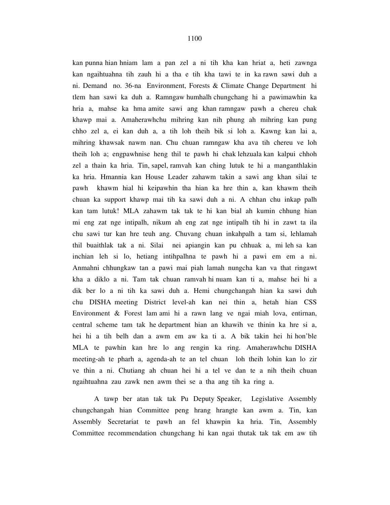kan punna hian hniam lam a pan zel a ni tih kha kan hriat a, heti zawnga kan ngaihtuahna tih zauh hi a tha e tih kha tawi te in ka rawn sawi duh a ni. Demand no. 36-na Environment, Forests & Climate Change Department hi tlem han sawi ka duh a. Ramngaw humhalh chungchang hi a pawimawhin ka hria a, mahse ka hma amite sawi ang khan ramngaw pawh a chereu chak khawp mai a. Amaherawhchu mihring kan nih phung ah mihring kan pung chho zel a, ei kan duh a, a tih loh theih bik si loh a. Kawng kan lai a, mihring khawsak nawm nan. Chu chuan ramngaw kha ava tih chereu ve loh theih loh a; engpawhnise heng thil te pawh hi chak lehzuala kan kalpui chhoh zel a thain ka hria. Tin, sapel, ramvah kan ching lutuk te hi a manganthlakin ka hria. Hmannia kan House Leader zahawm takin a sawi ang khan silai te pawh khawm hial hi keipawhin tha hian ka hre thin a, kan khawm theih chuan ka support khawp mai tih ka sawi duh a ni. A chhan chu inkap palh kan tam lutuk! MLA zahawm tak tak te hi kan bial ah kumin chhung hian mi eng zat nge intipalh, nikum ah eng zat nge intipalh tih hi in zawt ta ila chu sawi tur kan hre teuh ang. Chuvang chuan inkahpalh a tam si, lehlamah thil buaithlak tak a ni. Silai nei apiangin kan pu chhuak a, mi leh sa kan inchian leh si lo, hetiang intihpalhna te pawh hi a pawi em em a ni. Anmahni chhungkaw tan a pawi mai piah lamah nungcha kan va that ringawt kha a diklo a ni. Tam tak chuan ramvah hi nuam kan ti a, mahse hei hi a dik ber lo a ni tih ka sawi duh a. Hemi chungchangah hian ka sawi duh chu DISHA meeting District level-ah kan nei thin a, hetah hian CSS Environment & Forest lam ami hi a rawn lang ve ngai miah lova, entirnan, central scheme tam tak he department hian an khawih ve thinin ka hre si a, hei hi a tih belh dan a awm em aw ka ti a. A bik takin hei hi hon'ble MLA te pawhin kan hre lo ang rengin ka ring. Amaherawhchu DISHA meeting-ah te pharh a, agenda-ah te an tel chuan loh theih lohin kan lo zir ve thin a ni. Chutiang ah chuan hei hi a tel ve dan te a nih theih chuan ngaihtuahna zau zawk nen awm thei se a tha ang tih ka ring a.

 A tawp ber atan tak tak Pu Deputy Speaker, Legislative Assembly chungchangah hian Committee peng hrang hrangte kan awm a. Tin, kan Assembly Secretariat te pawh an fel khawpin ka hria. Tin, Assembly Committee recommendation chungchang hi kan ngai thutak tak tak em aw tih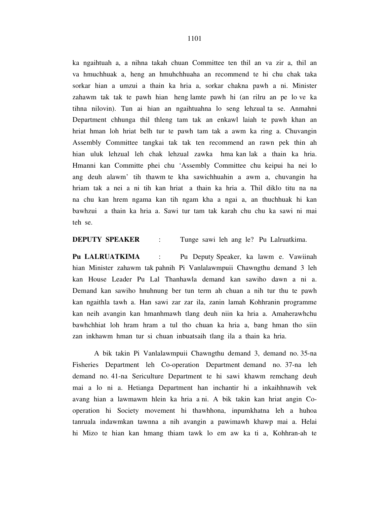ka ngaihtuah a, a nihna takah chuan Committee ten thil an va zir a, thil an va hmuchhuak a, heng an hmuhchhuaha an recommend te hi chu chak taka sorkar hian a umzui a thain ka hria a, sorkar chakna pawh a ni. Minister zahawm tak tak te pawh hian heng lamte pawh hi (an rilru an pe lo ve ka tihna nilovin). Tun ai hian an ngaihtuahna lo seng lehzual ta se. Anmahni Department chhunga thil thleng tam tak an enkawl laiah te pawh khan an hriat hman loh hriat belh tur te pawh tam tak a awm ka ring a. Chuvangin Assembly Committee tangkai tak tak ten recommend an rawn pek thin ah hian uluk lehzual leh chak lehzual zawka hma kan lak a thain ka hria. Hmanni kan Committe phei chu 'Assembly Committee chu keipui ha nei lo ang deuh alawm' tih thawm te kha sawichhuahin a awm a, chuvangin ha hriam tak a nei a ni tih kan hriat a thain ka hria a. Thil diklo titu na na na chu kan hrem ngama kan tih ngam kha a ngai a, an thuchhuak hi kan bawhzui a thain ka hria a. Sawi tur tam tak karah chu chu ka sawi ni mai teh se.

**DEPUTY SPEAKER** : Tunge sawi leh ang le? Pu Lalruatkima.

**Pu LALRUATKIMA** : Pu Deputy Speaker, ka lawm e. Vawiinah hian Minister zahawm tak pahnih Pi Vanlalawmpuii Chawngthu demand 3 leh kan House Leader Pu Lal Thanhawla demand kan sawiho dawn a ni a. Demand kan sawiho hnuhnung ber tun term ah chuan a nih tur thu te pawh kan ngaithla tawh a. Han sawi zar zar ila, zanin lamah Kohhranin programme kan neih avangin kan hmanhmawh tlang deuh niin ka hria a. Amaherawhchu bawhchhiat loh hram hram a tul tho chuan ka hria a, bang hman tho siin zan inkhawm hman tur si chuan inbuatsaih tlang ila a thain ka hria.

 A bik takin Pi Vanlalawmpuii Chawngthu demand 3, demand no. 35-na Fisheries Department leh Co-operation Department demand no. 37-na leh demand no. 41-na Sericulture Department te hi sawi khawm remchang deuh mai a lo ni a. Hetianga Department han inchantir hi a inkaihhnawih vek avang hian a lawmawm hlein ka hria a ni. A bik takin kan hriat angin Cooperation hi Society movement hi thawhhona, inpumkhatna leh a huhoa tanruala indawmkan tawnna a nih avangin a pawimawh khawp mai a. Helai hi Mizo te hian kan hmang thiam tawk lo em aw ka ti a, Kohhran-ah te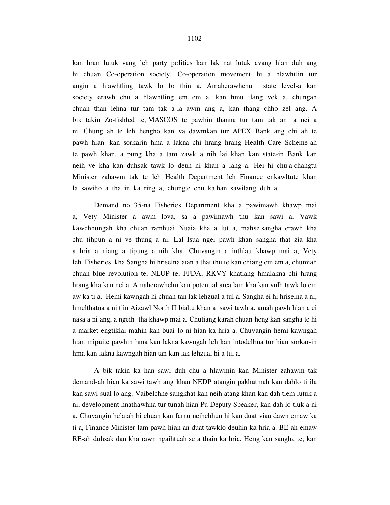kan hran lutuk vang leh party politics kan lak nat lutuk avang hian duh ang hi chuan Co-operation society, Co-operation movement hi a hlawhtlin tur angin a hlawhtling tawk lo fo thin a. Amaherawhchu state level-a kan society erawh chu a hlawhtling em em a, kan hmu tlang vek a, chungah chuan than lehna tur tam tak a la awm ang a, kan thang chho zel ang. A bik takin Zo-fishfed te, MASCOS te pawhin thanna tur tam tak an la nei a ni. Chung ah te leh hengho kan va dawmkan tur APEX Bank ang chi ah te pawh hian kan sorkarin hma a lakna chi hrang hrang Health Care Scheme-ah te pawh khan, a pung kha a tam zawk a nih lai khan kan state-in Bank kan neih ve kha kan duhsak tawk lo deuh ni khan a lang a. Hei hi chu a changtu Minister zahawm tak te leh Health Department leh Finance enkawltute khan la sawiho a tha in ka ring a, chungte chu ka han sawilang duh a.

 Demand no. 35-na Fisheries Department kha a pawimawh khawp mai a, Vety Minister a awm lova, sa a pawimawh thu kan sawi a. Vawk kawchhungah kha chuan ramhuai Nuaia kha a lut a, mahse sangha erawh kha chu tihpun a ni ve thung a ni. Lal Isua ngei pawh khan sangha that zia kha a hria a niang a tipung a nih kha! Chuvangin a inthlau khawp mai a, Vety leh Fisheries kha Sangha hi hriselna atan a that thu te kan chiang em em a, chumiah chuan blue revolution te, NLUP te, FFDA, RKVY khatiang hmalakna chi hrang hrang kha kan nei a. Amaherawhchu kan potential area lam kha kan vulh tawk lo em aw ka ti a. Hemi kawngah hi chuan tan lak lehzual a tul a. Sangha ei hi hriselna a ni, hmelthatna a ni tiin Aizawl North II bialtu khan a sawi tawh a, amah pawh hian a ei nasa a ni ang, a ngeih tha khawp mai a. Chutiang karah chuan heng kan sangha te hi a market engtiklai mahin kan buai lo ni hian ka hria a. Chuvangin hemi kawngah hian mipuite pawhin hma kan lakna kawngah leh kan intodelhna tur hian sorkar-in hma kan lakna kawngah hian tan kan lak lehzual hi a tul a.

 A bik takin ka han sawi duh chu a hlawmin kan Minister zahawm tak demand-ah hian ka sawi tawh ang khan NEDP atangin pakhatmah kan dahlo ti ila kan sawi sual lo ang. Vaibelchhe sangkhat kan neih atang khan kan dah tlem lutuk a ni, development hnathawhna tur tunah hian Pu Deputy Speaker, kan dah lo tluk a ni a. Chuvangin helaiah hi chuan kan farnu neihchhun hi kan duat viau dawn emaw ka ti a, Finance Minister lam pawh hian an duat tawklo deuhin ka hria a. BE-ah emaw RE-ah duhsak dan kha rawn ngaihtuah se a thain ka hria. Heng kan sangha te, kan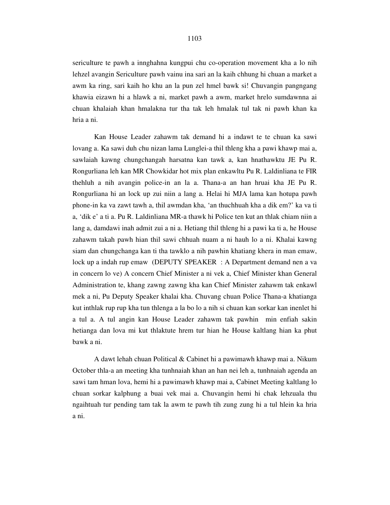sericulture te pawh a innghahna kungpui chu co-operation movement kha a lo nih lehzel avangin Sericulture pawh vainu ina sari an la kaih chhung hi chuan a market a awm ka ring, sari kaih ho khu an la pun zel hmel bawk si! Chuvangin pangngang khawia eizawn hi a hlawk a ni, market pawh a awm, market hrelo sumdawnna ai chuan khalaiah khan hmalakna tur tha tak leh hmalak tul tak ni pawh khan ka hria a ni.

 Kan House Leader zahawm tak demand hi a indawt te te chuan ka sawi lovang a. Ka sawi duh chu nizan lama Lunglei-a thil thleng kha a pawi khawp mai a, sawlaiah kawng chungchangah harsatna kan tawk a, kan hnathawktu JE Pu R. Rongurliana leh kan MR Chowkidar hot mix plan enkawltu Pu R. Laldinliana te FIR thehluh a nih avangin police-in an la a. Thana-a an han hruai kha JE Pu R. Rongurliana hi an lock up zui niin a lang a. Helai hi MJA lama kan hotupa pawh phone-in ka va zawt tawh a, thil awmdan kha, 'an thuchhuah kha a dik em?' ka va ti a, 'dik e' a ti a. Pu R. Laldinliana MR-a thawk hi Police ten kut an thlak chiam niin a lang a, damdawi inah admit zui a ni a. Hetiang thil thleng hi a pawi ka ti a, he House zahawm takah pawh hian thil sawi chhuah nuam a ni hauh lo a ni. Khalai kawng siam dan chungchanga kan ti tha tawklo a nih pawhin khatiang khera in man emaw, lock up a indah rup emaw (DEPUTY SPEAKER : A Department demand nen a va in concern lo ve) A concern Chief Minister a ni vek a, Chief Minister khan General Administration te, khang zawng zawng kha kan Chief Minister zahawm tak enkawl mek a ni, Pu Deputy Speaker khalai kha. Chuvang chuan Police Thana-a khatianga kut inthlak rup rup kha tun thlenga a la bo lo a nih si chuan kan sorkar kan inenlet hi a tul a. A tul angin kan House Leader zahawm tak pawhin min enfiah sakin hetianga dan lova mi kut thlaktute hrem tur hian he House kaltlang hian ka phut bawk a ni.

 A dawt lehah chuan Political & Cabinet hi a pawimawh khawp mai a. Nikum October thla-a an meeting kha tunhnaiah khan an han nei leh a, tunhnaiah agenda an sawi tam hman lova, hemi hi a pawimawh khawp mai a, Cabinet Meeting kaltlang lo chuan sorkar kalphung a buai vek mai a. Chuvangin hemi hi chak lehzuala thu ngaihtuah tur pending tam tak la awm te pawh tih zung zung hi a tul hlein ka hria a ni.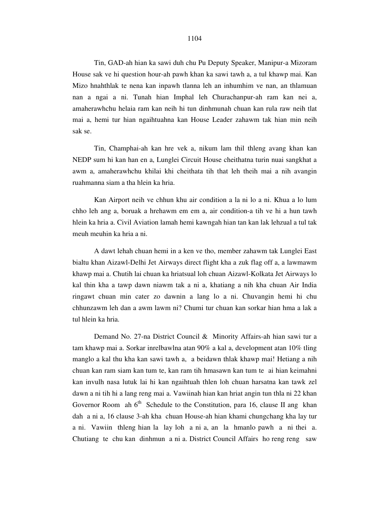Tin, GAD-ah hian ka sawi duh chu Pu Deputy Speaker, Manipur-a Mizoram House sak ve hi question hour-ah pawh khan ka sawi tawh a, a tul khawp mai. Kan Mizo hnahthlak te nena kan inpawh tlanna leh an inhumhim ve nan, an thlamuan nan a ngai a ni. Tunah hian Imphal leh Churachanpur-ah ram kan nei a, amaherawhchu helaia ram kan neih hi tun dinhmunah chuan kan rula raw neih tlat mai a, hemi tur hian ngaihtuahna kan House Leader zahawm tak hian min neih sak se.

 Tin, Champhai-ah kan hre vek a, nikum lam thil thleng avang khan kan NEDP sum hi kan han en a, Lunglei Circuit House cheithatna turin nuai sangkhat a awm a, amaherawhchu khilai khi cheithata tih that leh theih mai a nih avangin ruahmanna siam a tha hlein ka hria.

 Kan Airport neih ve chhun khu air condition a la ni lo a ni. Khua a lo lum chho leh ang a, boruak a hrehawm em em a, air condition-a tih ve hi a hun tawh hlein ka hria a. Civil Aviation lamah hemi kawngah hian tan kan lak lehzual a tul tak meuh meuhin ka hria a ni.

 A dawt lehah chuan hemi in a ken ve tho, member zahawm tak Lunglei East bialtu khan Aizawl-Delhi Jet Airways direct flight kha a zuk flag off a, a lawmawm khawp mai a. Chutih lai chuan ka hriatsual loh chuan Aizawl-Kolkata Jet Airways lo kal thin kha a tawp dawn niawm tak a ni a, khatiang a nih kha chuan Air India ringawt chuan min cater zo dawnin a lang lo a ni. Chuvangin hemi hi chu chhunzawm leh dan a awm lawm ni? Chumi tur chuan kan sorkar hian hma a lak a tul hlein ka hria.

 Demand No. 27-na District Council & Minority Affairs-ah hian sawi tur a tam khawp mai a. Sorkar inrelbawlna atan 90% a kal a, development atan 10% tling manglo a kal thu kha kan sawi tawh a, a beidawn thlak khawp mai! Hetiang a nih chuan kan ram siam kan tum te, kan ram tih hmasawn kan tum te ai hian keimahni kan invulh nasa lutuk lai hi kan ngaihtuah thlen loh chuan harsatna kan tawk zel dawn a ni tih hi a lang reng mai a. Vawiinah hian kan hriat angin tun thla ni 22 khan Governor Room ah  $6<sup>th</sup>$  Schedule to the Constitution, para 16, clause II ang khan dah a ni a, 16 clause 3-ah kha chuan House-ah hian khami chungchang kha lay tur a ni. Vawiin thleng hian la lay loh a ni a, an la hmanlo pawh a ni thei a. Chutiang te chu kan dinhmun a ni a. District Council Affairs ho reng reng saw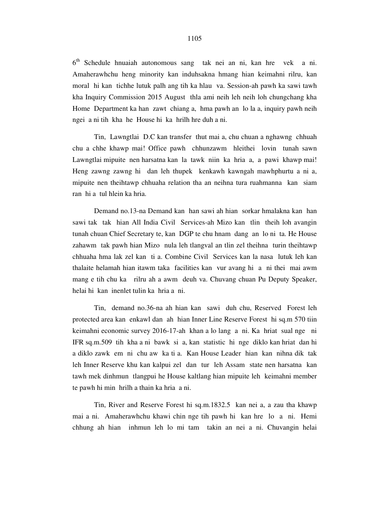6 th Schedule hnuaiah autonomous sang tak nei an ni, kan hre vek a ni. Amaherawhchu heng minority kan induhsakna hmang hian keimahni rilru, kan moral hi kan tichhe lutuk palh ang tih ka hlau va. Session-ah pawh ka sawi tawh kha Inquiry Commission 2015 August thla ami neih leh neih loh chungchang kha Home Department ka han zawt chiang a, hma pawh an lo la a, inquiry pawh neih ngei a ni tih kha he House hi ka hrilh hre duh a ni.

 Tin, Lawngtlai D.C kan transfer thut mai a, chu chuan a nghawng chhuah chu a chhe khawp mai! Office pawh chhunzawm hleithei lovin tunah sawn Lawngtlai mipuite nen harsatna kan la tawk niin ka hria a, a pawi khawp mai! Heng zawng zawng hi dan leh thupek kenkawh kawngah mawhphurtu a ni a, mipuite nen theihtawp chhuaha relation tha an neihna tura ruahmanna kan siam ran hi a tul hlein ka hria.

 Demand no.13-na Demand kan han sawi ah hian sorkar hmalakna kan han sawi tak tak hian All India Civil Services-ah Mizo kan tlin theih loh avangin tunah chuan Chief Secretary te, kan DGP te chu hnam dang an lo ni ta. He House zahawm tak pawh hian Mizo nula leh tlangval an tlin zel theihna turin theihtawp chhuaha hma lak zel kan ti a. Combine Civil Services kan la nasa lutuk leh kan thalaite helamah hian itawm taka facilities kan vur avang hi a ni thei mai awm mang e tih chu ka rilru ah a awm deuh va. Chuvang chuan Pu Deputy Speaker, helai hi kan inenlet tulin ka hria a ni.

 Tin, demand no.36-na ah hian kan sawi duh chu, Reserved Forest leh protected area kan enkawl dan ah hian Inner Line Reserve Forest hi sq.m 570 tiin keimahni economic survey 2016-17-ah khan a lo lang a ni. Ka hriat sual nge ni IFR sq.m.509 tih kha a ni bawk si a, kan statistic hi nge diklo kan hriat dan hi a diklo zawk em ni chu aw ka ti a. Kan House Leader hian kan nihna dik tak leh Inner Reserve khu kan kalpui zel dan tur leh Assam state nen harsatna kan tawh mek dinhmun tlangpui he House kaltlang hian mipuite leh keimahni member te pawh hi min hrilh a thain ka hria a ni.

 Tin, River and Reserve Forest hi sq.m.1832.5 kan nei a, a zau tha khawp mai a ni. Amaherawhchu khawi chin nge tih pawh hi kan hre lo a ni. Hemi chhung ah hian inhmun leh lo mi tam takin an nei a ni. Chuvangin helai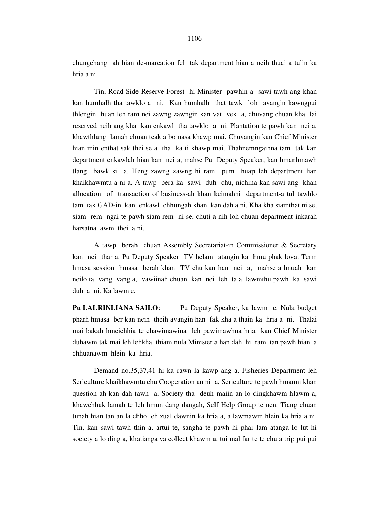chungchang ah hian de-marcation fel tak department hian a neih thuai a tulin ka hria a ni.

 Tin, Road Side Reserve Forest hi Minister pawhin a sawi tawh ang khan kan humhalh tha tawklo a ni. Kan humhalh that tawk loh avangin kawngpui thlengin huan leh ram nei zawng zawngin kan vat vek a, chuvang chuan kha lai reserved neih ang kha kan enkawl tha tawklo a ni. Plantation te pawh kan nei a, khawthlang lamah chuan teak a bo nasa khawp mai. Chuvangin kan Chief Minister hian min enthat sak thei se a tha ka ti khawp mai. Thahnemngaihna tam tak kan department enkawlah hian kan nei a, mahse Pu Deputy Speaker, kan hmanhmawh tlang bawk si a. Heng zawng zawng hi ram pum huap leh department lian khaikhawmtu a ni a. A tawp bera ka sawi duh chu, nichina kan sawi ang khan allocation of transaction of business-ah khan keimahni department-a tul tawhlo tam tak GAD-in kan enkawl chhungah khan kan dah a ni. Kha kha siamthat ni se, siam rem ngai te pawh siam rem ni se, chuti a nih loh chuan department inkarah harsatna awm thei a ni.

 A tawp berah chuan Assembly Secretariat-in Commissioner & Secretary kan nei thar a. Pu Deputy Speaker TV helam atangin ka hmu phak lova. Term hmasa session hmasa berah khan TV chu kan han nei a, mahse a hnuah kan neilo ta vang vang a, vawiinah chuan kan nei leh ta a, lawmthu pawh ka sawi duh a ni. Ka lawm e.

**Pu LALRINLIANA SAILO:** Pu Deputy Speaker, ka lawm e. Nula budget pharh hmasa ber kan neih theih avangin han fak kha a thain ka hria a ni. Thalai mai bakah hmeichhia te chawimawina leh pawimawhna hria kan Chief Minister duhawm tak mai leh lehkha thiam nula Minister a han dah hi ram tan pawh hian a chhuanawm hlein ka hria.

 Demand no.35,37,41 hi ka rawn la kawp ang a, Fisheries Department leh Sericulture khaikhawmtu chu Cooperation an ni a, Sericulture te pawh hmanni khan question-ah kan dah tawh a, Society tha deuh maiin an lo dingkhawm hlawm a, khawchhak lamah te leh hmun dang dangah, Self Help Group te nen. Tiang chuan tunah hian tan an la chho leh zual dawnin ka hria a, a lawmawm hlein ka hria a ni. Tin, kan sawi tawh thin a, artui te, sangha te pawh hi phai lam atanga lo lut hi society a lo ding a, khatianga va collect khawm a, tui mal far te te chu a trip pui pui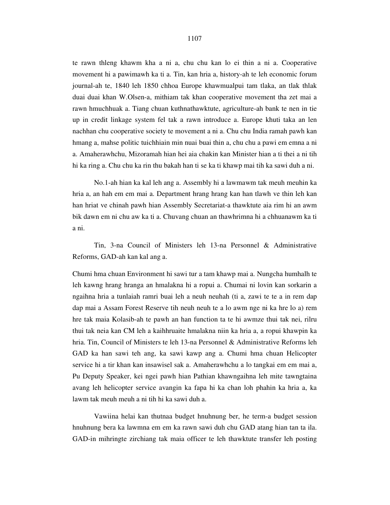te rawn thleng khawm kha a ni a, chu chu kan lo ei thin a ni a. Cooperative movement hi a pawimawh ka ti a. Tin, kan hria a, history-ah te leh economic forum journal-ah te, 1840 leh 1850 chhoa Europe khawmualpui tam tlaka, an tlak thlak duai duai khan W.Olsen-a, mithiam tak khan cooperative movement tha zet mai a rawn hmuchhuak a. Tiang chuan kuthnathawktute, agriculture-ah bank te nen in tie up in credit linkage system fel tak a rawn introduce a. Europe khuti taka an len nachhan chu cooperative society te movement a ni a. Chu chu India ramah pawh kan hmang a, mahse politic tuichhiain min nuai buai thin a, chu chu a pawi em emna a ni a. Amaherawhchu, Mizoramah hian hei aia chakin kan Minister hian a ti thei a ni tih hi ka ring a. Chu chu ka rin thu bakah han ti se ka ti khawp mai tih ka sawi duh a ni.

 No.1-ah hian ka kal leh ang a. Assembly hi a lawmawm tak meuh meuhin ka hria a, an hah em em mai a. Department hrang hrang kan han tlawh ve thin leh kan han hriat ve chinah pawh hian Assembly Secretariat-a thawktute aia rim hi an awm bik dawn em ni chu aw ka ti a. Chuvang chuan an thawhrimna hi a chhuanawm ka ti a ni.

 Tin, 3-na Council of Ministers leh 13-na Personnel & Administrative Reforms, GAD-ah kan kal ang a.

Chumi hma chuan Environment hi sawi tur a tam khawp mai a. Nungcha humhalh te leh kawng hrang hranga an hmalakna hi a ropui a. Chumai ni lovin kan sorkarin a ngaihna hria a tunlaiah ramri buai leh a neuh neuhah (ti a, zawi te te a in rem dap dap mai a Assam Forest Reserve tih neuh neuh te a lo awm nge ni ka hre lo a) rem hre tak maia Kolasib-ah te pawh an han function ta te hi awmze thui tak nei, rilru thui tak neia kan CM leh a kaihhruaite hmalakna niin ka hria a, a ropui khawpin ka hria. Tin, Council of Ministers te leh 13-na Personnel & Administrative Reforms leh GAD ka han sawi teh ang, ka sawi kawp ang a. Chumi hma chuan Helicopter service hi a tir khan kan insawisel sak a. Amaherawhchu a lo tangkai em em mai a, Pu Deputy Speaker, kei ngei pawh hian Pathian khawngaihna leh mite tawngtaina avang leh helicopter service avangin ka fapa hi ka chan loh phahin ka hria a, ka lawm tak meuh meuh a ni tih hi ka sawi duh a.

 Vawiina helai kan thutnaa budget hnuhnung ber, he term-a budget session hnuhnung bera ka lawmna em em ka rawn sawi duh chu GAD atang hian tan ta ila. GAD-in mihringte zirchiang tak maia officer te leh thawktute transfer leh posting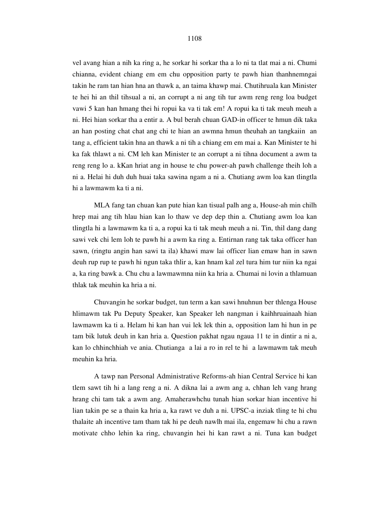1108

vel avang hian a nih ka ring a, he sorkar hi sorkar tha a lo ni ta tlat mai a ni. Chumi chianna, evident chiang em em chu opposition party te pawh hian thanhnemngai takin he ram tan hian hna an thawk a, an taima khawp mai. Chutihruala kan Minister te hei hi an thil tihsual a ni, an corrupt a ni ang tih tur awm reng reng loa budget vawi 5 kan han hmang thei hi ropui ka va ti tak em! A ropui ka ti tak meuh meuh a ni. Hei hian sorkar tha a entir a. A bul berah chuan GAD-in officer te hmun dik taka an han posting chat chat ang chi te hian an awmna hmun theuhah an tangkaiin an tang a, efficient takin hna an thawk a ni tih a chiang em em mai a. Kan Minister te hi ka fak thlawt a ni. CM leh kan Minister te an corrupt a ni tihna document a awm ta reng reng lo a. kKan hriat ang in house te chu power-ah pawh challenge theih loh a ni a. Helai hi duh duh huai taka sawina ngam a ni a. Chutiang awm loa kan tlingtla hi a lawmawm ka ti a ni.

 MLA fang tan chuan kan pute hian kan tisual palh ang a, House-ah min chilh hrep mai ang tih hlau hian kan lo thaw ve dep dep thin a. Chutiang awm loa kan tlingtla hi a lawmawm ka ti a, a ropui ka ti tak meuh meuh a ni. Tin, thil dang dang sawi vek chi lem loh te pawh hi a awm ka ring a. Entirnan rang tak taka officer han sawn, (ringtu angin han sawi ta ila) khawi maw lai officer lian emaw han in sawn deuh rup rup te pawh hi ngun taka thlir a, kan hnam kal zel tura him tur niin ka ngai a, ka ring bawk a. Chu chu a lawmawmna niin ka hria a. Chumai ni lovin a thlamuan thlak tak meuhin ka hria a ni.

 Chuvangin he sorkar budget, tun term a kan sawi hnuhnun ber thlenga House hlimawm tak Pu Deputy Speaker, kan Speaker leh nangman i kaihhruainaah hian lawmawm ka ti a. Helam hi kan han vui lek lek thin a, opposition lam hi hun in pe tam bik lutuk deuh in kan hria a. Question pakhat ngau ngaua 11 te in dintir a ni a, kan lo chhinchhiah ve ania. Chutianga a lai a ro in rel te hi a lawmawm tak meuh meuhin ka hria.

 A tawp nan Personal Administrative Reforms-ah hian Central Service hi kan tlem sawt tih hi a lang reng a ni. A dikna lai a awm ang a, chhan leh vang hrang hrang chi tam tak a awm ang. Amaherawhchu tunah hian sorkar hian incentive hi lian takin pe se a thain ka hria a, ka rawt ve duh a ni. UPSC-a inziak tling te hi chu thalaite ah incentive tam tham tak hi pe deuh nawlh mai ila, engemaw hi chu a rawn motivate chho lehin ka ring, chuvangin hei hi kan rawt a ni. Tuna kan budget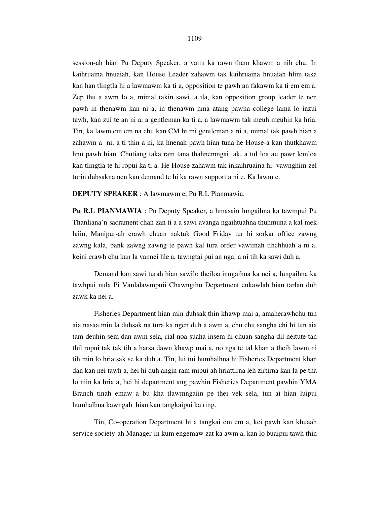session-ah hian Pu Deputy Speaker, a vaiin ka rawn tham khawm a nih chu. In kaihruaina hnuaiah, kan House Leader zahawm tak kaihruaina hnuaiah hlim taka kan han tlingtla hi a lawmawm ka ti a, opposition te pawh an fakawm ka ti em em a. Zep thu a awm lo a, mimal takin sawi ta ila, kan opposition group leader te nen pawh in thenawm kan ni a, in thenawm hma atang pawha college lama lo inzui tawh, kan zui te an ni a, a gentleman ka ti a, a lawmawm tak meuh meuhin ka hria. Tin, ka lawm em em na chu kan CM hi mi gentleman a ni a, mimal tak pawh hian a zahawm a ni, a ti thin a ni, ka hnenah pawh hian tuna he House-a kan thutkhawm hnu pawh hian. Chutiang taka ram tana thahnemngai tak, a tul loa au pawr lemloa kan tlingtla te hi ropui ka ti a. He House zahawm tak inkaihruaina hi vawnghim zel turin duhsakna nen kan demand te hi ka rawn support a ni e. Ka lawm e.

**DEPUTY SPEAKER** : A lawmawm e, Pu R.L Pianmawia.

**Pu R.L PIANMAWIA** : Pu Deputy Speaker, a hmasain lungaihna ka tawmpui Pu Thanliana'n sacrament chan zan ti a a sawi avanga ngaihtuahna thuhmuna a kal mek laiin, Manipur-ah erawh chuan naktuk Good Friday tur hi sorkar office zawng zawng kala, bank zawng zawng te pawh kal tura order vawiinah tihchhuah a ni a, keini erawh chu kan la vannei hle a, tawngtai pui an ngai a ni tih ka sawi duh a.

 Demand kan sawi turah hian sawilo theiloa inngaihna ka nei a, lungaihna ka tawhpui nula Pi Vanlalawmpuii Chawngthu Department enkawlah hian tarlan duh zawk ka nei a.

 Fisheries Department hian min duhsak thin khawp mai a, amaherawhchu tun aia nasaa min la duhsak na tura ka ngen duh a awm a, chu chu sangha chi hi tun aia tam deuhin sem dan awm sela, rial noa suaha insem hi chuan sangha dil neitute tan thil ropui tak tak tih a harsa dawn khawp mai a, no nga te tal khan a theih lawm ni tih min lo hriatsak se ka duh a. Tin, lui tui humhalhna hi Fisheries Department khan dan kan nei tawh a, hei hi duh angin ram mipui ah hriattirna leh zirtirna kan la pe tha lo niin ka hria a, hei hi department ang pawhin Fisheries Department pawhin YMA Branch tinah emaw a bu kha tlawmngaiin pe thei vek sela, tun ai hian luipui humhalhna kawngah hian kan tangkaipui ka ring.

 Tin, Co-operation Department hi a tangkai em em a, kei pawh kan khuaah service society-ah Manager-in kum engemaw zat ka awm a, kan lo buaipui tawh thin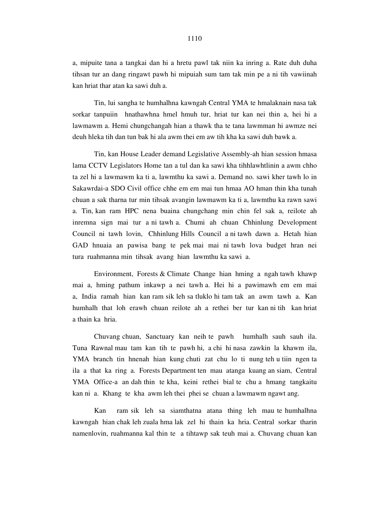a, mipuite tana a tangkai dan hi a hretu pawl tak niin ka inring a. Rate duh duha tihsan tur an dang ringawt pawh hi mipuiah sum tam tak min pe a ni tih vawiinah kan hriat thar atan ka sawi duh a.

 Tin, lui sangha te humhalhna kawngah Central YMA te hmalaknain nasa tak sorkar tanpuiin hnathawhna hmel hmuh tur, hriat tur kan nei thin a, hei hi a lawmawm a. Hemi chungchangah hian a thawk tha te tana lawmman hi awmze nei deuh hleka tih dan tun bak hi ala awm thei em aw tih kha ka sawi duh bawk a.

 Tin, kan House Leader demand Legislative Assembly-ah hian session hmasa lama CCTV Legislators Home tan a tul dan ka sawi kha tihhlawhtlinin a awm chho ta zel hi a lawmawm ka ti a, lawmthu ka sawi a. Demand no. sawi kher tawh lo in Sakawrdai-a SDO Civil office chhe em em mai tun hmaa AO hman thin kha tunah chuan a sak tharna tur min tihsak avangin lawmawm ka ti a, lawmthu ka rawn sawi a. Tin, kan ram HPC nena buaina chungchang min chin fel sak a, reilote ah inremna sign mai tur a ni tawh a. Chumi ah chuan Chhinlung Development Council ni tawh lovin, Chhinlung Hills Council a ni tawh dawn a. Hetah hian GAD hnuaia an pawisa bang te pek mai mai ni tawh lova budget hran nei tura ruahmanna min tihsak avang hian lawmthu ka sawi a.

 Environment, Forests & Climate Change hian hming a ngah tawh khawp mai a, hming pathum inkawp a nei tawh a. Hei hi a pawimawh em em mai a, India ramah hian kan ram sik leh sa tluklo hi tam tak an awm tawh a. Kan humhalh that loh erawh chuan reilote ah a rethei ber tur kan ni tih kan hriat a thain ka hria.

 Chuvang chuan, Sanctuary kan neih te pawh humhalh sauh sauh ila. Tuna Rawnal mau tam kan tih te pawh hi, a chi hi nasa zawkin la khawm ila, YMA branch tin hnenah hian kung chuti zat chu lo ti nung teh u tiin ngen ta ila a that ka ring a. Forests Department ten mau atanga kuang an siam, Central YMA Office-a an dah thin te kha, keini rethei bial te chu a hmang tangkaitu kan ni a. Khang te kha awm leh thei phei se chuan a lawmawm ngawt ang.

 Kan ram sik leh sa siamthatna atana thing leh mau te humhalhna kawngah hian chak leh zuala hma lak zel hi thain ka hria. Central sorkar tharin namenlovin, ruahmanna kal thin te a tihtawp sak teuh mai a. Chuvang chuan kan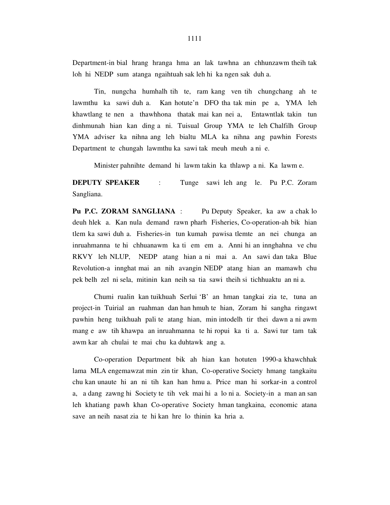Department-in bial hrang hranga hma an lak tawhna an chhunzawm theih tak loh hi NEDP sum atanga ngaihtuah sak leh hi ka ngen sak duh a.

 Tin, nungcha humhalh tih te, ram kang ven tih chungchang ah te lawmthu ka sawi duh a. Kan hotute'n DFO tha tak min pe a, YMA leh khawtlang te nen a thawhhona thatak mai kan nei a, Entawntlak takin tun dinhmunah hian kan ding a ni. Tuisual Group YMA te leh Chalfilh Group YMA adviser ka nihna ang leh bialtu MLA ka nihna ang pawhin Forests Department te chungah lawmthu ka sawi tak meuh meuh a ni e.

Minister pahnihte demand hi lawm takin ka thlawp a ni. Ka lawm e.

**DEPUTY SPEAKER** : Tunge sawi leh ang le. Pu P.C. Zoram Sangliana.

**Pu P.C. ZORAM SANGLIANA** : Pu Deputy Speaker, ka aw a chak lo deuh hlek a. Kan nula demand rawn pharh Fisheries, Co-operation-ah bik hian tlem ka sawi duh a. Fisheries-in tun kumah pawisa tlemte an nei chunga an inruahmanna te hi chhuanawm ka ti em em a. Anni hi an innghahna ve chu RKVY leh NLUP, NEDP atang hian a ni mai a. An sawi dan taka Blue Revolution-a innghat mai an nih avangin NEDP atang hian an mamawh chu pek belh zel ni sela, mitinin kan neih sa tia sawi theih si tichhuaktu an ni a.

 Chumi rualin kan tuikhuah Serlui 'B' an hman tangkai zia te, tuna an project-in Tuirial an ruahman dan han hmuh te hian, Zoram hi sangha ringawt pawhin heng tuikhuah pali te atang hian, min intodelh tir thei dawn a ni awm mang e aw tih khawpa an inruahmanna te hi ropui ka ti a. Sawi tur tam tak awm kar ah chulai te mai chu ka duhtawk ang a.

 Co-operation Department bik ah hian kan hotuten 1990-a khawchhak lama MLA engemawzat min zin tir khan, Co-operative Society hmang tangkaitu chu kan unaute hi an ni tih kan han hmu a. Price man hi sorkar-in a control a, a dang zawng hi Society te tih vek mai hi a lo ni a. Society-in a man an san leh khatiang pawh khan Co-operative Society hman tangkaina, economic atana save an neih nasat zia te hi kan hre lo thinin ka hria a.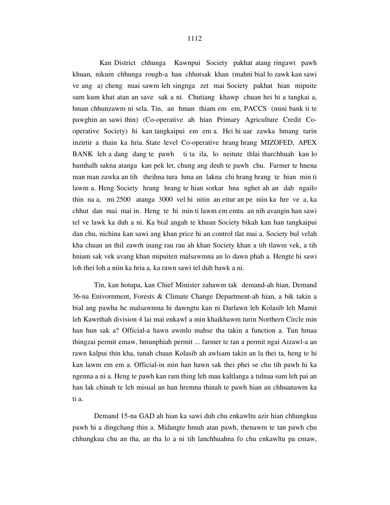Kan District chhunga Kawnpui Society pakhat atang ringawt pawh khuan, nikum chhunga rough-a han chhutsak khan (mahni bial lo zawk kan sawi ve ang a) cheng nuai sawm leh singnga zet mai Society pakhat hian mipuite sum kum khat atan an save sak a ni. Chutiang khawp chuan hei hi a tangkai a, hman chhunzawm ni sela. Tin, an hman thiam em em, PACCS (mini bank ti te pawghin an sawi thin) (Co-operative ah hian Primary Agriculture Credit Cooperative Society) hi kan tangkaipui em em a. Hei hi uar zawka hmang turin inzirtir a thain ka hria. State level Co-operative hrang hrang MIZOFED, APEX BANK leh a dang dang te pawh ti ta ila, lo neitute thlai tharchhuah kan lo humhalh sakna atanga kan pek let, chung ang deuh te pawh chu. Farmer te hnena man man zawka an tih theihna tura hma an lakna chi hrang hrang te hian min ti lawm a. Heng Society hrang hrang te hian sorkar hna nghet ah an dah ngailo thin na a, mi 2500 atanga 3000 vel hi nitin an eitur an pe niin ka hre ve a, ka chhut dan mai mai in. Heng te hi min ti lawm em emtu an nih avangin han sawi tel ve lawk ka duh a ni. Ka bial angah te khuan Society bikah kan han tangkaipui dan chu, nichina kan sawi ang khan price hi an control tlat mai a, Society bul velah kha chuan an thil zawrh inang rau rau ah khan Society khan a tih tlawm vek, a tih hniam sak vek avang khan mipuiten malsawmna an lo dawn phah a. Hengte hi sawi loh thei loh a niin ka hria a, ka rawn sawi tel duh bawk a ni.

 Tin, kan hotupa, kan Chief Minister zahawm tak demand-ah hian, Demand 36-na Enivornment, Forests & Climate Change Department-ah hian, a bik takin a bial ang pawha he malsawmna hi dawngtu kan ni Darlawn leh Kolasib leh Mamit leh Kawrthah division 4 lai mai enkawl a min khaikhawm turin Northern Circle min han hun sak a? Official-a hawn awmlo mahse tha takin a function a. Tun hmaa thingzai permit emaw, hmunphiah permit ... farmer te tan a permit ngai Aizawl-a an rawn kalpui thin kha, tunah chuan Kolasib ah awlsam takin an la thei ta, heng te hi kan lawm em em a. Official-in min han hawn sak thei phei se chu tih pawh hi ka ngenna a ni a. Heng te pawh kan ram thing leh mau kaltlanga a tulnaa sum leh pai an han lak chinah te leh misual an han hremna thinah te pawh hian an chhuanawm ka ti a.

 Demand 15-na GAD ah hian ka sawi duh chu enkawltu azir hian chhungkua pawh hi a dingchang thin a. Midangte hmuh atan pawh, thenawm te tan pawh chu chhungkua chu an tha, an tha lo a ni tih lanchhuahna fo chu enkawltu pa emaw,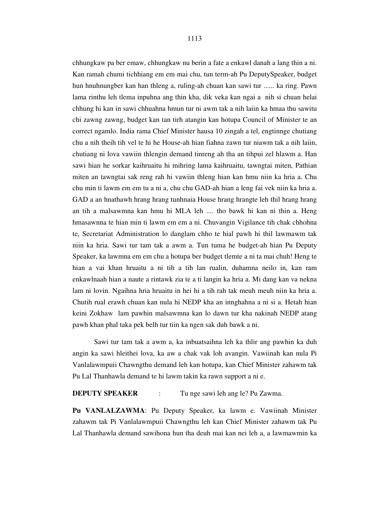chhungkaw pa ber emaw, chhungkaw nu berin a fate a enkawl danah a lang thin a ni. Kan ramah chumi tichhiang em em mai chu, tun term-ah Pu DeputySpeaker, budget hun hnuhnungber kan han thleng a, ruling-ah chuan kan sawi tur ...... ka ring. Pawn lama rinthu leh tlema inpuhna ang thin kha, dik veka kan ngai a nih si chuan helai chhung hi kan in sawi chhuahna hmun tur ni awm tak a nih laiin ka hmaa thu sawitu chi zawng zawng, budget kan tan tirh atangin kan hotupa Council of Minister te an correct ngamlo. India rama Chief Minister hausa 10 zingah a tel, engtinnge chutiang chu a nih theih tih vel te hi he House-ah hian fiahna zawn tur niawm tak a nih laiin, chutiang ni lova vawiin thlengin demand tinreng ah tha an tihpui zel hlawm a. Han sawi hian he sorkar kaihruaitu hi mihring lama kaihruaitu, tawngtai miten, Pathian miten an tawngtai sak reng rah hi vawiin thleng hian kan hmu niin ka hria a. Chu chu min ti lawm em em tu a ni a, chu chu GAD-ah hian a leng fai vek niin ka hria a. GAD a an hnathawh hrang hrang tunhnaia House hrang hrangte leh thil hrang hrang an tih a malsawmna kan hmu hi MLA leh .... tho bawk hi kan ni thin a. Heng hmasawnna te hian min ti lawm em em a ni. Chuvangin Vigilance tih chak chhohna te, Secretariat Administration lo danglam chho te hial pawh hi thil lawmawm tak niin ka hria. Sawi tur tam tak a awm a. Tun tuma he budget-ah hian Pu Deputy Speaker, ka lawmna em em chu a hotupa ber budget tlemte a ni ta mai chuh! Heng te hian a vai khan hruaitu a ni tih a tih lan rualin, duhamna neilo in, kan ram enkawlnaah hian a naute a rintawk zia te a ti langin ka hria a. Mi dang kan va nekna lam ni lovin. Ngaihna hria hruaitu in hei hi a tih rah tak meuh meuh niin ka hria a. Chutih rual erawh chuan kan nula hi NEDP kha an innghahna a ni si a. Hetah hian keini Zokhaw lam pawhin malsawmna kan lo dawn tur kha nakinah NEDP atang pawh khan phal taka pek belh tur tiin ka ngen sak duh bawk a ni.

 Sawi tur tam tak a awm a, ka inbuatsaihna leh ka thlir ang pawhin ka duh angin ka sawi hleithei lova, ka aw a chak vak loh avangin. Vawiinah kan nula Pi Vanlalawmpuii Chawngthu demand leh kan hotupa, kan Chief Minister zahawm tak Pu Lal Thanhawla demand te hi lawm takin ka rawn support a ni e.

# **DEPUTY SPEAKER** : Tu nge sawi leh ang le? Pu Zawma.

**Pu VANLALZAWMA**: Pu Deputy Speaker, ka lawm e. Vawiinah Minister zahawm tak Pi Vanlalawmpuii Chawngthu leh kan Chief Minister zahawm tak Pu Lal Thanhawla demand sawihona hun tha deuh mai kan nei leh a, a lawmawmin ka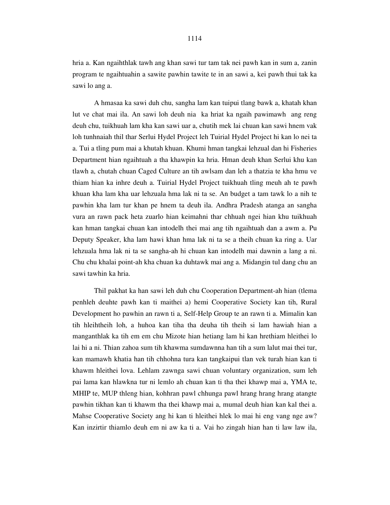hria a. Kan ngaihthlak tawh ang khan sawi tur tam tak nei pawh kan in sum a, zanin program te ngaihtuahin a sawite pawhin tawite te in an sawi a, kei pawh thui tak ka sawi lo ang a.

 A hmasaa ka sawi duh chu, sangha lam kan tuipui tlang bawk a, khatah khan lut ve chat mai ila. An sawi loh deuh nia ka hriat ka ngaih pawimawh ang reng deuh chu, tuikhuah lam kha kan sawi uar a, chutih mek lai chuan kan sawi hnem vak loh tunhnaiah thil thar Serlui Hydel Project leh Tuirial Hydel Project hi kan lo nei ta a. Tui a tling pum mai a khutah khuan. Khumi hman tangkai lehzual dan hi Fisheries Department hian ngaihtuah a tha khawpin ka hria. Hman deuh khan Serlui khu kan tlawh a, chutah chuan Caged Culture an tih awlsam dan leh a thatzia te kha hmu ve thiam hian ka inhre deuh a. Tuirial Hydel Project tuikhuah tling meuh ah te pawh khuan kha lam kha uar lehzuala hma lak ni ta se. An budget a tam tawk lo a nih te pawhin kha lam tur khan pe hnem ta deuh ila. Andhra Pradesh atanga an sangha vura an rawn pack heta zuarlo hian keimahni thar chhuah ngei hian khu tuikhuah kan hman tangkai chuan kan intodelh thei mai ang tih ngaihtuah dan a awm a. Pu Deputy Speaker, kha lam hawi khan hma lak ni ta se a theih chuan ka ring a. Uar lehzuala hma lak ni ta se sangha-ah hi chuan kan intodelh mai dawnin a lang a ni. Chu chu khalai point-ah kha chuan ka duhtawk mai ang a. Midangin tul dang chu an sawi tawhin ka hria.

Thil pakhat ka han sawi leh duh chu Cooperation Department-ah hian (tlema penhleh deuhte pawh kan ti maithei a) hemi Cooperative Society kan tih, Rural Development ho pawhin an rawn ti a, Self-Help Group te an rawn ti a. Mimalin kan tih hleihtheih loh, a huhoa kan tiha tha deuha tih theih si lam hawiah hian a manganthlak ka tih em em chu Mizote hian hetiang lam hi kan hrethiam hleithei lo lai hi a ni. Thian zahoa sum tih khawma sumdawnna han tih a sum lalut mai thei tur, kan mamawh khatia han tih chhohna tura kan tangkaipui tlan vek turah hian kan ti khawm hleithei lova. Lehlam zawnga sawi chuan voluntary organization, sum leh pai lama kan hlawkna tur ni lemlo ah chuan kan ti tha thei khawp mai a, YMA te, MHIP te, MUP thleng hian, kohhran pawl chhunga pawl hrang hrang hrang atangte pawhin tikhan kan ti khawm tha thei khawp mai a, mumal deuh hian kan kal thei a. Mahse Cooperative Society ang hi kan ti hleithei hlek lo mai hi eng vang nge aw? Kan inzirtir thiamlo deuh em ni aw ka ti a. Vai ho zingah hian han ti law law ila,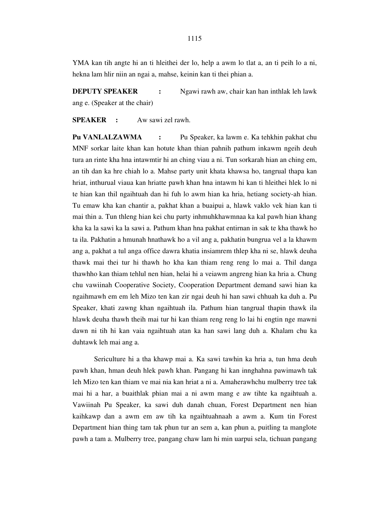YMA kan tih angte hi an ti hleithei der lo, help a awm lo tlat a, an ti peih lo a ni, hekna lam hlir niin an ngai a, mahse, keinin kan ti thei phian a.

**DEPUTY SPEAKER :** Ngawi rawh aw, chair kan han inthlak leh lawk ang e. (Speaker at the chair)

**SPEAKER :** Aw sawi zel rawh.

**Pu VANLALZAWMA :** Pu Speaker, ka lawm e. Ka tehkhin pakhat chu MNF sorkar laite khan kan hotute khan thian pahnih pathum inkawm ngeih deuh tura an rinte kha hna intawmtir hi an ching viau a ni. Tun sorkarah hian an ching em, an tih dan ka hre chiah lo a. Mahse party unit khata khawsa ho, tangrual thapa kan hriat, inthurual viaua kan hriatte pawh khan hna intawm hi kan ti hleithei hlek lo ni te hian kan thil ngaihtuah dan hi fuh lo awm hian ka hria, hetiang society-ah hian. Tu emaw kha kan chantir a, pakhat khan a buaipui a, hlawk vaklo vek hian kan ti mai thin a. Tun thleng hian kei chu party inhmuhkhawmnaa ka kal pawh hian khang kha ka la sawi ka la sawi a. Pathum khan hna pakhat entirnan in sak te kha thawk ho ta ila. Pakhatin a hmunah hnathawk ho a vil ang a, pakhatin bungrua vel a la khawm ang a, pakhat a tul anga office dawra khatia insiamrem thlep kha ni se, hlawk deuha thawk mai thei tur hi thawh ho kha kan thiam reng reng lo mai a. Thil danga thawhho kan thiam tehlul nen hian, helai hi a veiawm angreng hian ka hria a. Chung chu vawiinah Cooperative Society, Cooperation Department demand sawi hian ka ngaihmawh em em leh Mizo ten kan zir ngai deuh hi han sawi chhuah ka duh a. Pu Speaker, khati zawng khan ngaihtuah ila. Pathum hian tangrual thapin thawk ila hlawk deuha thawh theih mai tur hi kan thiam reng reng lo lai hi engtin nge mawni dawn ni tih hi kan vaia ngaihtuah atan ka han sawi lang duh a. Khalam chu ka duhtawk leh mai ang a.

 Sericulture hi a tha khawp mai a. Ka sawi tawhin ka hria a, tun hma deuh pawh khan, hman deuh hlek pawh khan. Pangang hi kan innghahna pawimawh tak leh Mizo ten kan thiam ve mai nia kan hriat a ni a. Amaherawhchu mulberry tree tak mai hi a har, a buaithlak phian mai a ni awm mang e aw tihte ka ngaihtuah a. Vawiinah Pu Speaker, ka sawi duh danah chuan, Forest Department nen hian kaihkawp dan a awm em aw tih ka ngaihtuahnaah a awm a. Kum tin Forest Department hian thing tam tak phun tur an sem a, kan phun a, puitling ta manglote pawh a tam a. Mulberry tree, pangang chaw lam hi min uarpui sela, tichuan pangang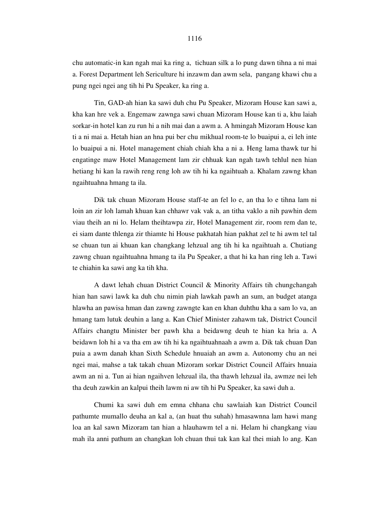chu automatic-in kan ngah mai ka ring a, tichuan silk a lo pung dawn tihna a ni mai a. Forest Department leh Sericulture hi inzawm dan awm sela, pangang khawi chu a pung ngei ngei ang tih hi Pu Speaker, ka ring a.

 Tin, GAD-ah hian ka sawi duh chu Pu Speaker, Mizoram House kan sawi a, kha kan hre vek a. Engemaw zawnga sawi chuan Mizoram House kan ti a, khu laiah sorkar-in hotel kan zu run hi a nih mai dan a awm a. A hmingah Mizoram House kan ti a ni mai a. Hetah hian an hna pui ber chu mikhual room-te lo buaipui a, ei leh inte lo buaipui a ni. Hotel management chiah chiah kha a ni a. Heng lama thawk tur hi engatinge maw Hotel Management lam zir chhuak kan ngah tawh tehlul nen hian hetiang hi kan la rawih reng reng loh aw tih hi ka ngaihtuah a. Khalam zawng khan ngaihtuahna hmang ta ila.

 Dik tak chuan Mizoram House staff-te an fel lo e, an tha lo e tihna lam ni loin an zir loh lamah khuan kan chhawr vak vak a, an titha vaklo a nih pawhin dem viau theih an ni lo. Helam theihtawpa zir, Hotel Management zir, room rem dan te, ei siam dante thlenga zir thiamte hi House pakhatah hian pakhat zel te hi awm tel tal se chuan tun ai khuan kan changkang lehzual ang tih hi ka ngaihtuah a. Chutiang zawng chuan ngaihtuahna hmang ta ila Pu Speaker, a that hi ka han ring leh a. Tawi te chiahin ka sawi ang ka tih kha.

 A dawt lehah chuan District Council & Minority Affairs tih chungchangah hian han sawi lawk ka duh chu nimin piah lawkah pawh an sum, an budget atanga hlawha an pawisa hman dan zawng zawngte kan en khan duhthu kha a sam lo va, an hmang tam lutuk deuhin a lang a. Kan Chief Minister zahawm tak, District Council Affairs changtu Minister ber pawh kha a beidawng deuh te hian ka hria a. A beidawn loh hi a va tha em aw tih hi ka ngaihtuahnaah a awm a. Dik tak chuan Dan puia a awm danah khan Sixth Schedule hnuaiah an awm a. Autonomy chu an nei ngei mai, mahse a tak takah chuan Mizoram sorkar District Council Affairs hnuaia awm an ni a. Tun ai hian ngaihven lehzual ila, tha thawh lehzual ila, awmze nei leh tha deuh zawkin an kalpui theih lawm ni aw tih hi Pu Speaker, ka sawi duh a.

 Chumi ka sawi duh em emna chhana chu sawlaiah kan District Council pathumte mumallo deuha an kal a, (an huat thu suhah) hmasawnna lam hawi mang loa an kal sawn Mizoram tan hian a hlauhawm tel a ni. Helam hi changkang viau mah ila anni pathum an changkan loh chuan thui tak kan kal thei miah lo ang. Kan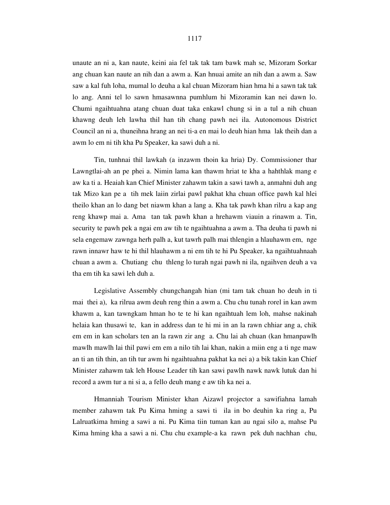unaute an ni a, kan naute, keini aia fel tak tak tam bawk mah se, Mizoram Sorkar ang chuan kan naute an nih dan a awm a. Kan hnuai amite an nih dan a awm a. Saw saw a kal fuh loha, mumal lo deuha a kal chuan Mizoram hian hma hi a sawn tak tak lo ang. Anni tel lo sawn hmasawnna pumhlum hi Mizoramin kan nei dawn lo. Chumi ngaihtuahna atang chuan duat taka enkawl chung si in a tul a nih chuan khawng deuh leh lawha thil han tih chang pawh nei ila. Autonomous District Council an ni a, thuneihna hrang an nei ti-a en mai lo deuh hian hma lak theih dan a awm lo em ni tih kha Pu Speaker, ka sawi duh a ni.

 Tin, tunhnai thil lawkah (a inzawm thoin ka hria) Dy. Commissioner thar Lawngtlai-ah an pe phei a. Nimin lama kan thawm hriat te kha a hahthlak mang e aw ka ti a. Heaiah kan Chief Minister zahawm takin a sawi tawh a, anmahni duh ang tak Mizo kan pe a tih mek laiin zirlai pawl pakhat kha chuan office pawh kal hlei theilo khan an lo dang bet niawm khan a lang a. Kha tak pawh khan rilru a kap ang reng khawp mai a. Ama tan tak pawh khan a hrehawm viauin a rinawm a. Tin, security te pawh pek a ngai em aw tih te ngaihtuahna a awm a. Tha deuha ti pawh ni sela engemaw zawnga herh palh a, kut tawrh palh mai thlengin a hlauhawm em, nge rawn innawr haw te hi thil hlauhawm a ni em tih te hi Pu Speaker, ka ngaihtuahnaah chuan a awm a. Chutiang chu thleng lo turah ngai pawh ni ila, ngaihven deuh a va tha em tih ka sawi leh duh a.

 Legislative Assembly chungchangah hian (mi tam tak chuan ho deuh in ti mai thei a), ka rilrua awm deuh reng thin a awm a. Chu chu tunah rorel in kan awm khawm a, kan tawngkam hman ho te te hi kan ngaihtuah lem loh, mahse nakinah helaia kan thusawi te, kan in address dan te hi mi in an la rawn chhiar ang a, chik em em in kan scholars ten an la rawn zir ang a. Chu lai ah chuan (kan hmanpawlh mawlh mawlh lai thil pawi em em a nilo tih lai khan, nakin a miin eng a ti nge maw an ti an tih thin, an tih tur awm hi ngaihtuahna pakhat ka nei a) a bik takin kan Chief Minister zahawm tak leh House Leader tih kan sawi pawlh nawk nawk lutuk dan hi record a awm tur a ni si a, a fello deuh mang e aw tih ka nei a.

 Hmanniah Tourism Minister khan Aizawl projector a sawifiahna lamah member zahawm tak Pu Kima hming a sawi ti ila in bo deuhin ka ring a, Pu Lalruatkima hming a sawi a ni. Pu Kima tiin tuman kan au ngai silo a, mahse Pu Kima hming kha a sawi a ni. Chu chu example-a ka rawn pek duh nachhan chu,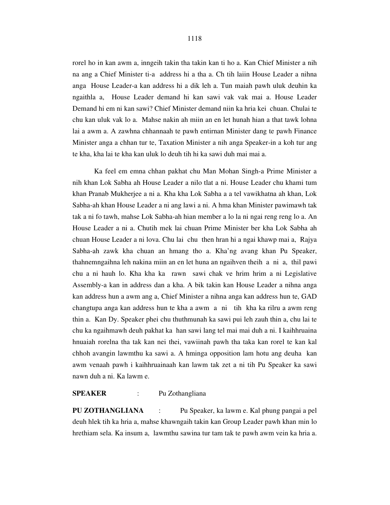rorel ho in kan awm a, inngeih takin tha takin kan ti ho a. Kan Chief Minister a nih na ang a Chief Minister ti-a address hi a tha a. Ch tih laiin House Leader a nihna anga House Leader-a kan address hi a dik leh a. Tun maiah pawh uluk deuhin ka ngaithla a, House Leader demand hi kan sawi vak vak mai a. House Leader Demand hi em ni kan sawi? Chief Minister demand niin ka hria kei chuan. Chulai te chu kan uluk vak lo a. Mahse nakin ah miin an en let hunah hian a that tawk lohna lai a awm a. A zawhna chhannaah te pawh entirnan Minister dang te pawh Finance Minister anga a chhan tur te, Taxation Minister a nih anga Speaker-in a koh tur ang te kha, kha lai te kha kan uluk lo deuh tih hi ka sawi duh mai mai a.

 Ka feel em emna chhan pakhat chu Man Mohan Singh-a Prime Minister a nih khan Lok Sabha ah House Leader a nilo tlat a ni. House Leader chu khami tum khan Pranab Mukherjee a ni a. Kha kha Lok Sabha a a tel vawikhatna ah khan, Lok Sabha-ah khan House Leader a ni ang lawi a ni. A hma khan Minister pawimawh tak tak a ni fo tawh, mahse Lok Sabha-ah hian member a lo la ni ngai reng reng lo a. An House Leader a ni a. Chutih mek lai chuan Prime Minister ber kha Lok Sabha ah chuan House Leader a ni lova. Chu lai chu then hran hi a ngai khawp mai a, Rajya Sabha-ah zawk kha chuan an hmang tho a. Kha'ng avang khan Pu Speaker, thahnemngaihna leh nakina miin an en let huna an ngaihven theih a ni a, thil pawi chu a ni hauh lo. Kha kha ka rawn sawi chak ve hrim hrim a ni Legislative Assembly-a kan in address dan a kha. A bik takin kan House Leader a nihna anga kan address hun a awm ang a, Chief Minister a nihna anga kan address hun te, GAD changtupa anga kan address hun te kha a awm a ni tih kha ka rilru a awm reng thin a. Kan Dy. Speaker phei chu thuthmunah ka sawi pui leh zauh thin a, chu lai te chu ka ngaihmawh deuh pakhat ka han sawi lang tel mai mai duh a ni. I kaihhruaina hnuaiah rorelna tha tak kan nei thei, vawiinah pawh tha taka kan rorel te kan kal chhoh avangin lawmthu ka sawi a. A hminga opposition lam hotu ang deuha kan awm venaah pawh i kaihhruainaah kan lawm tak zet a ni tih Pu Speaker ka sawi nawn duh a ni. Ka lawm e.

# **SPEAKER** : Pu Zothangliana

**PU ZOTHANGLIANA** : Pu Speaker, ka lawm e. Kal phung pangai a pel deuh hlek tih ka hria a, mahse khawngaih takin kan Group Leader pawh khan min lo hrethiam sela. Ka insum a, lawmthu sawina tur tam tak te pawh awm vein ka hria a.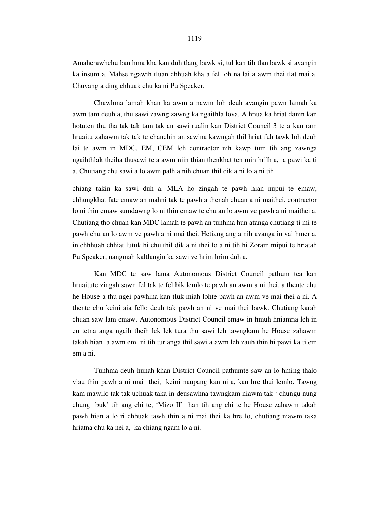Amaherawhchu ban hma kha kan duh tlang bawk si, tul kan tih tlan bawk si avangin ka insum a. Mahse ngawih tluan chhuah kha a fel loh na lai a awm thei tlat mai a. Chuvang a ding chhuak chu ka ni Pu Speaker.

 Chawhma lamah khan ka awm a nawm loh deuh avangin pawn lamah ka awm tam deuh a, thu sawi zawng zawng ka ngaithla lova. A hnua ka hriat danin kan hotuten thu tha tak tak tam tak an sawi rualin kan District Council 3 te a kan ram hruaitu zahawm tak tak te chanchin an sawina kawngah thil hriat fuh tawk loh deuh lai te awm in MDC, EM, CEM leh contractor nih kawp tum tih ang zawnga ngaihthlak theiha thusawi te a awm niin thian thenkhat ten min hrilh a, a pawi ka ti a. Chutiang chu sawi a lo awm palh a nih chuan thil dik a ni lo a ni tih

chiang takin ka sawi duh a. MLA ho zingah te pawh hian nupui te emaw, chhungkhat fate emaw an mahni tak te pawh a thenah chuan a ni maithei, contractor lo ni thin emaw sumdawng lo ni thin emaw te chu an lo awm ve pawh a ni maithei a. Chutiang tho chuan kan MDC lamah te pawh an tunhma hun atanga chutiang ti mi te pawh chu an lo awm ve pawh a ni mai thei. Hetiang ang a nih avanga in vai hmer a, in chhhuah chhiat lutuk hi chu thil dik a ni thei lo a ni tih hi Zoram mipui te hriatah Pu Speaker, nangmah kaltlangin ka sawi ve hrim hrim duh a.

 Kan MDC te saw lama Autonomous District Council pathum tea kan hruaitute zingah sawn fel tak te fel bik lemlo te pawh an awm a ni thei, a thente chu he House-a thu ngei pawhina kan tluk miah lohte pawh an awm ve mai thei a ni. A thente chu keini aia fello deuh tak pawh an ni ve mai thei bawk. Chutiang karah chuan saw lam emaw, Autonomous District Council emaw in hmuh hniamna leh in en tetna anga ngaih theih lek lek tura thu sawi leh tawngkam he House zahawm takah hian a awm em ni tih tur anga thil sawi a awm leh zauh thin hi pawi ka ti em em a ni.

 Tunhma deuh hunah khan District Council pathumte saw an lo hming thalo viau thin pawh a ni mai thei, keini naupang kan ni a, kan hre thui lemlo. Tawng kam mawilo tak tak uchuak taka in deusawhna tawngkam niawm tak ' chungu nung chung buk' tih ang chi te, 'Mizo II' han tih ang chi te he House zahawm takah pawh hian a lo ri chhuak tawh thin a ni mai thei ka hre lo, chutiang niawm taka hriatna chu ka nei a, ka chiang ngam lo a ni.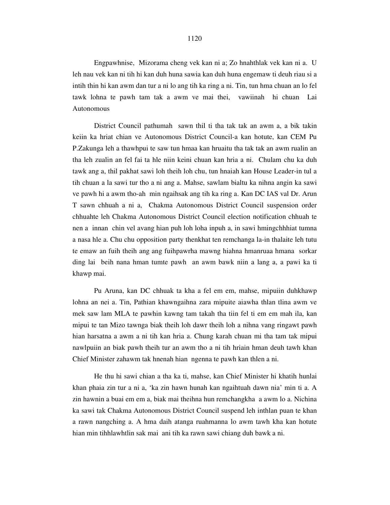Engpawhnise, Mizorama cheng vek kan ni a; Zo hnahthlak vek kan ni a. U leh nau vek kan ni tih hi kan duh huna sawia kan duh huna engemaw ti deuh riau si a intih thin hi kan awm dan tur a ni lo ang tih ka ring a ni. Tin, tun hma chuan an lo fel tawk lohna te pawh tam tak a awm ve mai thei, vawiinah hi chuan Lai Autonomous

 District Council pathumah sawn thil ti tha tak tak an awm a, a bik takin keiin ka hriat chian ve Autonomous District Council-a kan hotute, kan CEM Pu P.Zakunga leh a thawhpui te saw tun hmaa kan hruaitu tha tak tak an awm rualin an tha leh zualin an fel fai ta hle niin keini chuan kan hria a ni. Chulam chu ka duh tawk ang a, thil pakhat sawi loh theih loh chu, tun hnaiah kan House Leader-in tul a tih chuan a la sawi tur tho a ni ang a. Mahse, sawlam bialtu ka nihna angin ka sawi ve pawh hi a awm tho-ah min ngaihsak ang tih ka ring a. Kan DC IAS val Dr. Arun T sawn chhuah a ni a, Chakma Autonomous District Council suspension order chhuahte leh Chakma Autonomous District Council election notification chhuah te nen a innan chin vel avang hian puh loh loha inpuh a, in sawi hmingchhhiat tumna a nasa hle a. Chu chu opposition party thenkhat ten remchanga la-in thalaite leh tutu te emaw an fuih theih ang ang fuihpawrha mawng hiahna hmanruaa hmana sorkar ding lai beih nana hman tumte pawh an awm bawk niin a lang a, a pawi ka ti khawp mai.

 Pu Aruna, kan DC chhuak ta kha a fel em em, mahse, mipuiin duhkhawp lohna an nei a. Tin, Pathian khawngaihna zara mipuite aiawha thlan tlina awm ve mek saw lam MLA te pawhin kawng tam takah tha tiin fel ti em em mah ila, kan mipui te tan Mizo tawnga biak theih loh dawr theih loh a nihna vang ringawt pawh hian harsatna a awm a ni tih kan hria a. Chung karah chuan mi tha tam tak mipui nawlpuiin an biak pawh theih tur an awm tho a ni tih hriain hman deuh tawh khan Chief Minister zahawm tak hnenah hian ngenna te pawh kan thlen a ni.

 He thu hi sawi chian a tha ka ti, mahse, kan Chief Minister hi khatih hunlai khan phaia zin tur a ni a, 'ka zin hawn hunah kan ngaihtuah dawn nia' min ti a. A zin hawnin a buai em em a, biak mai theihna hun remchangkha a awm lo a. Nichina ka sawi tak Chakma Autonomous District Council suspend leh inthlan puan te khan a rawn nangching a. A hma daih atanga ruahmanna lo awm tawh kha kan hotute hian min tihhlawhtlin sak mai ani tih ka rawn sawi chiang duh bawk a ni.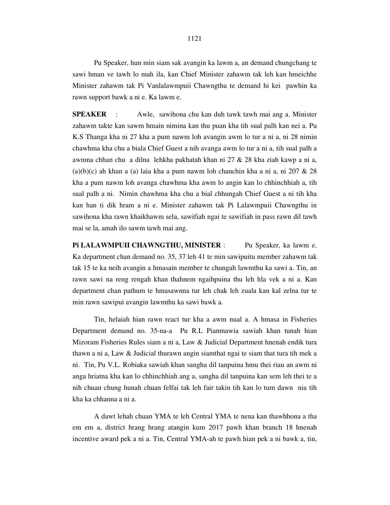Pu Speaker, hun min siam sak avangin ka lawm a, an demand chungchang te sawi hman ve tawh lo mah ila, kan Chief Minister zahawm tak leh kan hmeichhe Minister zahawm tak Pi Vanlalawmpuii Chawngthu te demand hi kei pawhin ka rawn support bawk a ni e. Ka lawm e.

**SPEAKER** : Awle, sawihona chu kan duh tawk tawh mai ang a. Minister zahawm takte kan sawm hmain nimina kan thu puan kha tih sual palh kan nei a. Pu K.S Thanga kha ni 27 kha a pum nawm loh avangin awm lo tur a ni a, ni 28 nimin chawhma kha chu a biala Chief Guest a nih avanga awm lo tur a ni a, tih sual palh a awmna chhan chu a dilna lehkha pakhatah khan ni 27 & 28 kha ziah kawp a ni a,  $(a)(b)(c)$  ah khan a (a) laia kha a pum nawm loh chanchin kha a ni a, ni 207 & 28 kha a pum nawm loh avanga chawhma kha awm lo angin kan lo chhinchhiah a, tih sual palh a ni. Nimin chawhma kha chu a bial chhungah Chief Guest a ni tih kha kan han ti dik hram a ni e. Minister zahawm tak Pi Lalawmpuii Chawngthu in sawihona kha rawn khaikhawm sela, sawifiah ngai te sawifiah in pass rawn dil tawh mai se la, amah ilo sawm tawh mai ang.

Pi LALAWMPUII CHAWNGTHU, MINISTER : Pu Speaker, ka lawm e. Ka department chan demand no. 35, 37 leh 41 te min sawipuitu member zahawm tak tak 15 te ka neih avangin a hmasain member te chungah lawmthu ka sawi a. Tin, an rawn sawi na reng rengah khan thahnem ngaihpuina thu leh hla vek a ni a. Kan department chan pathum te hmasawnna tur leh chak leh zuala kan kal zelna tur te min rawn sawipui avangin lawmthu ka sawi bawk a.

 Tin, helaiah hian rawn react tur kha a awm nual a. A hmasa in Fisheries Department demand no. 35-na-a Pu R.L Pianmawia sawiah khan tunah hian Mizoram Fisheries Rules siam a ni a, Law & Judicial Department hnenah endik tura thawn a ni a, Law & Judicial thurawn angin siamthat ngai te siam that tura tih mek a ni. Tin, Pu V.L. Robiaka sawiah khan sangha dil tanpuina hmu thei riau an awm ni anga hriatna kha kan lo chhinchhiah ang a, sangha dil tanpuina kan sem leh thei te a nih chuan chung hunah chuan felfai tak leh fair takin tih kan lo tum dawn nia tih kha ka chhanna a ni a.

 A dawt lehah chuan YMA te leh Central YMA te nena kan thawhhona a tha em em a, district hrang hrang atangin kum 2017 pawh khan branch 18 hnenah incentive award pek a ni a. Tin, Central YMA-ah te pawh hian pek a ni bawk a, tin,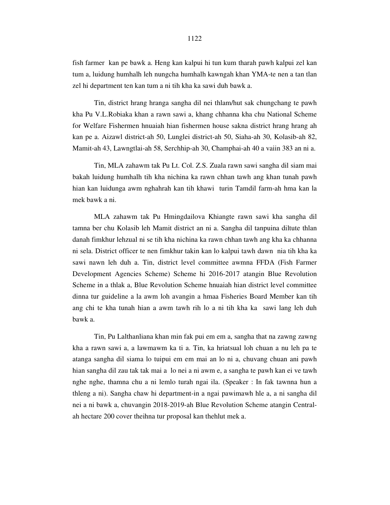fish farmer kan pe bawk a. Heng kan kalpui hi tun kum tharah pawh kalpui zel kan tum a, luidung humhalh leh nungcha humhalh kawngah khan YMA-te nen a tan tlan zel hi department ten kan tum a ni tih kha ka sawi duh bawk a.

 Tin, district hrang hranga sangha dil nei thlam/hut sak chungchang te pawh kha Pu V.L.Robiaka khan a rawn sawi a, khang chhanna kha chu National Scheme for Welfare Fishermen hnuaiah hian fishermen house sakna district hrang hrang ah kan pe a. Aizawl district-ah 50, Lunglei district-ah 50, Siaha-ah 30, Kolasib-ah 82, Mamit-ah 43, Lawngtlai-ah 58, Serchhip-ah 30, Champhai-ah 40 a vaiin 383 an ni a.

 Tin, MLA zahawm tak Pu Lt. Col. Z.S. Zuala rawn sawi sangha dil siam mai bakah luidung humhalh tih kha nichina ka rawn chhan tawh ang khan tunah pawh hian kan luidunga awm nghahrah kan tih khawi turin Tamdil farm-ah hma kan la mek bawk a ni.

 MLA zahawm tak Pu Hmingdailova Khiangte rawn sawi kha sangha dil tamna ber chu Kolasib leh Mamit district an ni a. Sangha dil tanpuina diltute thlan danah fimkhur lehzual ni se tih kha nichina ka rawn chhan tawh ang kha ka chhanna ni sela. District officer te nen fimkhur takin kan lo kalpui tawh dawn nia tih kha ka sawi nawn leh duh a. Tin, district level committee awmna FFDA (Fish Farmer Development Agencies Scheme) Scheme hi 2016-2017 atangin Blue Revolution Scheme in a thlak a, Blue Revolution Scheme hnuaiah hian district level committee dinna tur guideline a la awm loh avangin a hmaa Fisheries Board Member kan tih ang chi te kha tunah hian a awm tawh rih lo a ni tih kha ka sawi lang leh duh bawk a.

 Tin, Pu Lalthanliana khan min fak pui em em a, sangha that na zawng zawng kha a rawn sawi a, a lawmawm ka ti a. Tin, ka hriatsual loh chuan a nu leh pa te atanga sangha dil siama lo tuipui em em mai an lo ni a, chuvang chuan ani pawh hian sangha dil zau tak tak mai a lo nei a ni awm e, a sangha te pawh kan ei ve tawh nghe nghe, thamna chu a ni lemlo turah ngai ila. (Speaker : In fak tawnna hun a thleng a ni). Sangha chaw hi department-in a ngai pawimawh hle a, a ni sangha dil nei a ni bawk a, chuvangin 2018-2019-ah Blue Revolution Scheme atangin Centralah hectare 200 cover theihna tur proposal kan thehlut mek a.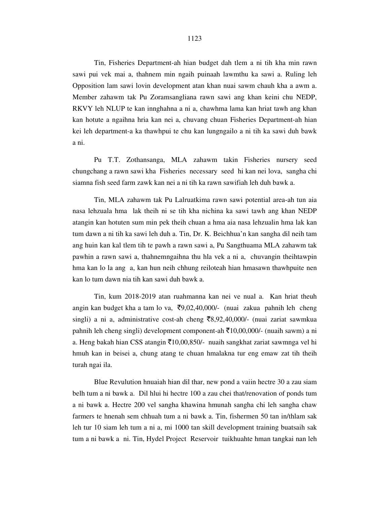Tin, Fisheries Department-ah hian budget dah tlem a ni tih kha min rawn sawi pui vek mai a, thahnem min ngaih puinaah lawmthu ka sawi a. Ruling leh Opposition lam sawi lovin development atan khan nuai sawm chauh kha a awm a. Member zahawm tak Pu Zoramsangliana rawn sawi ang khan keini chu NEDP, RKVY leh NLUP te kan innghahna a ni a, chawhma lama kan hriat tawh ang khan kan hotute a ngaihna hria kan nei a, chuvang chuan Fisheries Department-ah hian kei leh department-a ka thawhpui te chu kan lungngailo a ni tih ka sawi duh bawk a ni.

 Pu T.T. Zothansanga, MLA zahawm takin Fisheries nursery seed chungchang a rawn sawi kha Fisheries necessary seed hi kan nei lova, sangha chi siamna fish seed farm zawk kan nei a ni tih ka rawn sawifiah leh duh bawk a.

 Tin, MLA zahawm tak Pu Lalruatkima rawn sawi potential area-ah tun aia nasa lehzuala hma lak theih ni se tih kha nichina ka sawi tawh ang khan NEDP atangin kan hotuten sum min pek theih chuan a hma aia nasa lehzualin hma lak kan tum dawn a ni tih ka sawi leh duh a. Tin, Dr. K. Beichhua'n kan sangha dil neih tam ang huin kan kal tlem tih te pawh a rawn sawi a, Pu Sangthuama MLA zahawm tak pawhin a rawn sawi a, thahnemngaihna thu hla vek a ni a, chuvangin theihtawpin hma kan lo la ang a, kan hun neih chhung reiloteah hian hmasawn thawhpuite nen kan lo tum dawn nia tih kan sawi duh bawk a.

 Tin, kum 2018-2019 atan ruahmanna kan nei ve nual a. Kan hriat theuh angin kan budget kha a tam lo va,  $\overline{(}0,02,40,000/-$  (nuai zakua pahnih leh cheng singli) a ni a, administrative cost-ah cheng  $\overline{8,92,40,000}$  (nuai zariat sawmkua pahnih leh cheng singli) development component-ah  $\bar{\tau}$ 10,00,000/- (nuaih sawm) a ni a. Heng bakah hian CSS atangin  $\bar{\tau}$ 10,00,850/- nuaih sangkhat zariat sawmnga vel hi hmuh kan in beisei a, chung atang te chuan hmalakna tur eng emaw zat tih theih turah ngai ila.

 Blue Revulution hnuaiah hian dil thar, new pond a vaiin hectre 30 a zau siam belh tum a ni bawk a. Dil hlui hi hectre 100 a zau chei that/renovation of ponds tum a ni bawk a. Hectre 200 vel sangha khawina hmunah sangha chi leh sangha chaw farmers te hnenah sem chhuah tum a ni bawk a. Tin, fishermen 50 tan in/thlam sak leh tur 10 siam leh tum a ni a, mi 1000 tan skill development training buatsaih sak tum a ni bawk a ni. Tin, Hydel Project Reservoir tuikhuahte hman tangkai nan leh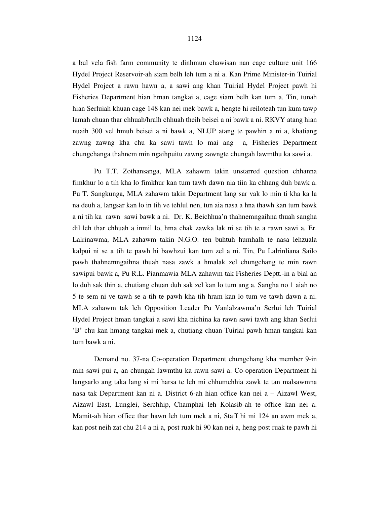a bul vela fish farm community te dinhmun chawisan nan cage culture unit 166 Hydel Project Reservoir-ah siam belh leh tum a ni a. Kan Prime Minister-in Tuirial Hydel Project a rawn hawn a, a sawi ang khan Tuirial Hydel Project pawh hi Fisheries Department hian hman tangkai a, cage siam belh kan tum a. Tin, tunah hian Serluiah khuan cage 148 kan nei mek bawk a, hengte hi reiloteah tun kum tawp lamah chuan thar chhuah/hralh chhuah theih beisei a ni bawk a ni. RKVY atang hian nuaih 300 vel hmuh beisei a ni bawk a, NLUP atang te pawhin a ni a, khatiang zawng zawng kha chu ka sawi tawh lo mai ang a, Fisheries Department chungchanga thahnem min ngaihpuitu zawng zawngte chungah lawmthu ka sawi a.

 Pu T.T. Zothansanga, MLA zahawm takin unstarred question chhanna fimkhur lo a tih kha lo fimkhur kan tum tawh dawn nia tiin ka chhang duh bawk a. Pu T. Sangkunga, MLA zahawm takin Department lang sar vak lo min ti kha ka la na deuh a, langsar kan lo in tih ve tehlul nen, tun aia nasa a hna thawh kan tum bawk a ni tih ka rawn sawi bawk a ni. Dr. K. Beichhua'n thahnemngaihna thuah sangha dil leh thar chhuah a inmil lo, hma chak zawka lak ni se tih te a rawn sawi a, Er. Lalrinawma, MLA zahawm takin N.G.O. ten buhtuh humhalh te nasa lehzuala kalpui ni se a tih te pawh hi bawhzui kan tum zel a ni. Tin, Pu Lalrinliana Sailo pawh thahnemngaihna thuah nasa zawk a hmalak zel chungchang te min rawn sawipui bawk a, Pu R.L. Pianmawia MLA zahawm tak Fisheries Deptt.-in a bial an lo duh sak thin a, chutiang chuan duh sak zel kan lo tum ang a. Sangha no 1 aiah no 5 te sem ni ve tawh se a tih te pawh kha tih hram kan lo tum ve tawh dawn a ni. MLA zahawm tak leh Opposition Leader Pu Vanlalzawma'n Serlui leh Tuirial Hydel Project hman tangkai a sawi kha nichina ka rawn sawi tawh ang khan Serlui 'B' chu kan hmang tangkai mek a, chutiang chuan Tuirial pawh hman tangkai kan tum bawk a ni.

 Demand no. 37-na Co-operation Department chungchang kha member 9-in min sawi pui a, an chungah lawmthu ka rawn sawi a. Co-operation Department hi langsarlo ang taka lang si mi harsa te leh mi chhumchhia zawk te tan malsawmna nasa tak Department kan ni a. District 6-ah hian office kan nei a – Aizawl West, Aizawl East, Lunglei, Serchhip, Champhai leh Kolasib-ah te office kan nei a. Mamit-ah hian office thar hawn leh tum mek a ni, Staff hi mi 124 an awm mek a, kan post neih zat chu 214 a ni a, post ruak hi 90 kan nei a, heng post ruak te pawh hi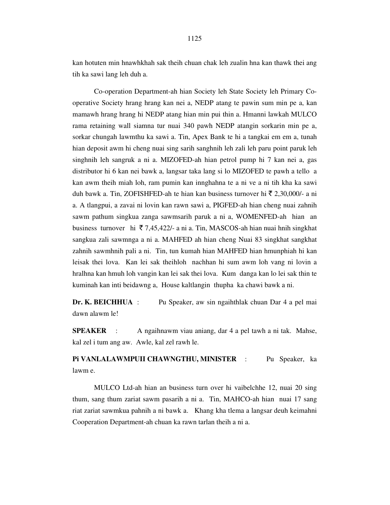kan hotuten min hnawhkhah sak theih chuan chak leh zualin hna kan thawk thei ang tih ka sawi lang leh duh a.

 Co-operation Department-ah hian Society leh State Society leh Primary Cooperative Society hrang hrang kan nei a, NEDP atang te pawin sum min pe a, kan mamawh hrang hrang hi NEDP atang hian min pui thin a. Hmanni lawkah MULCO rama retaining wall siamna tur nuai 340 pawh NEDP atangin sorkarin min pe a, sorkar chungah lawmthu ka sawi a. Tin, Apex Bank te hi a tangkai em em a, tunah hian deposit awm hi cheng nuai sing sarih sanghnih leh zali leh paru point paruk leh singhnih leh sangruk a ni a. MIZOFED-ah hian petrol pump hi 7 kan nei a, gas distributor hi 6 kan nei bawk a, langsar taka lang si lo MIZOFED te pawh a tello a kan awm theih miah loh, ram pumin kan innghahna te a ni ve a ni tih kha ka sawi duh bawk a. Tin, ZOFISHFED-ah te hian kan business turnover hi  $\bar{\xi}$  2,30,000/- a ni a. A tlangpui, a zavai ni lovin kan rawn sawi a, PIGFED-ah hian cheng nuai zahnih sawm pathum singkua zanga sawmsarih paruk a ni a, WOMENFED-ah hian an business turnover hi  $\overline{5}$  7,45,422/- a ni a. Tin, MASCOS-ah hian nuai hnih singkhat sangkua zali sawmnga a ni a. MAHFED ah hian cheng Nuai 83 singkhat sangkhat zahnih sawmhnih pali a ni. Tin, tun kumah hian MAHFED hian hmunphiah hi kan leisak thei lova. Kan lei sak theihloh nachhan hi sum awm loh vang ni lovin a hralhna kan hmuh loh vangin kan lei sak thei lova. Kum danga kan lo lei sak thin te kuminah kan inti beidawng a, House kaltlangin thupha ka chawi bawk a ni.

**Dr. K. BEICHHUA** : Pu Speaker, aw sin ngaihthlak chuan Dar 4 a pel mai dawn alawm le!

**SPEAKER** : A ngaihnawm viau aniang, dar 4 a pel tawh a ni tak. Mahse, kal zel i tum ang aw. Awle, kal zel rawh le.

**Pi VANLALAWMPUII CHAWNGTHU, MINISTER** : Pu Speaker, ka lawm e.

 MULCO Ltd-ah hian an business turn over hi vaibelchhe 12, nuai 20 sing thum, sang thum zariat sawm pasarih a ni a. Tin, MAHCO-ah hian nuai 17 sang riat zariat sawmkua pahnih a ni bawk a. Khang kha tlema a langsar deuh keimahni Cooperation Department-ah chuan ka rawn tarlan theih a ni a.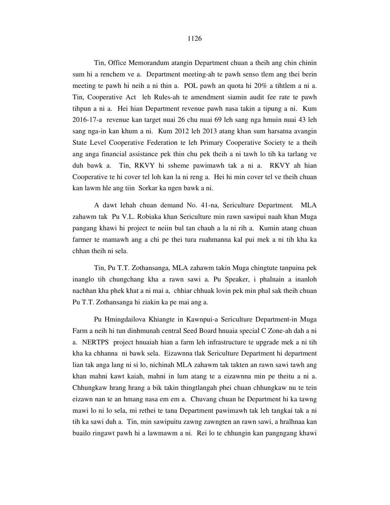### 1126

 Tin, Office Memorandum atangin Department chuan a theih ang chin chinin sum hi a renchem ve a. Department meeting-ah te pawh senso tlem ang thei berin meeting te pawh hi neih a ni thin a. POL pawh an quota hi 20% a tihtlem a ni a. Tin, Cooperative Act leh Rules-ah te amendment siamin audit fee rate te pawh tihpun a ni a. Hei hian Department revenue pawh nasa takin a tipung a ni. Kum 2016-17-a revenue kan target nuai 26 chu nuai 69 leh sang nga hmuin nuai 43 leh sang nga-in kan khum a ni. Kum 2012 leh 2013 atang khan sum harsatna avangin State Level Cooperative Federation te leh Primary Cooperative Society te a theih ang anga financial assistance pek thin chu pek theih a ni tawh lo tih ka tarlang ve duh bawk a. Tin, RKVY hi ssheme pawimawh tak a ni a. RKVY ah hian Cooperative te hi cover tel loh kan la ni reng a. Hei hi min cover tel ve theih chuan kan lawm hle ang tiin Sorkar ka ngen bawk a ni.

 A dawt lehah chuan demand No. 41-na, Sericulture Department. MLA zahawm tak Pu V.L. Robiaka khan Sericulture min rawn sawipui naah khan Muga pangang khawi hi project te neiin bul tan chauh a la ni rih a. Kumin atang chuan farmer te mamawh ang a chi pe thei tura ruahmanna kal pui mek a ni tih kha ka chhan theih ni sela.

 Tin, Pu T.T. Zothansanga, MLA zahawm takin Muga chingtute tanpuina pek inanglo tih chungchang kha a rawn sawi a. Pu Speaker, i phalnain a inanloh nachhan kha phek khat a ni mai a, chhiar chhuak lovin pek min phal sak theih chuan Pu T.T. Zothansanga hi ziakin ka pe mai ang a.

 Pu Hmingdailova Khiangte in Kawnpui-a Sericulture Department-in Muga Farm a neih hi tun dinhmunah central Seed Board hnuaia special C Zone-ah dah a ni a. NERTPS project hnuaiah hian a farm leh infrastructure te upgrade mek a ni tih kha ka chhanna ni bawk sela. Eizawnna tlak Sericulture Department hi department lian tak anga lang ni si lo, nichinah MLA zahawm tak takten an rawn sawi tawh ang khan mahni kawt kaiah, mahni in lum atang te a eizawnna min pe theitu a ni a. Chhungkaw hrang hrang a bik takin thingtlangah phei chuan chhungkaw nu te tein eizawn nan te an hmang nasa em em a. Chuvang chuan he Department hi ka tawng mawi lo ni lo sela, mi rethei te tana Department pawimawh tak leh tangkai tak a ni tih ka sawi duh a. Tin, min sawipuitu zawng zawngten an rawn sawi, a hralhnaa kan buailo ringawt pawh hi a lawmawm a ni. Rei lo te chhungin kan pangngang khawi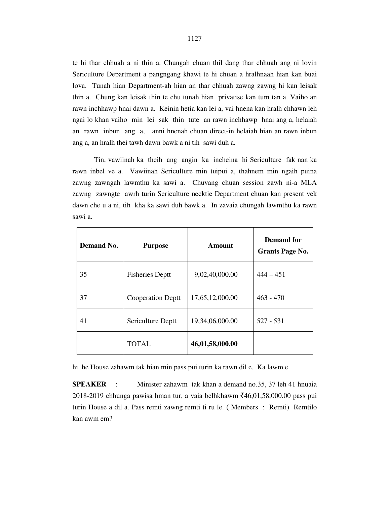te hi thar chhuah a ni thin a. Chungah chuan thil dang thar chhuah ang ni lovin Sericulture Department a pangngang khawi te hi chuan a hralhnaah hian kan buai lova. Tunah hian Department-ah hian an thar chhuah zawng zawng hi kan leisak thin a. Chung kan leisak thin te chu tunah hian privatise kan tum tan a. Vaiho an rawn inchhawp hnai dawn a. Keinin hetia kan lei a, vai hnena kan hralh chhawn leh ngai lo khan vaiho min lei sak thin tute an rawn inchhawp hnai ang a, helaiah an rawn inbun ang a, anni hnenah chuan direct-in helaiah hian an rawn inbun ang a, an hralh thei tawh dawn bawk a ni tih sawi duh a.

 Tin, vawiinah ka theih ang angin ka incheina hi Sericulture fak nan ka rawn inbel ve a. Vawiinah Sericulture min tuipui a, thahnem min ngaih puina zawng zawngah lawmthu ka sawi a. Chuvang chuan session zawh ni-a MLA zawng zawngte awrh turin Sericulture necktie Department chuan kan present vek dawn che u a ni, tih kha ka sawi duh bawk a. In zavaia chungah lawmthu ka rawn sawi a.

| <b>Demand No.</b> | <b>Purpose</b>           | Amount          | <b>Demand for</b><br><b>Grants Page No.</b> |
|-------------------|--------------------------|-----------------|---------------------------------------------|
| 35                | <b>Fisheries Deptt</b>   | 9,02,40,000.00  | $444 - 451$                                 |
| 37                | <b>Cooperation Deptt</b> | 17,65,12,000.00 | $463 - 470$                                 |
| 41                | Sericulture Deptt        | 19,34,06,000.00 | $527 - 531$                                 |
|                   | <b>TOTAL</b>             | 46,01,58,000.00 |                                             |

hi he House zahawm tak hian min pass pui turin ka rawn dil e. Ka lawm e.

**SPEAKER** : Minister zahawm tak khan a demand no.35, 37 leh 41 hnuaia 2018-2019 chhunga pawisa hman tur, a vaia belhkhawm ₹46,01,58,000.00 pass pui turin House a dil a. Pass remti zawng remti ti ru le. ( Members : Remti) Remtilo kan awm em?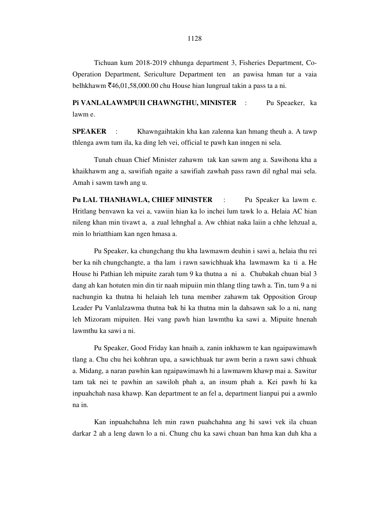Tichuan kum 2018-2019 chhunga department 3, Fisheries Department, Co-Operation Department, Sericulture Department ten an pawisa hman tur a vaia belhkhawm  $\bar{z}$ 46,01,58,000.00 chu House hian lungrual takin a pass ta a ni.

**Pi VANLALAWMPUII CHAWNGTHU, MINISTER** : Pu Speaeker, ka lawm e.

**SPEAKER** : Khawngaihtakin kha kan zalenna kan hmang theuh a. A tawp thlenga awm tum ila, ka ding leh vei, official te pawh kan inngen ni sela.

 Tunah chuan Chief Minister zahawm tak kan sawm ang a. Sawihona kha a khaikhawm ang a, sawifiah ngaite a sawifiah zawhah pass rawn dil nghal mai sela. Amah i sawm tawh ang u.

**Pu LAL THANHAWLA, CHIEF MINISTER** : Pu Speaker ka lawm e. Hritlang benvawn ka vei a, vawiin hian ka lo inchei lum tawk lo a. Helaia AC hian nileng khan min tivawt a, a zual lehnghal a. Aw chhiat naka laiin a chhe lehzual a, min lo hriatthiam kan ngen hmasa a.

 Pu Speaker, ka chungchang thu kha lawmawm deuhin i sawi a, helaia thu rei ber ka nih chungchangte, a tha lam i rawn sawichhuak kha lawmawm ka ti a. He House hi Pathian leh mipuite zarah tum 9 ka thutna a ni a. Chubakah chuan bial 3 dang ah kan hotuten min din tir naah mipuiin min thlang tling tawh a. Tin, tum 9 a ni nachungin ka thutna hi helaiah leh tuna member zahawm tak Opposition Group Leader Pu Vanlalzawma thutna bak hi ka thutna min la dahsawn sak lo a ni, nang leh Mizoram mipuiten. Hei vang pawh hian lawmthu ka sawi a. Mipuite hnenah lawmthu ka sawi a ni.

 Pu Speaker, Good Friday kan hnaih a, zanin inkhawm te kan ngaipawimawh tlang a. Chu chu hei kohhran upa, a sawichhuak tur awm berin a rawn sawi chhuak a. Midang, a naran pawhin kan ngaipawimawh hi a lawmawm khawp mai a. Sawitur tam tak nei te pawhin an sawiloh phah a, an insum phah a. Kei pawh hi ka inpuahchah nasa khawp. Kan department te an fel a, department lianpui pui a awmlo na in.

 Kan inpuahchahna leh min rawn puahchahna ang hi sawi vek ila chuan darkar 2 ah a leng dawn lo a ni. Chung chu ka sawi chuan ban hma kan duh kha a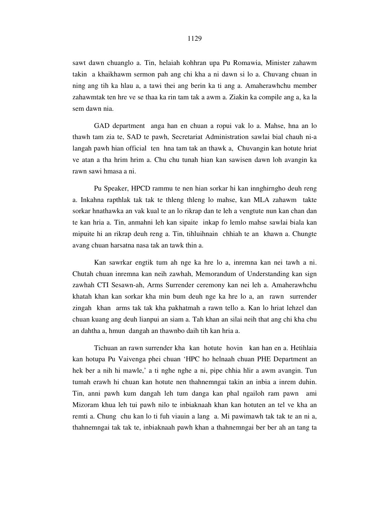sawt dawn chuanglo a. Tin, helaiah kohhran upa Pu Romawia, Minister zahawm takin a khaikhawm sermon pah ang chi kha a ni dawn si lo a. Chuvang chuan in ning ang tih ka hlau a, a tawi thei ang berin ka ti ang a. Amaherawhchu member zahawmtak ten hre ve se thaa ka rin tam tak a awm a. Ziakin ka compile ang a, ka la sem dawn nia.

 GAD department anga han en chuan a ropui vak lo a. Mahse, hna an lo thawh tam zia te, SAD te pawh, Secretariat Administration sawlai bial chauh ni-a langah pawh hian official ten hna tam tak an thawk a, Chuvangin kan hotute hriat ve atan a tha hrim hrim a. Chu chu tunah hian kan sawisen dawn loh avangin ka rawn sawi hmasa a ni.

 Pu Speaker, HPCD rammu te nen hian sorkar hi kan innghirngho deuh reng a. Inkahna rapthlak tak tak te thleng thleng lo mahse, kan MLA zahawm takte sorkar hnathawka an vak kual te an lo rikrap dan te leh a vengtute nun kan chan dan te kan hria a. Tin, anmahni leh kan sipaite inkap fo lemlo mahse sawlai biala kan mipuite hi an rikrap deuh reng a. Tin, tihluihnain chhiah te an khawn a. Chungte avang chuan harsatna nasa tak an tawk thin a.

 Kan sawrkar engtik tum ah nge ka hre lo a, inremna kan nei tawh a ni. Chutah chuan inremna kan neih zawhah, Memorandum of Understanding kan sign zawhah CTI Sesawn-ah, Arms Surrender ceremony kan nei leh a. Amaherawhchu khatah khan kan sorkar kha min bum deuh nge ka hre lo a, an rawn surrender zingah khan arms tak tak kha pakhatmah a rawn tello a. Kan lo hriat lehzel dan chuan kuang ang deuh lianpui an siam a. Tah khan an silai neih that ang chi kha chu an dahtha a, hmun dangah an thawnbo daih tih kan hria a.

 Tichuan an rawn surrender kha kan hotute hovin kan han en a. Hetihlaia kan hotupa Pu Vaivenga phei chuan 'HPC ho helnaah chuan PHE Department an hek ber a nih hi mawle,' a ti nghe nghe a ni, pipe chhia hlir a awm avangin. Tun tumah erawh hi chuan kan hotute nen thahnemngai takin an inbia a inrem duhin. Tin, anni pawh kum dangah leh tum danga kan phal ngailoh ram pawn ami Mizoram khua leh tui pawh nilo te inbiaknaah khan kan hotuten an tel ve kha an remti a. Chung chu kan lo ti fuh viauin a lang a. Mi pawimawh tak tak te an ni a, thahnemngai tak tak te, inbiaknaah pawh khan a thahnemngai ber ber ah an tang ta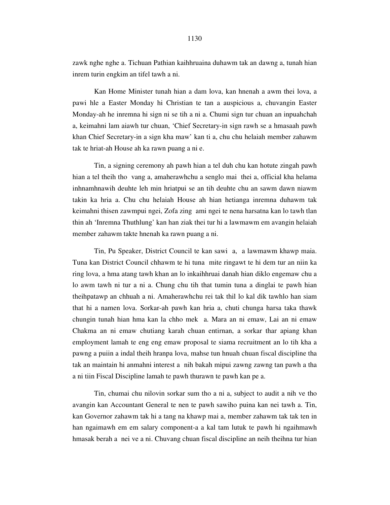zawk nghe nghe a. Tichuan Pathian kaihhruaina duhawm tak an dawng a, tunah hian inrem turin engkim an tifel tawh a ni.

 Kan Home Minister tunah hian a dam lova, kan hnenah a awm thei lova, a pawi hle a Easter Monday hi Christian te tan a auspicious a, chuvangin Easter Monday-ah he inremna hi sign ni se tih a ni a. Chumi sign tur chuan an inpuahchah a, keimahni lam aiawh tur chuan, 'Chief Secretary-in sign rawh se a hmasaah pawh khan Chief Secretary-in a sign kha maw' kan ti a, chu chu helaiah member zahawm tak te hriat-ah House ah ka rawn puang a ni e.

 Tin, a signing ceremony ah pawh hian a tel duh chu kan hotute zingah pawh hian a tel theih tho vang a, amaherawhchu a senglo mai thei a, official kha helama inhnamhnawih deuhte leh min hriatpui se an tih deuhte chu an sawm dawn niawm takin ka hria a. Chu chu helaiah House ah hian hetianga inremna duhawm tak keimahni thisen zawmpui ngei, Zofa zing ami ngei te nena harsatna kan lo tawh tlan thin ah 'Inremna Thuthlung' kan han ziak thei tur hi a lawmawm em avangin helaiah member zahawm takte hnenah ka rawn puang a ni.

 Tin, Pu Speaker, District Council te kan sawi a, a lawmawm khawp maia. Tuna kan District Council chhawm te hi tuna mite ringawt te hi dem tur an niin ka ring lova, a hma atang tawh khan an lo inkaihhruai danah hian diklo engemaw chu a lo awm tawh ni tur a ni a. Chung chu tih that tumin tuna a dinglai te pawh hian theihpatawp an chhuah a ni. Amaherawhchu rei tak thil lo kal dik tawhlo han siam that hi a namen lova. Sorkar-ah pawh kan hria a, chuti chunga harsa taka thawk chungin tunah hian hma kan la chho mek a. Mara an ni emaw, Lai an ni emaw Chakma an ni emaw chutiang karah chuan entirnan, a sorkar thar apiang khan employment lamah te eng eng emaw proposal te siama recruitment an lo tih kha a pawng a puiin a indal theih hranpa lova, mahse tun hnuah chuan fiscal discipline tha tak an maintain hi anmahni interest a nih bakah mipui zawng zawng tan pawh a tha a ni tiin Fiscal Discipline lamah te pawh thurawn te pawh kan pe a.

 Tin, chumai chu nilovin sorkar sum tho a ni a, subject to audit a nih ve tho avangin kan Accountant General te nen te pawh sawiho puina kan nei tawh a. Tin, kan Governor zahawm tak hi a tang na khawp mai a, member zahawm tak tak ten in han ngaimawh em em salary component-a a kal tam lutuk te pawh hi ngaihmawh hmasak berah a nei ve a ni. Chuvang chuan fiscal discipline an neih theihna tur hian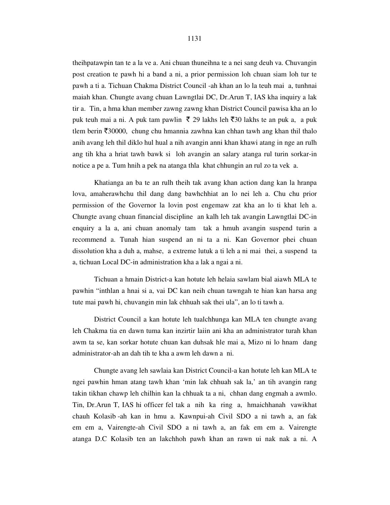theihpatawpin tan te a la ve a. Ani chuan thuneihna te a nei sang deuh va. Chuvangin post creation te pawh hi a band a ni, a prior permission loh chuan siam loh tur te pawh a ti a. Tichuan Chakma District Council -ah khan an lo la teuh mai a, tunhnai maiah khan. Chungte avang chuan Lawngtlai DC, Dr.Arun T, IAS kha inquiry a lak tir a. Tin, a hma khan member zawng zawng khan District Council pawisa kha an lo puk teuh mai a ni. A puk tam pawlin  $\bar{\xi}$  29 lakhs leh  $\bar{\xi}$ 30 lakhs te an puk a, a puk tlem berin  $\overline{530000}$ , chung chu hmannia zawhna kan chhan tawh ang khan thil thalo anih avang leh thil diklo hul hual a nih avangin anni khan khawi atang in nge an rulh ang tih kha a hriat tawh bawk si loh avangin an salary atanga rul turin sorkar-in notice a pe a. Tum hnih a pek na atanga thla khat chhungin an rul zo ta vek a.

 Khatianga an ba te an rulh theih tak avang khan action dang kan la hranpa lova, amaherawhchu thil dang dang bawhchhiat an lo nei leh a. Chu chu prior permission of the Governor la lovin post engemaw zat kha an lo ti khat leh a. Chungte avang chuan financial discipline an kalh leh tak avangin Lawngtlai DC-in enquiry a la a, ani chuan anomaly tam tak a hmuh avangin suspend turin a recommend a. Tunah hian suspend an ni ta a ni. Kan Governor phei chuan dissolution kha a duh a, mahse, a extreme lutuk a ti leh a ni mai thei, a suspend ta a, tichuan Local DC-in administration kha a lak a ngai a ni.

 Tichuan a hmain District-a kan hotute leh helaia sawlam bial aiawh MLA te pawhin "inthlan a hnai si a, vai DC kan neih chuan tawngah te hian kan harsa ang tute mai pawh hi, chuvangin min lak chhuah sak thei ula", an lo ti tawh a.

 District Council a kan hotute leh tualchhunga kan MLA ten chungte avang leh Chakma tia en dawn tuma kan inzirtir laiin ani kha an administrator turah khan awm ta se, kan sorkar hotute chuan kan duhsak hle mai a, Mizo ni lo hnam dang administrator-ah an dah tih te kha a awm leh dawn a ni.

 Chungte avang leh sawlaia kan District Council-a kan hotute leh kan MLA te ngei pawhin hman atang tawh khan 'min lak chhuah sak la,' an tih avangin rang takin tikhan chawp leh chilhin kan la chhuak ta a ni, chhan dang engmah a awmlo. Tin, Dr.Arun T, IAS hi officer fel tak a nih ka ring a, hmaichhanah vawikhat chauh Kolasib -ah kan in hmu a. Kawnpui-ah Civil SDO a ni tawh a, an fak em em a, Vairengte-ah Civil SDO a ni tawh a, an fak em em a. Vairengte atanga D.C Kolasib ten an lakchhoh pawh khan an rawn ui nak nak a ni. A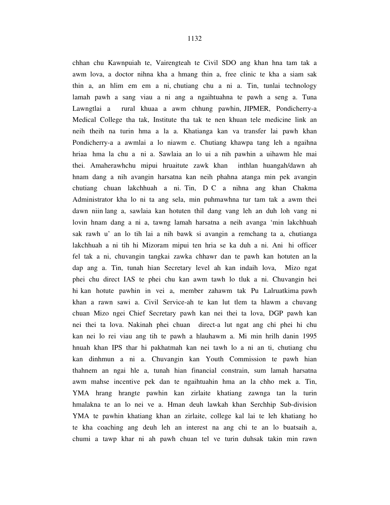chhan chu Kawnpuiah te, Vairengteah te Civil SDO ang khan hna tam tak a awm lova, a doctor nihna kha a hmang thin a, free clinic te kha a siam sak thin a, an hlim em em a ni, chutiang chu a ni a. Tin, tunlai technology lamah pawh a sang viau a ni ang a ngaihtuahna te pawh a seng a. Tuna Lawngtlai a rural khuaa a awm chhung pawhin, JIPMER, Pondicherry-a Medical College tha tak, Institute tha tak te nen khuan tele medicine link an neih theih na turin hma a la a. Khatianga kan va transfer lai pawh khan Pondicherry-a a awmlai a lo niawm e. Chutiang khawpa tang leh a ngaihna hriaa hma la chu a ni a. Sawlaia an lo ui a nih pawhin a uihawm hle mai thei. Amaherawhchu mipui hruaitute zawk khan inthlan huangah/dawn ah hnam dang a nih avangin harsatna kan neih phahna atanga min pek avangin chutiang chuan lakchhuah a ni. Tin, D C a nihna ang khan Chakma Administrator kha lo ni ta ang sela, min puhmawhna tur tam tak a awm thei dawn niin lang a, sawlaia kan hotuten thil dang vang leh an duh loh vang ni lovin hnam dang a ni a, tawng lamah harsatna a neih avanga 'min lakchhuah sak rawh u' an lo tih lai a nih bawk si avangin a remchang ta a, chutianga lakchhuah a ni tih hi Mizoram mipui ten hria se ka duh a ni. Ani hi officer fel tak a ni, chuvangin tangkai zawka chhawr dan te pawh kan hotuten an la dap ang a. Tin, tunah hian Secretary level ah kan indaih lova, Mizo ngat phei chu direct IAS te phei chu kan awm tawh lo tluk a ni. Chuvangin hei hi kan hotute pawhin in vei a, member zahawm tak Pu Lalruatkima pawh khan a rawn sawi a. Civil Service-ah te kan lut tlem ta hlawm a chuvang chuan Mizo ngei Chief Secretary pawh kan nei thei ta lova, DGP pawh kan nei thei ta lova. Nakinah phei chuan direct-a lut ngat ang chi phei hi chu kan nei lo rei viau ang tih te pawh a hlauhawm a. Mi min hrilh danin 1995 hnuah khan IPS thar hi pakhatmah kan nei tawh lo a ni an ti, chutiang chu kan dinhmun a ni a. Chuvangin kan Youth Commission te pawh hian thahnem an ngai hle a, tunah hian financial constrain, sum lamah harsatna awm mahse incentive pek dan te ngaihtuahin hma an la chho mek a. Tin, YMA hrang hrangte pawhin kan zirlaite khatiang zawnga tan la turin hmalakna te an lo nei ve a. Hman deuh lawkah khan Serchhip Sub-division YMA te pawhin khatiang khan an zirlaite, college kal lai te leh khatiang ho te kha coaching ang deuh leh an interest na ang chi te an lo buatsaih a, chumi a tawp khar ni ah pawh chuan tel ve turin duhsak takin min rawn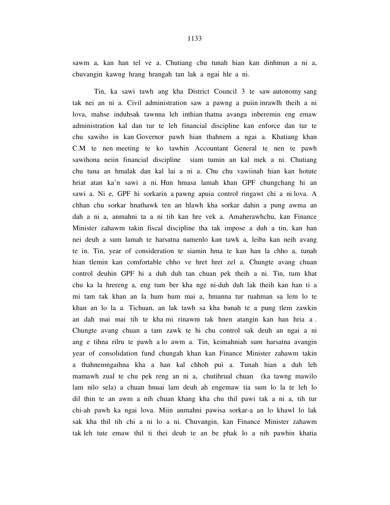sawm a, kan han tel ve a. Chutiang chu tunah hian kan dinhmun a ni a, chuvangin kawng hrang hrangah tan lak a ngai hle a ni.

 Tin, ka sawi tawh ang kha District Council 3 te saw autonomy sang tak nei an ni a. Civil administration saw a pawng a puiin inrawlh theih a ni lova, mahse induhsak tawnna leh inthian thatna avanga inberemin eng emaw administration kal dan tur te leh financial discipline kan enforce dan tur te chu sawiho in kan Governor pawh hian thahnem a ngai a. Khatiang khan C.M te nen meeting te ko tawhin Accountant General te nen te pawh sawihona neiin financial discipline siam tumin an kal mek a ni. Chutiang chu tuna an hmalak dan kal lai a ni a. Chu chu vawiinah hian kan hotute hriat atan ka'n sawi a ni. Hun hmasa lamah khan GPF chungchang hi an sawi a. Ni e, GPF hi sorkarin a pawng apuia control ringawt chi a ni lova. A chhan chu sorkar hnathawk ten an hlawh kha sorkar dahin a pung awma an dah a ni a, anmahni ta a ni tih kan hre vek a. Amaherawhchu, kan Finance Minister zahawm takin fiscal discipline tha tak impose a duh a tin, kan han nei deuh a sum lamah te harsatna namenlo kan tawk a, leiba kan neih avang te in. Tin, year of consideration te siamin hma te kan han la chho a, tunah hian tlemin kan comfortable chho ve hret hret zel a. Chungte avang chuan control deuhin GPF hi a duh duh tan chuan pek theih a ni. Tin, tum khat chu ka la hrereng a, eng tum ber kha nge ni-duh duh lak theih kan han ti a mi tam tak khan an la hum hum mai a, hmanna tur ruahman sa lem lo te khan an lo la a. Tichuan, an lak tawh sa kha banah te a pung tlem zawkin an dah mai mai tih te kha mi rinawm tak hnen atangin kan han hria a . Chungte avang chuan a tam zawk te hi chu control sak deuh an ngai a ni ang e tihna rilru te pawh a lo awm a. Tin, keimahniah sum harsatna avangin year of consolidation fund chungah khan kan Finance Minister zahawm takin a thahnemngaihna kha a han kal chhoh pui a. Tunah hian a duh leh mamawh zual te chu pek reng an ni a, chutihrual chuan (ka tawng mawilo lam nilo sela) a chuan hnuai lam deuh ah engemaw tia sum lo la te leh lo dil thin te an awm a nih chuan khang kha chu thil pawi tak a ni a, tih tur chi-ah pawh ka ngai lova. Miin anmahni pawisa sorkar-a an lo khawl lo lak sak kha thil tih chi a ni lo a ni. Chuvangin, kan Finance Minister zahawm tak leh tute emaw thil ti thei deuh te an be phak lo a nih pawhin khatia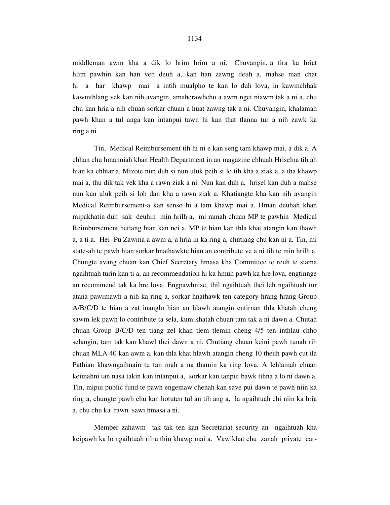middleman awm kha a dik lo hrim hrim a ni. Chuvangin, a tira ka hriat hlim pawhin kan han veh deuh a, kan han zawng deuh a, mahse man chat hi a har khawp mai a intih mualpho te kan lo duh lova, in kawmchhak kawmthlang vek kan nih avangin, amaherawhchu a awm ngei niawm tak a ni a, chu chu kan hria a nih chuan sorkar chuan a huat zawng tak a ni. Chuvangin, khalamah pawh khan a tul anga kan intanpui tawn hi kan that tlanna tur a nih zawk ka ring a ni.

 Tin, Medical Reimbursement tih hi ni e kan seng tam khawp mai, a dik a. A chhan chu hmanniah khan Health Department in an magazine chhuah Hriselna tih ah hian ka chhiar a, Mizote nun duh si nun uluk peih si lo tih kha a ziak a, a tha khawp mai a, thu dik tak vek kha a rawn ziak a ni. Nun kan duh a, hrisel kan duh a mahse nun kan uluk peih si loh dan kha a rawn ziak a. Khatiangte kha kan nih avangin Medical Reimbursement-a kan senso hi a tam khawp mai a. Hman deuhah khan mipakhatin duh sak deuhin min hrilh a, mi ramah chuan MP te pawhin Medical Reimbursement hetiang hian kan nei a, MP te hian kan thla khat atangin kan thawh a, a ti a. Hei Pu Zawma a awm a, a hria in ka ring a, chutiang chu kan ni a. Tin, mi state-ah te pawh hian sorkar hnathawkte hian an contribute ve a ni tih te min hrilh a. Chungte avang chuan kan Chief Secretary hmasa kha Committee te reuh te siama ngaihtuah turin kan ti a, an recommendation hi ka hmuh pawh ka hre lova, engtinnge an recommend tak ka hre lova. Engpawhnise, thil ngaihtuah thei leh ngaihtuah tur atana pawimawh a nih ka ring a, sorkar hnathawk ten category hrang hrang Group A/B/C/D te hian a zat inanglo hian an hlawh atangin entirnan thla khatah cheng sawm lek pawh lo contribute ta sela, kum khatah chuan tam tak a ni dawn a. Chutah chuan Group B/C/D ten tiang zel khan tlem tlemin cheng 4/5 ten inthlau chho selangin, tam tak kan khawl thei dawn a ni. Chutiang chuan keini pawh tunah rih chuan MLA 40 kan awm a, kan thla khat hlawh atangin cheng 10 theuh pawh cut ila Pathian khawngaihnain tu tan mah a na thamin ka ring lova. A lehlamah chuan keimahni tan nasa takin kan intanpui a, sorkar kan tanpui bawk tihna a lo ni dawn a. Tin, mipui public fund te pawh engemaw chenah kan save pui dawn te pawh niin ka ring a, chungte pawh chu kan hotuten tul an tih ang a, la ngaihtuah chi niin ka hria a, chu chu ka rawn sawi hmasa a ni.

 Member zahawm tak tak ten kan Secretariat security an ngaihtuah kha keipawh ka lo ngaihtuah rilru thin khawp mai a. Vawikhat chu zanah private car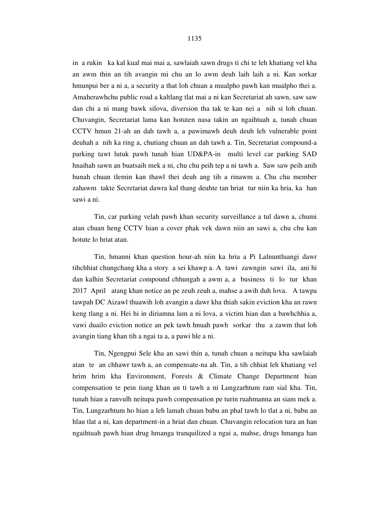in a rukin ka kal kual mai mai a, sawlaiah sawn drugs ti chi te leh khatiang vel kha an awm thin an tih avangin mi chu an lo awm deuh laih laih a ni. Kan sorkar hmunpui ber a ni a, a security a that loh chuan a mualpho pawh kan mualpho thei a. Amaherawhchu public road a kaltlang tlat mai a ni kan Secretariat ah sawn, saw saw dan chi a ni mang bawk silova, diversion tha tak te kan nei a nih si loh chuan. Chuvangin, Secretariat lama kan hotuten nasa takin an ngaihtuah a, tunah chuan CCTV hmun 21-ah an dah tawh a, a pawimawh deuh deuh leh vulnerable point deuhah a nih ka ring a, chutiang chuan an dah tawh a. Tin, Secretariat compound-a parking tawt lutuk pawh tunah hian UD&PA-in multi level car parking SAD hnaihah sawn an buatsaih mek a ni, chu chu peih tep a ni tawh a. Saw saw peih anih hunah chuan tlemin kan thawl thei deuh ang tih a rinawm a. Chu chu member zahawm takte Secretariat dawra kal thang deuhte tan hriat tur niin ka hria, ka han sawi a ni.

 Tin, car parking velah pawh khan security surveillance a tul dawn a, chumi atan chuan heng CCTV hian a cover phak vek dawn niin an sawi a, chu chu kan hotute lo hriat atan.

 Tin, hmanni khan question hour-ah niin ka hria a Pi Lalnuntluangi dawr tihchhiat chungchang kha a story a sei khawp a. A tawi zawngin sawi ila, ani hi dan kalhin Secretariat compound chhungah a awm a, a business ti lo tur khan 2017 April atang khan notice an pe zeuh zeuh a, mahse a awih duh lova. A tawpa tawpah DC Aizawl thuawih loh avangin a dawr kha thiah sakin eviction kha an rawn keng tlang a ni. Hei hi in diriamna lam a ni lova, a victim hian dan a bawhchhia a, vawi duailo eviction notice an pek tawh hnuah pawh sorkar thu a zawm that loh avangin tiang khan tih a ngai ta a, a pawi hle a ni.

 Tin, Ngengpui Sele kha an sawi thin a, tunah chuan a neitupa kha sawlaiah atan te an chhawr tawh a, an compensate-na ah. Tin, a tih chhiat leh khatiang vel hrim hrim kha Environment, Forests & Climate Change Department hian compensation te pein tiang khan an ti tawh a ni Lungzarhtum ram sial kha. Tin, tunah hian a ranvulh neitupa pawh compensation pe turin ruahmanna an siam mek a. Tin, Lungzarhtum ho hian a leh lamah chuan babu an phal tawh lo tlat a ni, babu an hlau tlat a ni, kan department-in a hriat dan chuan. Chuvangin relocation tura an han ngaihtuah pawh hian drug hmanga tranquilized a ngai a, mahse, drugs hmanga han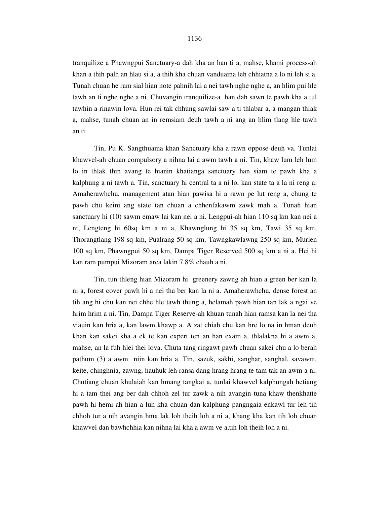tranquilize a Phawngpui Sanctuary-a dah kha an han ti a, mahse, khami process-ah khan a thih palh an hlau si a, a thih kha chuan vanduaina leh chhiatna a lo ni leh si a. Tunah chuan he ram sial hian note pahnih lai a nei tawh nghe nghe a, an hlim pui hle tawh an ti nghe nghe a ni. Chuvangin tranquilize-a han dah sawn te pawh kha a tul tawhin a rinawm lova. Hun rei tak chhung sawlai saw a ti thlabar a, a mangan thlak a, mahse, tunah chuan an in remsiam deuh tawh a ni ang an hlim tlang hle tawh an ti.

 Tin, Pu K. Sangthuama khan Sanctuary kha a rawn oppose deuh va. Tunlai khawvel-ah chuan compulsory a nihna lai a awm tawh a ni. Tin, khaw lum leh lum lo in thlak thin avang te hianin khatianga sanctuary han siam te pawh kha a kalphung a ni tawh a. Tin, sanctuary hi central ta a ni lo, kan state ta a la ni reng a. Amaherawhchu, management atan hian pawisa hi a rawn pe lut reng a, chung te pawh chu keini ang state tan chuan a chhenfakawm zawk mah a. Tunah hian sanctuary hi (10) sawm emaw lai kan nei a ni. Lengpui-ah hian 110 sq km kan nei a ni, Lengteng hi 60sq km a ni a, Khawnglung hi 35 sq km, Tawi 35 sq km, Thorangtlang 198 sq km, Pualrang 50 sq km, Tawngkawlawng 250 sq km, Murlen 100 sq km, Phawngpui 50 sq km, Dampa Tiger Reserved 500 sq km a ni a. Hei hi kan ram pumpui Mizoram area lakin 7.8% chauh a ni.

 Tin, tun thleng hian Mizoram hi greenery zawng ah hian a green ber kan la ni a, forest cover pawh hi a nei tha ber kan la ni a. Amaherawhchu, dense forest an tih ang hi chu kan nei chhe hle tawh thung a, helamah pawh hian tan lak a ngai ve hrim hrim a ni. Tin, Dampa Tiger Reserve-ah khuan tunah hian ramsa kan la nei tha viauin kan hria a, kan lawm khawp a. A zat chiah chu kan hre lo na in hman deuh khan kan sakei kha a ek te kan expert ten an han exam a, thlalakna hi a awm a, mahse, an la fuh hlei thei lova. Chuta tang ringawt pawh chuan sakei chu a lo berah pathum (3) a awm niin kan hria a. Tin, sazuk, sakhi, sanghar, sanghal, savawm, keite, chinghnia, zawng, hauhuk leh ransa dang hrang hrang te tam tak an awm a ni. Chutiang chuan khulaiah kan hmang tangkai a, tunlai khawvel kalphungah hetiang hi a tam thei ang ber dah chhoh zel tur zawk a nih avangin tuna khaw thenkhatte pawh hi hemi ah hian a luh kha chuan dan kalphung pangngaia enkawl tur leh tih chhoh tur a nih avangin hma lak loh theih loh a ni a, khang kha kan tih loh chuan khawvel dan bawhchhia kan nihna lai kha a awm ve a,tih loh theih loh a ni.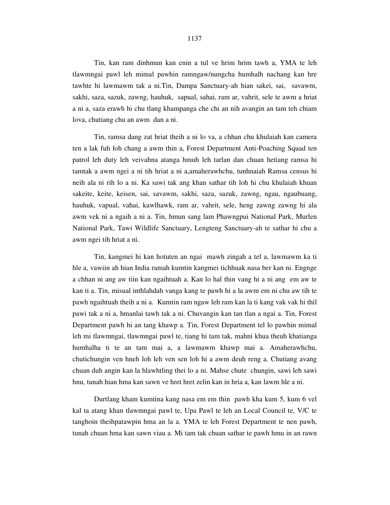Tin, kan ram dinhmun kan enin a tul ve hrim hrim tawh a, YMA te leh tlawmngai pawl leh mimal pawhin ramngaw/nungcha humhalh nachang kan hre tawhte hi lawmawm tak a ni.Tin, Dampa Sanctuary-ah hian sakei, sai, savawm, sakhi, saza, sazuk, zawng, hauhuk, sapual, sahai, ram ar, vahrit, sele te awm a hriat a ni a, saza erawh hi chu tlang khampanga che chi an nih avangin an tam teh chiam lova, chutiang chu an awm dan a ni.

 Tin, ramsa dang zat hriat theih a ni lo va, a chhan chu khulaiah kan camera ten a lak fuh loh chang a awm thin a, Forest Department Anti-Poaching Squad ten patrol leh duty leh veivahna atanga hmuh leh tarlan dan chuan hetiang ramsa hi tamtak a awm ngei a ni tih hriat a ni a,amaherawhchu, tunhnaiah Ramsa census hi neih ala ni rih lo a ni. Ka sawi tak ang khan sathar tih loh hi chu khulaiah khuan sakeite, keite, keisen, sai, savawm, sakhi, saza, sazuk, zawng, ngau, ngaubuang, hauhuk, vapual, vahai, kawlhawk, ram ar, vahrit, sele, heng zawng zawng hi ala awm vek ni a ngaih a ni a. Tin, hmun sang lam Phawngpui National Park, Murlen National Park, Tawi Wildlife Sanctuary, Lengteng Sanctuary-ah te sathar hi chu a awm ngei tih hriat a ni.

 Tin, kangmei hi kan hotuten an ngai mawh zingah a tel a, lawmawm ka ti hle a, vawiin ah hian India ramah kumtin kangmei tichhuak nasa ber kan ni. Engnge a chhan ni ang aw tiin kan ngaihtuah a. Kan lo hal thin vang hi a ni ang em aw te kan ti a. Tin, misual inthlahdah vanga kang te pawh hi a la awm em ni chu aw tih te pawh ngaihtuah theih a ni a. Kumtin ram ngaw leh ram kan la ti kang vak vak hi thil pawi tak a ni a, hmanlai tawh tak a ni. Chuvangin kan tan tlan a ngai a. Tin, Forest Department pawh hi an tang khawp a. Tin, Forest Department tel lo pawhin mimal leh mi tlawmngai, tlawmngai pawl te, tiang hi tam tak, mahni khua theuh khatianga humhalha ti te an tam mai a, a lawmawm khawp mai a. Amaherawhchu, chutichungin ven hneh loh leh ven sen loh hi a awm deuh reng a. Chutiang avang chuan duh angin kan la hlawhtling thei lo a ni. Mahse chute chungin, sawi leh sawi hnu, tunah hian hma kan sawn ve hret hret zelin kan in hria a, kan lawm hle a ni.

 Durtlang kham kumtina kang nasa em em thin pawh kha kum 5, kum 6 vel kal ta atang khan tlawmngai pawl te, Upa Pawl te leh an Local Council te, V/C te tanghoin theihpatawpin hma an la a. YMA te leh Forest Department te nen pawh, tunah chuan hma kan sawn viau a. Mi tam tak chuan sathar te pawh hmu in an rawn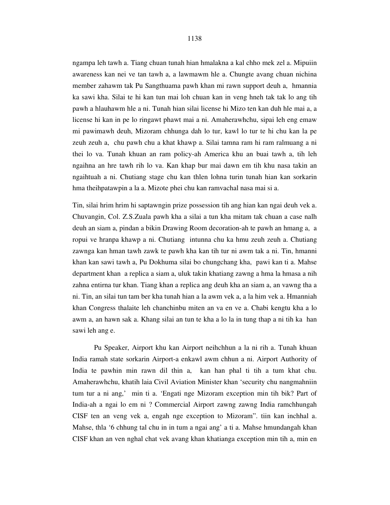ngampa leh tawh a. Tiang chuan tunah hian hmalakna a kal chho mek zel a. Mipuiin awareness kan nei ve tan tawh a, a lawmawm hle a. Chungte avang chuan nichina member zahawm tak Pu Sangthuama pawh khan mi rawn support deuh a, hmannia ka sawi kha. Silai te hi kan tun mai loh chuan kan in veng hneh tak tak lo ang tih pawh a hlauhawm hle a ni. Tunah hian silai license hi Mizo ten kan duh hle mai a, a license hi kan in pe lo ringawt phawt mai a ni. Amaherawhchu, sipai leh eng emaw mi pawimawh deuh, Mizoram chhunga dah lo tur, kawl lo tur te hi chu kan la pe zeuh zeuh a, chu pawh chu a khat khawp a. Silai tamna ram hi ram ralmuang a ni thei lo va. Tunah khuan an ram policy-ah America khu an buai tawh a, tih leh ngaihna an hre tawh rih lo va. Kan khap bur mai dawn em tih khu nasa takin an ngaihtuah a ni. Chutiang stage chu kan thlen lohna turin tunah hian kan sorkarin hma theihpatawpin a la a. Mizote phei chu kan ramvachal nasa mai si a.

Tin, silai hrim hrim hi saptawngin prize possession tih ang hian kan ngai deuh vek a. Chuvangin, Col. Z.S.Zuala pawh kha a silai a tun kha mitam tak chuan a case nalh deuh an siam a, pindan a bikin Drawing Room decoration-ah te pawh an hmang a, a ropui ve hranpa khawp a ni. Chutiang intunna chu ka hmu zeuh zeuh a. Chutiang zawnga kan hman tawh zawk te pawh kha kan tih tur ni awm tak a ni. Tin, hmanni khan kan sawi tawh a, Pu Dokhuma silai bo chungchang kha, pawi kan ti a. Mahse department khan a replica a siam a, uluk takin khatiang zawng a hma la hmasa a nih zahna entirna tur khan. Tiang khan a replica ang deuh kha an siam a, an vawng tha a ni. Tin, an silai tun tam ber kha tunah hian a la awm vek a, a la him vek a. Hmanniah khan Congress thalaite leh chanchinbu miten an va en ve a. Chabi kengtu kha a lo awm a, an hawn sak a. Khang silai an tun te kha a lo la in tung thap a ni tih ka han sawi leh ang e.

 Pu Speaker, Airport khu kan Airport neihchhun a la ni rih a. Tunah khuan India ramah state sorkarin Airport-a enkawl awm chhun a ni. Airport Authority of India te pawhin min rawn dil thin a, kan han phal ti tih a tum khat chu. Amaherawhchu, khatih laia Civil Aviation Minister khan 'security chu nangmahniin tum tur a ni ang,' min ti a. 'Engati nge Mizoram exception min tih bik? Part of India-ah a ngai lo em ni ? Commercial Airport zawng zawng India ramchhungah CISF ten an veng vek a, engah nge exception to Mizoram". tiin kan inchhal a. Mahse, thla '6 chhung tal chu in in tum a ngai ang' a ti a. Mahse hmundangah khan CISF khan an ven nghal chat vek avang khan khatianga exception min tih a, min en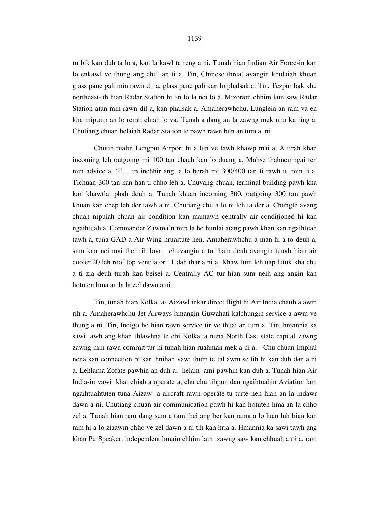ru bik kan duh ta lo a, kan la kawl ta reng a ni. Tunah hian Indian Air Force-in kan lo enkawl ve thung ang chu' an ti a. Tin, Chinese threat avangin khulaiah khuan glass pane pali min rawn dil a, glass pane pali kan lo phalsak a. Tin, Tezpur bak khu northeast-ah hian Radar Station hi an lo la nei lo a. Mizoram chhim lam saw Radar Station atan min rawn dil a, kan phalsak a. Amaherawhchu, Lungleia an ram va en kha mipuiin an lo remti chiah lo va. Tunah a dang an la zawng mek niin ka ring a. Chutiang chuan helaiah Radar Station te pawh rawn bun an tum a ni.

 Chutih rualin Lengpui Airport hi a lun ve tawh khawp mai a. A tirah khan incoming leh outgoing mi 100 tan chauh kan lo duang a. Mahse thahnemngai ten min advice a, 'E… in inchhir ang, a lo berah mi 300/400 tan ti rawh u, min ti a. Tichuan 300 tan kan han ti chho leh a. Chuvang chuan, terminal building pawh kha kan khawtlai phah deuh a. Tunah khuan incoming 300, outgoing 300 tan pawh khuan kan chep leh der tawh a ni. Chutiang chu a lo ni leh ta der a. Chungte avang chuan nipuiah chuan air condition kan mamawh centrally air conditioned hi kan ngaihtuah a, Commander Zawma'n min la ho hunlai atang pawh khan kan ngaihtuah tawh a, tuna GAD-a Air Wing hruaitute nen. Amaherawhchu a man hi a to deuh a, sum kan nei mai thei rih lova, chuvangin a to tham deuh avangin tunah hian air cooler 20 leh roof top ventilator 11 dah thar a ni a. Khaw lum leh uap lutuk kha chu a ti zia deuh turah kan beisei a. Centrally AC tur hian sum neih ang angin kan hotuten hma an la la zel dawn a ni.

 Tin, tunah hian Kolkatta- Aizawl inkar direct flight hi Air India chauh a awm rih a. Amaherawhchu Jet Airways hmangin Guwahati kalchungin service a awm ve thung a ni. Tin, Indigo ho hian rawn service tir ve thuai an tum a. Tin, hmannia ka sawi tawh ang khan thlawhna te chi Kolkatta nena North East state capital zawng zawng min rawn commit tur hi tunah hian ruahman mek a ni a. Chu chuan Imphal nena kan connection hi kar hnihah vawi thum te tal awm se tih hi kan duh dan a ni a. Lehlama Zofate pawhin an duh a, helam ami pawhin kan duh a. Tunah hian Air India-in vawi khat chiah a operate a, chu chu tihpun dan ngaihtuahin Aviation lam ngaihtuahtuten tuna Aizaw- a aircraft rawn operate-tu turte nen hian an la indawr dawn a ni. Chutiang chuan air communication pawh hi kan hotuten hma an la chho zel a. Tunah hian ram dang sum a tam thei ang ber kan rama a lo luan luh hian kan ram hi a lo ziaawm chho ve zel dawn a ni tih kan hria a. Hmannia ka sawi tawh ang khan Pu Speaker, independent hmain chhim lam zawng saw kan chhuah a ni a, ram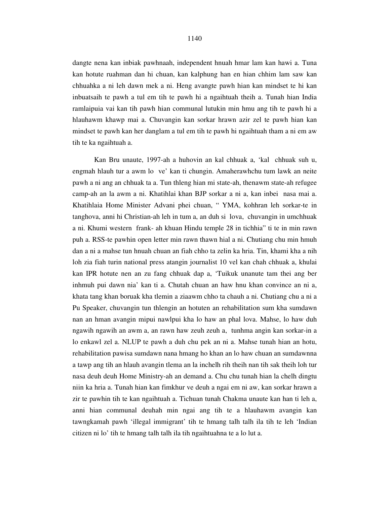dangte nena kan inbiak pawhnaah, independent hnuah hmar lam kan hawi a. Tuna kan hotute ruahman dan hi chuan, kan kalphung han en hian chhim lam saw kan chhuahka a ni leh dawn mek a ni. Heng avangte pawh hian kan mindset te hi kan inbuatsaih te pawh a tul em tih te pawh hi a ngaihtuah theih a. Tunah hian India ramlaipuia vai kan tih pawh hian communal lutukin min hmu ang tih te pawh hi a hlauhawm khawp mai a. Chuvangin kan sorkar hrawn azir zel te pawh hian kan mindset te pawh kan her danglam a tul em tih te pawh hi ngaihtuah tham a ni em aw tih te ka ngaihtuah a.

 Kan Bru unaute, 1997-ah a huhovin an kal chhuak a, 'kal chhuak suh u, engmah hlauh tur a awm lo ve' kan ti chungin. Amaherawhchu tum lawk an neite pawh a ni ang an chhuak ta a. Tun thleng hian mi state-ah, thenawm state-ah refugee camp-ah an la awm a ni. Khatihlai khan BJP sorkar a ni a, kan inbei nasa mai a. Khatihlaia Home Minister Advani phei chuan, " YMA, kohhran leh sorkar-te in tanghova, anni hi Christian-ah leh in tum a, an duh si lova, chuvangin in umchhuak a ni. Khumi western frank- ah khuan Hindu temple 28 in tichhia" ti te in min rawn puh a. RSS-te pawhin open letter min rawn thawn hial a ni. Chutiang chu min hmuh dan a ni a mahse tun hnuah chuan an fiah chho ta zelin ka hria. Tin, khami kha a nih loh zia fiah turin national press atangin journalist 10 vel kan chah chhuak a, khulai kan IPR hotute nen an zu fang chhuak dap a, 'Tuikuk unanute tam thei ang ber inhmuh pui dawn nia' kan ti a. Chutah chuan an haw hnu khan convince an ni a, khata tang khan boruak kha tlemin a ziaawm chho ta chauh a ni. Chutiang chu a ni a Pu Speaker, chuvangin tun thlengin an hotuten an rehabilitation sum kha sumdawn nan an hman avangin mipui nawlpui kha lo haw an phal lova. Mahse, lo haw duh ngawih ngawih an awm a, an rawn haw zeuh zeuh a, tunhma angin kan sorkar-in a lo enkawl zel a. NLUP te pawh a duh chu pek an ni a. Mahse tunah hian an hotu, rehabilitation pawisa sumdawn nana hmang ho khan an lo haw chuan an sumdawnna a tawp ang tih an hlauh avangin tlema an la inchelh rih theih nan tih sak theih loh tur nasa deuh deuh Home Ministry-ah an demand a. Chu chu tunah hian la chelh dingtu niin ka hria a. Tunah hian kan fimkhur ve deuh a ngai em ni aw, kan sorkar hrawn a zir te pawhin tih te kan ngaihtuah a. Tichuan tunah Chakma unaute kan han ti leh a, anni hian communal deuhah min ngai ang tih te a hlauhawm avangin kan tawngkamah pawh 'illegal immigrant' tih te hmang talh talh ila tih te leh 'Indian citizen ni lo' tih te hmang talh talh ila tih ngaihtuahna te a lo lut a.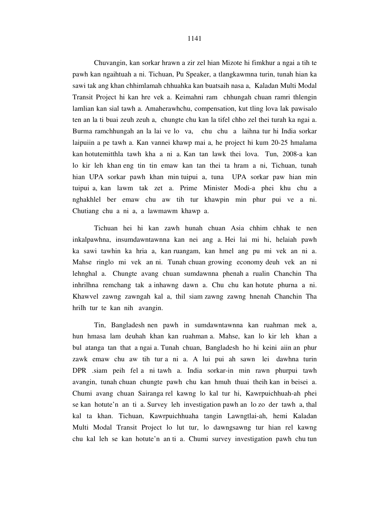1141

 Chuvangin, kan sorkar hrawn a zir zel hian Mizote hi fimkhur a ngai a tih te pawh kan ngaihtuah a ni. Tichuan, Pu Speaker, a tlangkawmna turin, tunah hian ka sawi tak ang khan chhimlamah chhuahka kan buatsaih nasa a, Kaladan Multi Modal Transit Project hi kan hre vek a. Keimahni ram chhungah chuan ramri thlengin lamlian kan sial tawh a. Amaherawhchu, compensation, kut tling lova lak pawisalo ten an la ti buai zeuh zeuh a, chungte chu kan la tifel chho zel thei turah ka ngai a. Burma ramchhungah an la lai ve lo va, chu chu a laihna tur hi India sorkar laipuiin a pe tawh a. Kan vannei khawp mai a, he project hi kum 20-25 hmalama kan hotutemitthla tawh kha a ni a. Kan tan lawk thei lova. Tun, 2008-a kan lo kir leh khan eng tin tin emaw kan tan thei ta hram a ni, Tichuan, tunah hian UPA sorkar pawh khan min tuipui a, tuna UPA sorkar paw hian min tuipui a, kan lawm tak zet a. Prime Minister Modi-a phei khu chu a nghakhlel ber emaw chu aw tih tur khawpin min phur pui ve a ni. Chutiang chu a ni a, a lawmawm khawp a.

 Tichuan hei hi kan zawh hunah chuan Asia chhim chhak te nen inkalpawhna, insumdawntawnna kan nei ang a. Hei lai mi hi, helaiah pawh ka sawi tawhin ka hria a, kan ruangam, kan hmel ang pu mi vek an ni a. Mahse ringlo mi vek an ni. Tunah chuan growing economy deuh vek an ni lehnghal a. Chungte avang chuan sumdawnna phenah a rualin Chanchin Tha inhrilhna remchang tak a inhawng dawn a. Chu chu kan hotute phurna a ni. Khawvel zawng zawngah kal a, thil siam zawng zawng hnenah Chanchin Tha hrilh tur te kan nih avangin.

 Tin, Bangladesh nen pawh in sumdawntawnna kan ruahman mek a, hun hmasa lam deuhah khan kan ruahman a. Mahse, kan lo kir leh khan a bul atanga tan that a ngai a. Tunah chuan, Bangladesh ho hi keini aiin an phur zawk emaw chu aw tih tur a ni a. A lui pui ah sawn lei dawhna turin DPR .siam peih fel a ni tawh a. India sorkar-in min rawn phurpui tawh avangin, tunah chuan chungte pawh chu kan hmuh thuai theih kan in beisei a. Chumi avang chuan Sairanga rel kawng lo kal tur hi, Kawrpuichhuah-ah phei se kan hotute'n an ti a. Survey leh investigation pawh an lo zo der tawh a, thal kal ta khan. Tichuan, Kawrpuichhuaha tangin Lawngtlai-ah, hemi Kaladan Multi Modal Transit Project lo lut tur, lo dawngsawng tur hian rel kawng chu kal leh se kan hotute'n an ti a. Chumi survey investigation pawh chu tun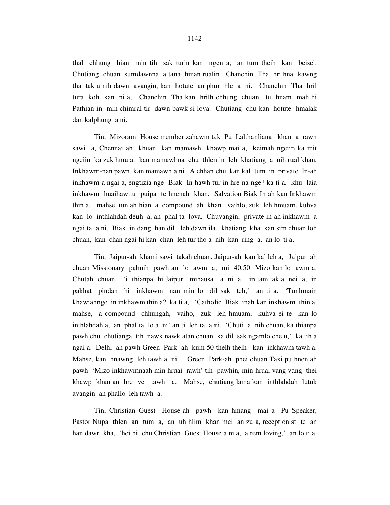thal chhung hian min tih sak turin kan ngen a, an tum theih kan beisei. Chutiang chuan sumdawnna a tana hman rualin Chanchin Tha hrilhna kawng tha tak a nih dawn avangin, kan hotute an phur hle a ni. Chanchin Tha hril tura koh kan ni a, Chanchin Tha kan hrilh chhung chuan, tu hnam mah hi Pathian-in min chimral tir dawn bawk si lova. Chutiang chu kan hotute hmalak dan kalphung a ni.

 Tin, Mizoram House member zahawm tak Pu Lalthanliana khan a rawn sawi a, Chennai ah khuan kan mamawh khawp mai a, keimah ngeiin ka mit ngeiin ka zuk hmu a. kan mamawhna chu thlen in leh khatiang a nih rual khan, Inkhawm-nan pawn kan mamawh a ni. A chhan chu kan kal tum in private In-ah inkhawm a ngai a, engtizia nge Biak In hawh tur in hre na nge? ka ti a, khu laia inkhawm huaihawttu puipa te hnenah khan. Salvation Biak In ah kan Inkhawm thin a, mahse tun ah hian a compound ah khan vaihlo, zuk leh hmuam, kuhva kan lo inthlahdah deuh a, an phal ta lova. Chuvangin, private in-ah inkhawm a ngai ta a ni. Biak in dang han dil leh dawn ila, khatiang kha kan sim chuan loh chuan, kan chan ngai hi kan chan leh tur tho a nih kan ring a, an lo ti a.

 Tin, Jaipur-ah khami sawi takah chuan, Jaipur-ah kan kal leh a, Jaipur ah chuan Missionary pahnih pawh an lo awm a, mi 40,50 Mizo kan lo awm a. Chutah chuan, 'i thianpa hi Jaipur mihausa a ni a, in tam tak a nei a, in pakhat pindan hi inkhawm nan min lo dil sak teh,' an ti a. 'Tunhmain khawiahnge in inkhawm thin a? ka ti a, 'Catholic Biak inah kan inkhawm thin a, mahse, a compound chhungah, vaiho, zuk leh hmuam, kuhva ei te kan lo inthlahdah a, an phal ta lo a ni' an ti leh ta a ni. 'Chuti a nih chuan, ka thianpa pawh chu chutianga tih nawk nawk atan chuan ka dil sak ngamlo che u,' ka tih a ngai a. Delhi ah pawh Green Park ah kum 50 thelh thelh kan inkhawm tawh a. Mahse, kan hnawng leh tawh a ni. Green Park-ah phei chuan Taxi pu hnen ah pawh 'Mizo inkhawmnaah min hruai rawh' tih pawhin, min hruai vang vang thei khawp khan an hre ve tawh a. Mahse, chutiang lama kan inthlahdah lutuk avangin an phallo leh tawh a.

 Tin, Christian Guest House-ah pawh kan hmang mai a Pu Speaker, Pastor Nupa thlen an tum a, an luh hlim khan mei an zu a, receptionist te an han dawr kha, 'hei hi chu Christian Guest House a ni a, a rem loving,' an lo ti a.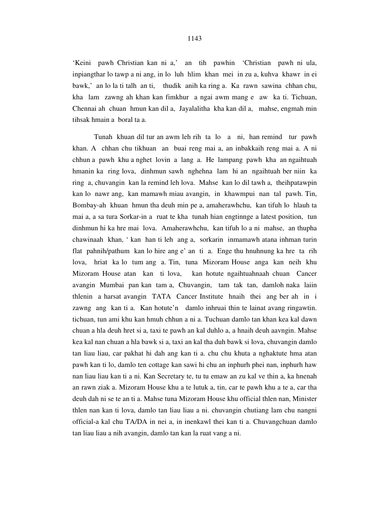'Keini pawh Christian kan ni a,' an tih pawhin 'Christian pawh ni ula, inpiangthar lo tawp a ni ang, in lo luh hlim khan mei in zu a, kuhva khawr in ei bawk,' an lo la ti talh an ti, thudik anih ka ring a. Ka rawn sawina chhan chu, kha lam zawng ah khan kan fimkhur a ngai awm mang e aw ka ti. Tichuan, Chennai ah chuan hmun kan dil a, Jayalalitha kha kan dil a, mahse, engmah min tihsak hmain a boral ta a.

 Tunah khuan dil tur an awm leh rih ta lo a ni, han remind tur pawh khan. A chhan chu tikhuan an buai reng mai a, an inbakkaih reng mai a. A ni chhun a pawh khu a nghet lovin a lang a. He lampang pawh kha an ngaihtuah hmanin ka ring lova, dinhmun sawh nghehna lam hi an ngaihtuah ber niin ka ring a, chuvangin kan la remind leh lova. Mahse kan lo dil tawh a, theihpatawpin kan lo nawr ang, kan mamawh miau avangin, in khawmpui nan tal pawh. Tin, Bombay-ah khuan hmun tha deuh min pe a, amaherawhchu, kan tifuh lo hlauh ta mai a, a sa tura Sorkar-in a ruat te kha tunah hian engtinnge a latest position, tun dinhmun hi ka hre mai lova. Amaherawhchu, kan tifuh lo a ni mahse, an thupha chawinaah khan, ' kan han ti leh ang a, sorkarin inmamawh atana inhman turin flat pahnih/pathum kan lo hire ang e' an ti a. Enge thu hnuhnung ka hre ta rih lova, hriat ka lo tum ang a. Tin, tuna Mizoram House anga kan neih khu Mizoram House atan kan ti lova, kan hotute ngaihtuahnaah chuan Cancer avangin Mumbai pan kan tam a, Chuvangin, tam tak tan, damloh naka laiin thlenin a harsat avangin TATA Cancer Institute hnaih thei ang ber ah in i zawng ang kan ti a. Kan hotute'n damlo inhruai thin te lainat avang ringawtin. tichuan, tun ami khu kan hmuh chhun a ni a. Tuchuan damlo tan khan kea kal dawn chuan a hla deuh hret si a, taxi te pawh an kal duhlo a, a hnaih deuh aavngin. Mahse kea kal nan chuan a hla bawk si a, taxi an kal tha duh bawk si lova, chuvangin damlo tan liau liau, car pakhat hi dah ang kan ti a. chu chu khuta a nghaktute hma atan pawh kan ti lo, damlo ten cottage kan sawi hi chu an inphurh phei nan, inphurh haw nan liau liau kan ti a ni. Kan Secretary te, tu tu emaw an zu kal ve thin a, ka hnenah an rawn ziak a. Mizoram House khu a te lutuk a, tin, car te pawh khu a te a, car tha deuh dah ni se te an ti a. Mahse tuna Mizoram House khu official thlen nan, Minister thlen nan kan ti lova, damlo tan liau liau a ni. chuvangin chutiang lam chu nangni official-a kal chu TA/DA in nei a, in inenkawl thei kan ti a. Chuvangchuan damlo tan liau liau a nih avangin, damlo tan kan la ruat vang a ni.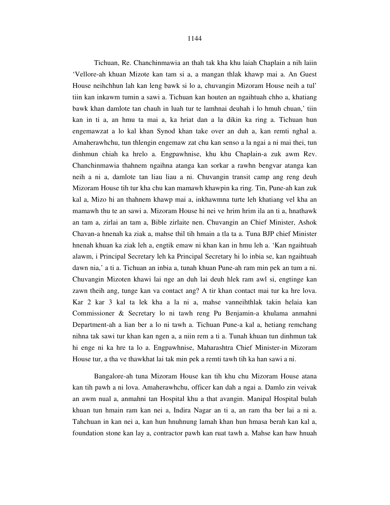### 1144

 Tichuan, Re. Chanchinmawia an thah tak kha khu laiah Chaplain a nih laiin 'Vellore-ah khuan Mizote kan tam si a, a mangan thlak khawp mai a. An Guest House neihchhun lah kan leng bawk si lo a, chuvangin Mizoram House neih a tul' tiin kan inkawm tumin a sawi a. Tichuan kan houten an ngaihtuah chho a, khatiang bawk khan damlote tan chauh in luah tur te lamhnai deuhah i lo hmuh chuan,' tiin kan in ti a, an hmu ta mai a, ka hriat dan a la dikin ka ring a. Tichuan hun engemawzat a lo kal khan Synod khan take over an duh a, kan remti nghal a. Amaherawhchu, tun thlengin engemaw zat chu kan senso a la ngai a ni mai thei, tun dinhmun chiah ka hrelo a. Engpawhnise, khu khu Chaplain-a zuk awm Rev. Chanchinmawia thahnem ngaihna atanga kan sorkar a rawhn bengvar atanga kan neih a ni a, damlote tan liau liau a ni. Chuvangin transit camp ang reng deuh Mizoram House tih tur kha chu kan mamawh khawpin ka ring. Tin, Pune-ah kan zuk kal a, Mizo hi an thahnem khawp mai a, inkhawmna turte leh khatiang vel kha an mamawh thu te an sawi a. Mizoram House hi nei ve hrim hrim ila an ti a, hnathawk an tam a, zirlai an tam a, Bible zirlaite nen. Chuvangin an Chief Minister, Ashok Chavan-a hnenah ka ziak a, mahse thil tih hmain a tla ta a. Tuna BJP chief Minister hnenah khuan ka ziak leh a, engtik emaw ni khan kan in hmu leh a. 'Kan ngaihtuah alawm, i Principal Secretary leh ka Principal Secretary hi lo inbia se, kan ngaihtuah dawn nia,' a ti a. Tichuan an inbia a, tunah khuan Pune-ah ram min pek an tum a ni. Chuvangin Mizoten khawi lai nge an duh lai deuh hlek ram awl si, engtinge kan zawn theih ang, tunge kan va contact ang? A tir khan contact mai tur ka hre lova. Kar 2 kar 3 kal ta lek kha a la ni a, mahse vanneihthlak takin helaia kan Commissioner & Secretary lo ni tawh reng Pu Benjamin-a khulama anmahni Department-ah a lian ber a lo ni tawh a. Tichuan Pune-a kal a, hetiang remchang nihna tak sawi tur khan kan ngen a, a niin rem a ti a. Tunah khuan tun dinhmun tak hi enge ni ka hre ta lo a. Engpawhnise, Maharashtra Chief Minister-in Mizoram House tur, a tha ve thawkhat lai tak min pek a remti tawh tih ka han sawi a ni.

 Bangalore-ah tuna Mizoram House kan tih khu chu Mizoram House atana kan tih pawh a ni lova. Amaherawhchu, officer kan dah a ngai a. Damlo zin veivak an awm nual a, anmahni tan Hospital khu a that avangin. Manipal Hospital bulah khuan tun hmain ram kan nei a, Indira Nagar an ti a, an ram tha ber lai a ni a. Tahchuan in kan nei a, kan hun hnuhnung lamah khan hun hmasa berah kan kal a, foundation stone kan lay a, contractor pawh kan ruat tawh a. Mahse kan haw hnuah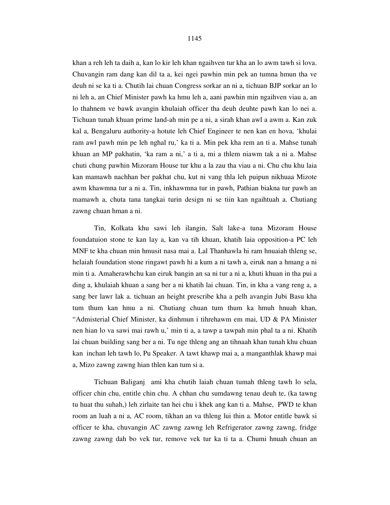khan a reh leh ta daih a, kan lo kir leh khan ngaihven tur kha an lo awm tawh si lova. Chuvangin ram dang kan dil ta a, kei ngei pawhin min pek an tumna hmun tha ve deuh ni se ka ti a. Chutih lai chuan Congress sorkar an ni a, tichuan BJP sorkar an lo ni leh a, an Chief Minister pawh ka hmu leh a, aani pawhin min ngaihven viau a, an lo thahnem ve bawk avangin khulaiah officer tha deuh deuhte pawh kan lo nei a. Tichuan tunah khuan prime land-ah min pe a ni, a sirah khan awl a awm a. Kan zuk kal a, Bengaluru authority-a hotute leh Chief Engineer te nen kan en hova, 'khulai ram awl pawh min pe leh nghal ru,' ka ti a. Min pek kha rem an ti a. Mahse tunah khuan an MP pakhatin, 'ka ram a ni,' a ti a, mi a thlem niawm tak a ni a. Mahse chuti chung pawhin Mizoram House tur khu a la zau tha viau a ni. Chu chu khu laia kan mamawh nachhan ber pakhat chu, kut ni vang thla leh puipun nikhuaa Mizote awm khawmna tur a ni a. Tin, inkhawmna tur in pawh, Pathian biakna tur pawh an mamawh a, chuta tana tangkai turin design ni se tiin kan ngaihtuah a. Chutiang zawng chuan hman a ni.

 Tin, Kolkata khu sawi leh ilangin, Salt lake-a tuna Mizoram House foundatuion stone te kan lay a, kan va tih khuan, khatih laia opposition-a PC leh MNF te kha chuan min hmusit nasa mai a. Lal Thanhawla hi ram hnuaiah thleng se, helaiah foundation stone ringawt pawh hi a kum a ni tawh a, eiruk nan a hmang a ni min ti a. Amaherawhchu kan eiruk bangin an sa ni tur a ni a, khuti khuan in tha pui a ding a, khulaiah khuan a sang ber a ni khatih lai chuan. Tin, in kha a vang reng a, a sang ber lawr lak a. tichuan an height prescribe kha a pelh avangin Jubi Basu kha tum thum kan hmu a ni. Chutiang chuan tum thum ka hmuh hnuah khan, "Admisterial Chief Minister, ka dinhmun i tihrehawm em mai, UD & PA Minister nen hian lo va sawi mai rawh u,' min ti a, a tawp a tawpah min phal ta a ni. Khatih lai chuan building sang ber a ni. Tu nge thleng ang an tihnaah khan tunah khu chuan kan inchan leh tawh lo, Pu Speaker. A tawt khawp mai a, a manganthlak khawp mai a, Mizo zawng zawng hian thlen kan tum si a.

 Tichuan Baliganj ami kha chutih laiah chuan tumah thleng tawh lo sela, officer chin chu, entitle chin chu. A chhan chu sumdawng tenau deuh te, (ka tawng tu huat thu suhah,) leh zirlaite tan hei chu i khek ang kan ti a. Mahse, PWD te khan room an luah a ni a, AC room, tikhan an va thleng lui thin a. Motor entitle bawk si officer te kha, chuvangin AC zawng zawng leh Refrigerator zawng zawng, fridge zawng zawng dah bo vek tur, remove vek tur ka ti ta a. Chumi hnuah chuan an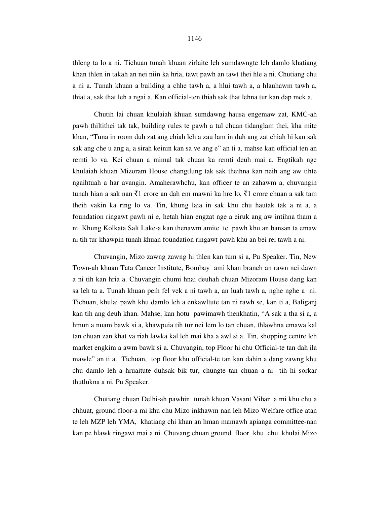thleng ta lo a ni. Tichuan tunah khuan zirlaite leh sumdawngte leh damlo khatiang khan thlen in takah an nei niin ka hria, tawt pawh an tawt thei hle a ni. Chutiang chu a ni a. Tunah khuan a building a chhe tawh a, a hlui tawh a, a hlauhawm tawh a, thiat a, sak that leh a ngai a. Kan official-ten thiah sak that lehna tur kan dap mek a.

 Chutih lai chuan khulaiah khuan sumdawng hausa engemaw zat, KMC-ah pawh thiltithei tak tak, building rules te pawh a tul chuan tidanglam thei, kha mite khan, "Tuna in room duh zat ang chiah leh a zau lam in duh ang zat chiah hi kan sak sak ang che u ang a, a sirah keinin kan sa ve ang e" an ti a, mahse kan official ten an remti lo va. Kei chuan a mimal tak chuan ka remti deuh mai a. Engtikah nge khulaiah khuan Mizoram House changtlung tak sak theihna kan neih ang aw tihte ngaihtuah a har avangin. Amaherawhchu, kan officer te an zahawm a, chuvangin tunah hian a sak nan  $\bar{\tau}$ 1 crore an dah em mawni ka hre lo,  $\bar{\tau}$ 1 crore chuan a sak tam theih vakin ka ring lo va. Tin, khung laia in sak khu chu hautak tak a ni a, a foundation ringawt pawh ni e, hetah hian engzat nge a eiruk ang aw intihna tham a ni. Khung Kolkata Salt Lake-a kan thenawm amite te pawh khu an bansan ta emaw ni tih tur khawpin tunah khuan foundation ringawt pawh khu an bei rei tawh a ni.

 Chuvangin, Mizo zawng zawng hi thlen kan tum si a, Pu Speaker. Tin, New Town-ah khuan Tata Cancer Institute, Bombay ami khan branch an rawn nei dawn a ni tih kan hria a. Chuvangin chumi hnai deuhah chuan Mizoram House dang kan sa leh ta a. Tunah khuan peih fel vek a ni tawh a, an luah tawh a, nghe nghe a ni. Tichuan, khulai pawh khu damlo leh a enkawltute tan ni rawh se, kan ti a, Baliganj kan tih ang deuh khan. Mahse, kan hotu pawimawh thenkhatin, "A sak a tha si a, a hmun a nuam bawk si a, khawpuia tih tur nei lem lo tan chuan, thlawhna emawa kal tan chuan zan khat va riah lawka kal leh mai kha a awl si a. Tin, shopping centre leh market engkim a awm bawk si a. Chuvangin, top Floor hi chu Official-te tan dah ila mawle" an ti a. Tichuan, top floor khu official-te tan kan dahin a dang zawng khu chu damlo leh a hruaitute duhsak bik tur, chungte tan chuan a ni tih hi sorkar thutlukna a ni, Pu Speaker.

 Chutiang chuan Delhi-ah pawhin tunah khuan Vasant Vihar a mi khu chu a chhuat, ground floor-a mi khu chu Mizo inkhawm nan leh Mizo Welfare office atan te leh MZP leh YMA, khatiang chi khan an hman mamawh apianga committee-nan kan pe hlawk ringawt mai a ni. Chuvang chuan ground floor khu chu khulai Mizo

#### 1146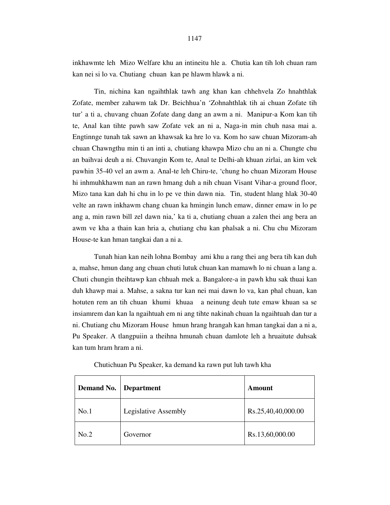inkhawmte leh Mizo Welfare khu an intineitu hle a. Chutia kan tih loh chuan ram kan nei si lo va. Chutiang chuan kan pe hlawm hlawk a ni.

 Tin, nichina kan ngaihthlak tawh ang khan kan chhehvela Zo hnahthlak Zofate, member zahawm tak Dr. Beichhua'n 'Zohnahthlak tih ai chuan Zofate tih tur' a ti a, chuvang chuan Zofate dang dang an awm a ni. Manipur-a Kom kan tih te, Anal kan tihte pawh saw Zofate vek an ni a, Naga-in min chuh nasa mai a. Engtinnge tunah tak sawn an khawsak ka hre lo va. Kom ho saw chuan Mizoram-ah chuan Chawngthu min ti an inti a, chutiang khawpa Mizo chu an ni a. Chungte chu an baihvai deuh a ni. Chuvangin Kom te, Anal te Delhi-ah khuan zirlai, an kim vek pawhin 35-40 vel an awm a. Anal-te leh Chiru-te, 'chung ho chuan Mizoram House hi inhmuhkhawm nan an rawn hmang duh a nih chuan Visant Vihar-a ground floor, Mizo tana kan dah hi chu in lo pe ve thin dawn nia. Tin, student hlang hlak 30-40 velte an rawn inkhawm chang chuan ka hmingin lunch emaw, dinner emaw in lo pe ang a, min rawn bill zel dawn nia,' ka ti a, chutiang chuan a zalen thei ang bera an awm ve kha a thain kan hria a, chutiang chu kan phalsak a ni. Chu chu Mizoram House-te kan hman tangkai dan a ni a.

 Tunah hian kan neih lohna Bombay ami khu a rang thei ang bera tih kan duh a, mahse, hmun dang ang chuan chuti lutuk chuan kan mamawh lo ni chuan a lang a. Chuti chungin theihtawp kan chhuah mek a. Bangalore-a in pawh khu sak thuai kan duh khawp mai a. Mahse, a sakna tur kan nei mai dawn lo va, kan phal chuan, kan hotuten rem an tih chuan khumi khuaa a neinung deuh tute emaw khuan sa se insiamrem dan kan la ngaihtuah em ni ang tihte nakinah chuan la ngaihtuah dan tur a ni. Chutiang chu Mizoram House hmun hrang hrangah kan hman tangkai dan a ni a, Pu Speaker. A tlangpuiin a theihna hmunah chuan damlote leh a hruaitute duhsak kan tum hram hram a ni.

| <b>Demand No.</b> | Department           | Amount             |
|-------------------|----------------------|--------------------|
| No.1              | Legislative Assembly | Rs.25,40,40,000.00 |
| No.2              | Governor             | Rs.13,60,000.00    |

Chutichuan Pu Speaker, ka demand ka rawn put luh tawh kha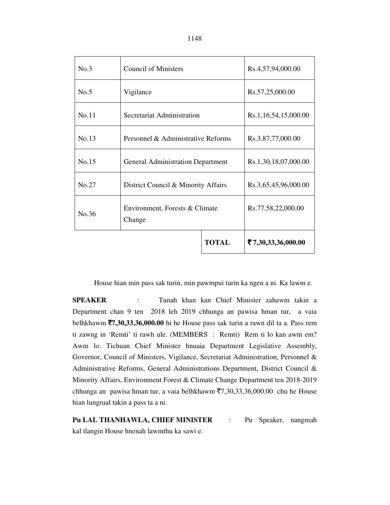| No.3  | <b>Council of Ministers</b>              | Rs.4,57,94,000.00    |                             |
|-------|------------------------------------------|----------------------|-----------------------------|
| No.5  | Vigilance                                | Rs.57,25,000.00      |                             |
| No.11 | Secretariat Administration               | Rs.1,16,54,15,000.00 |                             |
| No.13 | Personnel & Administrative Reforms       | Rs.3.87,77,000.00    |                             |
| No.15 | <b>General Administration Department</b> | Rs.1,30,18,07,000.00 |                             |
| No.27 | District Council & Minority Affairs      |                      | Rs.3,65,45,96,000.00        |
| No.36 | Environment, Forests & Climate<br>Change |                      | Rs.77,58,22,000.00          |
|       |                                          | <b>TOTAL</b>         | $\bar{z}$ 7,30,33,36,000.00 |

House hian min pass sak turin, min pawmpui turin ka ngen a ni. Ka lawm e.

**SPEAKER** : Tunah khan kan Chief Minister zahawm takin a Department chan 9 ten 2018 leh 2019 chhunga an pawisa hman tur, a vaia belhkhawm `**7,30,33,36,000.00** hi he House pass sak turin a rawn dil ta a. Pass rem ti zawng in 'Remti' ti rawh ule. (MEMBERS : Remti) Rem ti lo kan awm em? Awm lo. Tichuan Chief Minister hnuaia Department Legislative Assembly, Governor, Council of Ministers, Vigilance, Secretariat Administration, Personnel & Administrative Reforms, General Administrations Department, District Council & Minority Affairs, Environment Forest & Climate Change Department ten 2018-2019 chhunga an pawisa hman tur, a vaia belhkhawm  $\overline{(}7,30,33,36,000.00)$  chu he House hian lungrual takin a pass ta a ni.

**Pu LAL THANHAWLA, CHIEF MINISTER** : Pu Speaker, nangmah kal tlangin House hnenah lawmthu ka sawi e.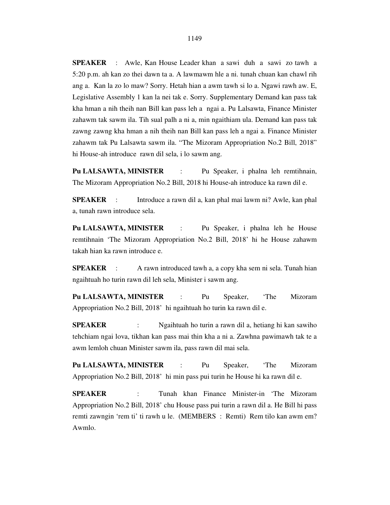**SPEAKER** : Awle, Kan House Leader khan a sawi duh a sawi zo tawh a 5:20 p.m. ah kan zo thei dawn ta a. A lawmawm hle a ni. tunah chuan kan chawl rih ang a. Kan la zo lo maw? Sorry. Hetah hian a awm tawh si lo a. Ngawi rawh aw. E, Legislative Assembly 1 kan la nei tak e. Sorry. Supplementary Demand kan pass tak kha hman a nih theih nan Bill kan pass leh a ngai a. Pu Lalsawta, Finance Minister zahawm tak sawm ila. Tih sual palh a ni a, min ngaithiam ula. Demand kan pass tak zawng zawng kha hman a nih theih nan Bill kan pass leh a ngai a. Finance Minister zahawm tak Pu Lalsawta sawm ila. "The Mizoram Appropriation No.2 Bill, 2018" hi House-ah introduce rawn dil sela, i lo sawm ang.

**Pu LALSAWTA, MINISTER** : Pu Speaker, i phalna leh remtihnain, The Mizoram Appropriation No.2 Bill, 2018 hi House-ah introduce ka rawn dil e.

**SPEAKER** : Introduce a rawn dil a, kan phal mai lawm ni? Awle, kan phal a, tunah rawn introduce sela.

**Pu LALSAWTA, MINISTER** : Pu Speaker, i phalna leh he House remtihnain 'The Mizoram Appropriation No.2 Bill, 2018' hi he House zahawm takah hian ka rawn introduce e.

**SPEAKER** : A rawn introduced tawh a, a copy kha sem ni sela. Tunah hian ngaihtuah ho turin rawn dil leh sela, Minister i sawm ang.

**Pu LALSAWTA, MINISTER** : Pu Speaker, 'The Mizoram Appropriation No.2 Bill, 2018' hi ngaihtuah ho turin ka rawn dil e.

**SPEAKER** : Ngaihtuah ho turin a rawn dil a, hetiang hi kan sawiho tehchiam ngai lova, tikhan kan pass mai thin kha a ni a. Zawhna pawimawh tak te a awm lemloh chuan Minister sawm ila, pass rawn dil mai sela.

**Pu LALSAWTA, MINISTER** : Pu Speaker, 'The Mizoram Appropriation No.2 Bill, 2018' hi min pass pui turin he House hi ka rawn dil e.

**SPEAKER** : Tunah khan Finance Minister-in 'The Mizoram Appropriation No.2 Bill, 2018' chu House pass pui turin a rawn dil a. He Bill hi pass remti zawngin 'rem ti' ti rawh u le. (MEMBERS : Remti) Rem tilo kan awm em? Awmlo.